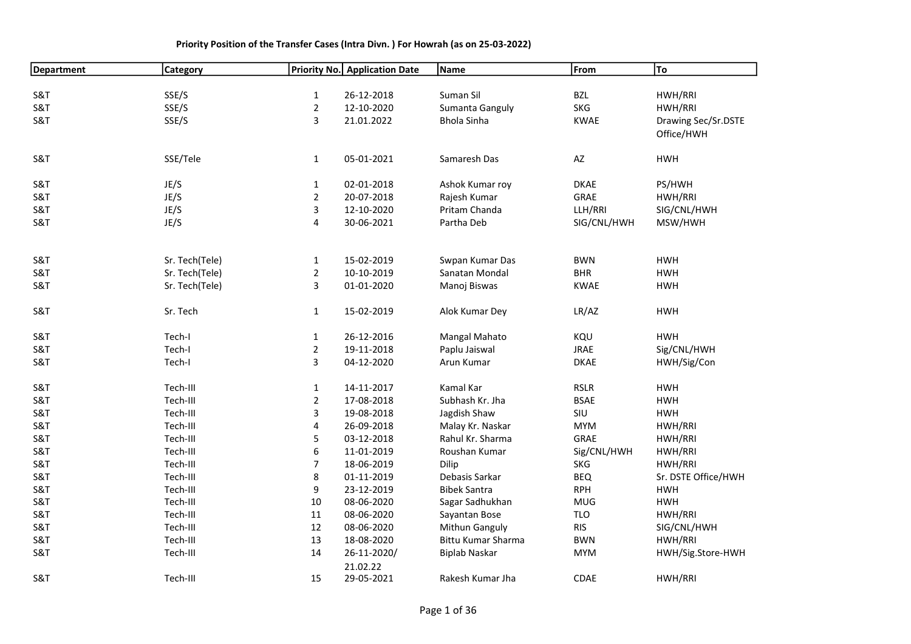| <b>Department</b> | <b>Category</b> |                                | Priority No. Application Date | Name                 | From        | To                  |
|-------------------|-----------------|--------------------------------|-------------------------------|----------------------|-------------|---------------------|
|                   |                 |                                |                               |                      |             |                     |
| S&T               | SSE/S           | $\mathbf{1}$                   | 26-12-2018                    | Suman Sil            | <b>BZL</b>  | HWH/RRI             |
| <b>S&amp;T</b>    | SSE/S           | $\overline{2}$                 | 12-10-2020                    | Sumanta Ganguly      | <b>SKG</b>  | HWH/RRI             |
| <b>S&amp;T</b>    | SSE/S           | 3                              | 21.01.2022                    | Bhola Sinha          | <b>KWAE</b> | Drawing Sec/Sr.DSTE |
|                   |                 |                                |                               |                      |             | Office/HWH          |
|                   |                 |                                |                               |                      |             |                     |
| S&T               | SSE/Tele        | $\mathbf{1}$                   | 05-01-2021                    | Samaresh Das         | AZ          | <b>HWH</b>          |
|                   |                 |                                |                               |                      |             |                     |
| <b>S&amp;T</b>    | JE/S            | $\mathbf{1}$                   | 02-01-2018                    | Ashok Kumar roy      | <b>DKAE</b> | PS/HWH              |
| <b>S&amp;T</b>    | JE/S            | $\overline{2}$                 | 20-07-2018                    | Rajesh Kumar         | GRAE        | HWH/RRI             |
| <b>S&amp;T</b>    | JE/S            | 3                              | 12-10-2020                    | Pritam Chanda        | LLH/RRI     | SIG/CNL/HWH         |
| <b>S&amp;T</b>    | JE/S            | 4                              | 30-06-2021                    | Partha Deb           | SIG/CNL/HWH | MSW/HWH             |
|                   |                 |                                |                               |                      |             |                     |
| S&T               | Sr. Tech(Tele)  |                                | 15-02-2019                    | Swpan Kumar Das      | <b>BWN</b>  | <b>HWH</b>          |
| <b>S&amp;T</b>    | Sr. Tech(Tele)  | $\mathbf{1}$<br>$\overline{2}$ | 10-10-2019                    | Sanatan Mondal       | <b>BHR</b>  | <b>HWH</b>          |
| <b>S&amp;T</b>    | Sr. Tech(Tele)  | 3                              | 01-01-2020                    | Manoj Biswas         | <b>KWAE</b> | <b>HWH</b>          |
|                   |                 |                                |                               |                      |             |                     |
| S&T               | Sr. Tech        | $\mathbf{1}$                   | 15-02-2019                    | Alok Kumar Dey       | LR/AZ       | <b>HWH</b>          |
|                   |                 |                                |                               |                      |             |                     |
| <b>S&amp;T</b>    | Tech-I          | $\mathbf{1}$                   | 26-12-2016                    | Mangal Mahato        | KQU         | <b>HWH</b>          |
| <b>S&amp;T</b>    | Tech-I          | $\overline{2}$                 | 19-11-2018                    | Paplu Jaiswal        | <b>JRAE</b> | Sig/CNL/HWH         |
| <b>S&amp;T</b>    | Tech-I          | 3                              | 04-12-2020                    | Arun Kumar           | <b>DKAE</b> | HWH/Sig/Con         |
| <b>S&amp;T</b>    | Tech-III        | $\mathbf{1}$                   | 14-11-2017                    | Kamal Kar            | <b>RSLR</b> | <b>HWH</b>          |
| <b>S&amp;T</b>    | Tech-III        | $\overline{a}$                 | 17-08-2018                    | Subhash Kr. Jha      | <b>BSAE</b> | <b>HWH</b>          |
| <b>S&amp;T</b>    | Tech-III        | 3                              | 19-08-2018                    | Jagdish Shaw         | SIU         | <b>HWH</b>          |
| <b>S&amp;T</b>    | Tech-III        | 4                              | 26-09-2018                    | Malay Kr. Naskar     | <b>MYM</b>  | HWH/RRI             |
| S&T               | Tech-III        | 5                              | 03-12-2018                    | Rahul Kr. Sharma     | GRAE        | HWH/RRI             |
| <b>S&amp;T</b>    | Tech-III        | 6                              | 11-01-2019                    | Roushan Kumar        | Sig/CNL/HWH | HWH/RRI             |
| S&T               | Tech-III        | $\overline{7}$                 | 18-06-2019                    | Dilip                | <b>SKG</b>  | HWH/RRI             |
| <b>S&amp;T</b>    | Tech-III        | 8                              | 01-11-2019                    | Debasis Sarkar       | <b>BEQ</b>  | Sr. DSTE Office/HWH |
| <b>S&amp;T</b>    | Tech-III        | 9                              | 23-12-2019                    | <b>Bibek Santra</b>  | <b>RPH</b>  | <b>HWH</b>          |
| <b>S&amp;T</b>    | Tech-III        | 10                             | 08-06-2020                    | Sagar Sadhukhan      | <b>MUG</b>  | <b>HWH</b>          |
| <b>S&amp;T</b>    | Tech-III        | 11                             | 08-06-2020                    | Sayantan Bose        | <b>TLO</b>  | HWH/RRI             |
| <b>S&amp;T</b>    | Tech-III        | 12                             | 08-06-2020                    | Mithun Ganguly       | <b>RIS</b>  | SIG/CNL/HWH         |
| <b>S&amp;T</b>    | Tech-III        | 13                             | 18-08-2020                    | Bittu Kumar Sharma   | <b>BWN</b>  | HWH/RRI             |
| S&T               | Tech-III        | 14                             | 26-11-2020/                   | <b>Biplab Naskar</b> | <b>MYM</b>  | HWH/Sig.Store-HWH   |
|                   |                 |                                | 21.02.22                      |                      |             |                     |
| <b>S&amp;T</b>    | Tech-III        | 15                             | 29-05-2021                    | Rakesh Kumar Jha     | <b>CDAE</b> | HWH/RRI             |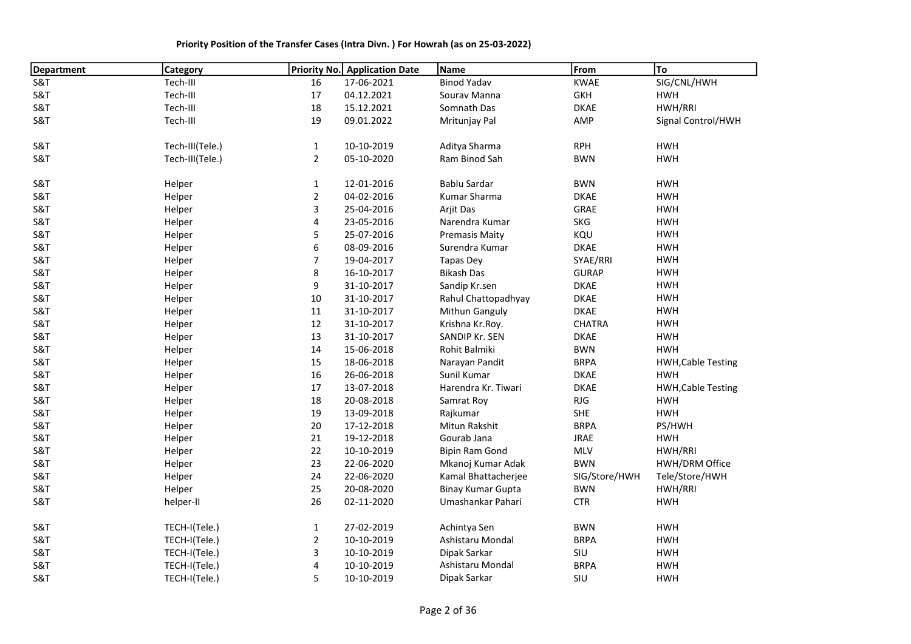| <b>Department</b> | <b>Category</b> | <b>Priority No.</b> | <b>Application Date</b> | Name                     | From          | <b>To</b>                 |
|-------------------|-----------------|---------------------|-------------------------|--------------------------|---------------|---------------------------|
| S&T               | Tech-III        | 16                  | 17-06-2021              | <b>Binod Yadav</b>       | <b>KWAE</b>   | SIG/CNL/HWH               |
| <b>S&amp;T</b>    | Tech-III        | $17\,$              | 04.12.2021              | Sourav Manna             | GKH           | <b>HWH</b>                |
| <b>S&amp;T</b>    | Tech-III        | 18                  | 15.12.2021              | Somnath Das              | <b>DKAE</b>   | HWH/RRI                   |
| S&T               | Tech-III        | 19                  | 09.01.2022              | Mritunjay Pal            | AMP           | Signal Control/HWH        |
| S&T               | Tech-III(Tele.) | $\mathbf{1}$        | 10-10-2019              | Aditya Sharma            | <b>RPH</b>    | <b>HWH</b>                |
| S&T               | Tech-III(Tele.) | $\overline{a}$      | 05-10-2020              | Ram Binod Sah            | <b>BWN</b>    | <b>HWH</b>                |
| S&T               | Helper          | $\mathbf{1}$        | 12-01-2016              | <b>Bablu Sardar</b>      | <b>BWN</b>    | <b>HWH</b>                |
| S&T               | Helper          | $\overline{a}$      | 04-02-2016              | Kumar Sharma             | <b>DKAE</b>   | <b>HWH</b>                |
| S&T               | Helper          | 3                   | 25-04-2016              | Arjit Das                | GRAE          | <b>HWH</b>                |
| S&T               | Helper          | 4                   | 23-05-2016              | Narendra Kumar           | SKG           | <b>HWH</b>                |
| <b>S&amp;T</b>    | Helper          | 5                   | 25-07-2016              | <b>Premasis Maity</b>    | KQU           | <b>HWH</b>                |
| S&T               | Helper          | 6                   | 08-09-2016              | Surendra Kumar           | <b>DKAE</b>   | <b>HWH</b>                |
| S&T               | Helper          | 7                   | 19-04-2017              | <b>Tapas Dey</b>         | SYAE/RRI      | <b>HWH</b>                |
| S&T               | Helper          | 8                   | 16-10-2017              | <b>Bikash Das</b>        | <b>GURAP</b>  | <b>HWH</b>                |
| S&T               | Helper          | 9                   | 31-10-2017              | Sandip Kr.sen            | <b>DKAE</b>   | <b>HWH</b>                |
| S&T               | Helper          | 10                  | 31-10-2017              | Rahul Chattopadhyay      | <b>DKAE</b>   | <b>HWH</b>                |
| S&T               | Helper          | 11                  | 31-10-2017              | Mithun Ganguly           | <b>DKAE</b>   | <b>HWH</b>                |
| S&T               | Helper          | 12                  | 31-10-2017              | Krishna Kr.Roy.          | <b>CHATRA</b> | <b>HWH</b>                |
| S&T               | Helper          | 13                  | 31-10-2017              | SANDIP Kr. SEN           | <b>DKAE</b>   | <b>HWH</b>                |
| S&T               | Helper          | 14                  | 15-06-2018              | Rohit Balmiki            | <b>BWN</b>    | <b>HWH</b>                |
| S&T               | Helper          | 15                  | 18-06-2018              | Narayan Pandit           | <b>BRPA</b>   | <b>HWH, Cable Testing</b> |
| <b>S&amp;T</b>    | Helper          | 16                  | 26-06-2018              | Sunil Kumar              | <b>DKAE</b>   | <b>HWH</b>                |
| S&T               | Helper          | 17                  | 13-07-2018              | Harendra Kr. Tiwari      | <b>DKAE</b>   | <b>HWH, Cable Testing</b> |
| S&T               | Helper          | 18                  | 20-08-2018              | Samrat Roy               | RJG           | <b>HWH</b>                |
| S&T               | Helper          | 19                  | 13-09-2018              | Rajkumar                 | SHE           | <b>HWH</b>                |
| S&T               | Helper          | 20                  | 17-12-2018              | Mitun Rakshit            | <b>BRPA</b>   | PS/HWH                    |
| S&T               | Helper          | 21                  | 19-12-2018              | Gourab Jana              | <b>JRAE</b>   | <b>HWH</b>                |
| S&T               | Helper          | 22                  | 10-10-2019              | Bipin Ram Gond           | MLV           | HWH/RRI                   |
| S&T               | Helper          | 23                  | 22-06-2020              | Mkanoj Kumar Adak        | <b>BWN</b>    | HWH/DRM Office            |
| S&T               | Helper          | 24                  | 22-06-2020              | Kamal Bhattacherjee      | SIG/Store/HWH | Tele/Store/HWH            |
| S&T               | Helper          | 25                  | 20-08-2020              | <b>Binay Kumar Gupta</b> | <b>BWN</b>    | HWH/RRI                   |
| S&T               | helper-II       | 26                  | 02-11-2020              | Umashankar Pahari        | <b>CTR</b>    | <b>HWH</b>                |
| S&T               | TECH-I(Tele.)   | $\mathbf{1}$        | 27-02-2019              | Achintya Sen             | <b>BWN</b>    | <b>HWH</b>                |
| S&T               | TECH-I(Tele.)   | $\overline{2}$      | 10-10-2019              | Ashistaru Mondal         | <b>BRPA</b>   | <b>HWH</b>                |
| S&T               | TECH-I(Tele.)   | 3                   | 10-10-2019              | Dipak Sarkar             | SIU           | <b>HWH</b>                |
| S&T               | TECH-I(Tele.)   | 4                   | 10-10-2019              | Ashistaru Mondal         | <b>BRPA</b>   | <b>HWH</b>                |
| S&T               | TECH-I(Tele.)   | 5                   | 10-10-2019              | Dipak Sarkar             | SIU           | <b>HWH</b>                |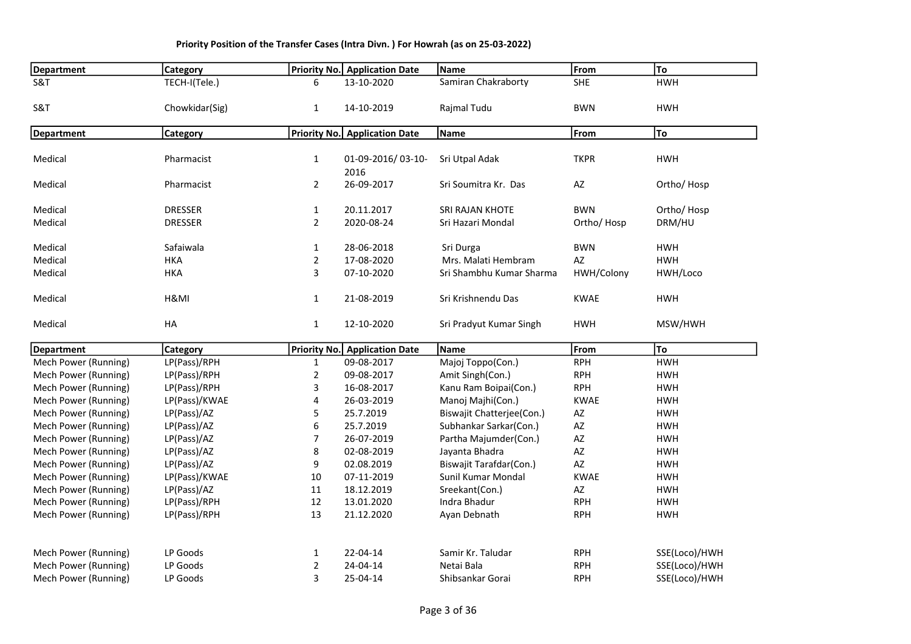| <b>Department</b>    | <b>Category</b> |                | <b>Priority No.</b> Application Date | Name                      | From                   | To            |
|----------------------|-----------------|----------------|--------------------------------------|---------------------------|------------------------|---------------|
| S&T                  | TECH-I(Tele.)   | 6              | 13-10-2020                           | Samiran Chakraborty       | <b>SHE</b>             | <b>HWH</b>    |
| S&T                  | Chowkidar(Sig)  | $\mathbf{1}$   | 14-10-2019                           | Rajmal Tudu               | <b>BWN</b>             | <b>HWH</b>    |
|                      |                 |                |                                      | Name                      | From                   | To            |
| <b>Department</b>    | Category        |                | Priority No. Application Date        |                           |                        |               |
| Medical              | Pharmacist      | $\mathbf{1}$   | 01-09-2016/03-10-<br>2016            | Sri Utpal Adak            | <b>TKPR</b>            | <b>HWH</b>    |
| Medical              | Pharmacist      | $\overline{2}$ | 26-09-2017                           | Sri Soumitra Kr. Das      | AZ                     | Ortho/Hosp    |
| Medical              | <b>DRESSER</b>  | $\mathbf{1}$   | 20.11.2017                           | SRI RAJAN KHOTE           | <b>BWN</b>             | Ortho/Hosp    |
| Medical              | <b>DRESSER</b>  | $\overline{2}$ | 2020-08-24                           | Sri Hazari Mondal         | Ortho/Hosp             | DRM/HU        |
| Medical              | Safaiwala       | $\mathbf{1}$   | 28-06-2018                           | Sri Durga                 | <b>BWN</b>             | <b>HWH</b>    |
| Medical              | <b>HKA</b>      | $\overline{2}$ | 17-08-2020                           | Mrs. Malati Hembram       | AZ                     | <b>HWH</b>    |
| Medical              | <b>HKA</b>      | 3              | 07-10-2020                           | Sri Shambhu Kumar Sharma  | HWH/Colony             | HWH/Loco      |
| Medical              | H&MI            | 1              | 21-08-2019                           | Sri Krishnendu Das        | <b>KWAE</b>            | <b>HWH</b>    |
| Medical              | HA              | $\mathbf{1}$   | 12-10-2020                           | Sri Pradyut Kumar Singh   | <b>HWH</b>             | MSW/HWH       |
| <b>Department</b>    | Category        |                | Priority No. Application Date        | Name                      | From                   | To            |
| Mech Power (Running) | LP(Pass)/RPH    | 1              | 09-08-2017                           | Majoj Toppo(Con.)         | <b>RPH</b>             | <b>HWH</b>    |
| Mech Power (Running) | LP(Pass)/RPH    | $\overline{2}$ | 09-08-2017                           | Amit Singh(Con.)          | <b>RPH</b>             | <b>HWH</b>    |
| Mech Power (Running) | LP(Pass)/RPH    | 3              | 16-08-2017                           | Kanu Ram Boipai(Con.)     | <b>RPH</b>             | <b>HWH</b>    |
| Mech Power (Running) | LP(Pass)/KWAE   | 4              | 26-03-2019                           | Manoj Majhi(Con.)         | <b>KWAE</b>            | <b>HWH</b>    |
| Mech Power (Running) | LP(Pass)/AZ     | 5              | 25.7.2019                            | Biswajit Chatterjee(Con.) | $\mathsf{A}\mathsf{Z}$ | <b>HWH</b>    |
| Mech Power (Running) | LP(Pass)/AZ     | 6              | 25.7.2019                            | Subhankar Sarkar(Con.)    | $\mathsf{A}\mathsf{Z}$ | <b>HWH</b>    |
| Mech Power (Running) | LP(Pass)/AZ     | 7              | 26-07-2019                           | Partha Majumder(Con.)     | AZ                     | <b>HWH</b>    |
| Mech Power (Running) | LP(Pass)/AZ     | 8              | 02-08-2019                           | Jayanta Bhadra            | AZ                     | <b>HWH</b>    |
| Mech Power (Running) | LP(Pass)/AZ     | 9              | 02.08.2019                           | Biswajit Tarafdar(Con.)   | AZ                     | <b>HWH</b>    |
| Mech Power (Running) | LP(Pass)/KWAE   | 10             | 07-11-2019                           | Sunil Kumar Mondal        | <b>KWAE</b>            | <b>HWH</b>    |
| Mech Power (Running) | LP(Pass)/AZ     | 11             | 18.12.2019                           | Sreekant(Con.)            | AZ                     | <b>HWH</b>    |
| Mech Power (Running) | LP(Pass)/RPH    | 12             | 13.01.2020                           | Indra Bhadur              | <b>RPH</b>             | <b>HWH</b>    |
| Mech Power (Running) | LP(Pass)/RPH    | 13             | 21.12.2020                           | Ayan Debnath              | <b>RPH</b>             | <b>HWH</b>    |
| Mech Power (Running) | LP Goods        | $\mathbf{1}$   | 22-04-14                             | Samir Kr. Taludar         | <b>RPH</b>             | SSE(Loco)/HWH |
| Mech Power (Running) | LP Goods        | $\overline{2}$ | 24-04-14                             | Netai Bala                | <b>RPH</b>             | SSE(Loco)/HWH |
| Mech Power (Running) | LP Goods        | 3              | 25-04-14                             | Shibsankar Gorai          | <b>RPH</b>             | SSE(Loco)/HWH |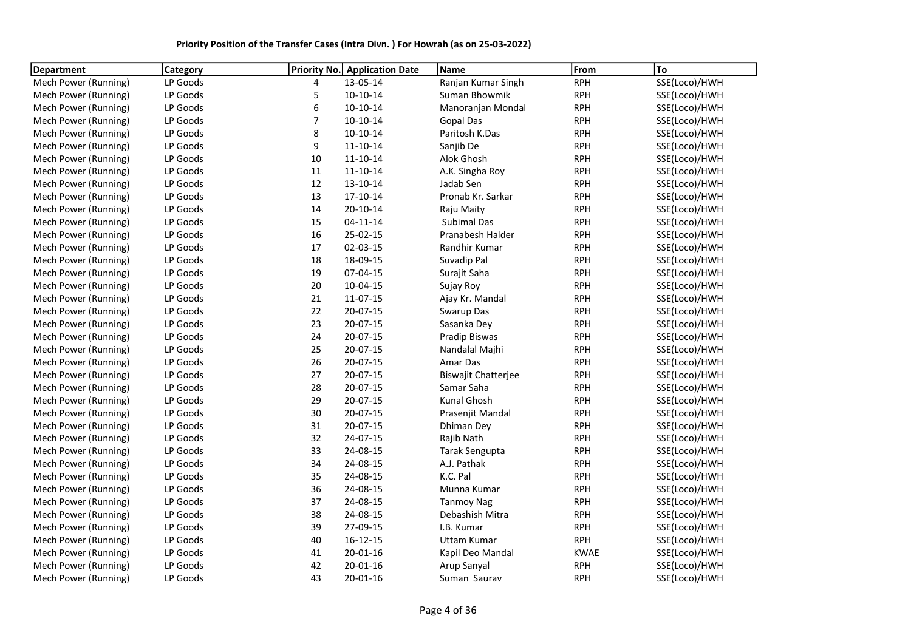| Priority Position of the Transfer Cases (Intra Divn.) For Howrah (as on 25-03-2022) |  |
|-------------------------------------------------------------------------------------|--|
|-------------------------------------------------------------------------------------|--|

| <b>Department</b>    | Category | <b>Priority No.</b> | <b>Application Date</b> | Name                       | From        | To            |
|----------------------|----------|---------------------|-------------------------|----------------------------|-------------|---------------|
| Mech Power (Running) | LP Goods | 4                   | 13-05-14                | Ranjan Kumar Singh         | <b>RPH</b>  | SSE(Loco)/HWH |
| Mech Power (Running) | LP Goods | 5                   | $10-10-14$              | Suman Bhowmik              | <b>RPH</b>  | SSE(Loco)/HWH |
| Mech Power (Running) | LP Goods | 6                   | $10-10-14$              | Manoranjan Mondal          | <b>RPH</b>  | SSE(Loco)/HWH |
| Mech Power (Running) | LP Goods | $\overline{7}$      | $10-10-14$              | <b>Gopal Das</b>           | <b>RPH</b>  | SSE(Loco)/HWH |
| Mech Power (Running) | LP Goods | 8                   | $10-10-14$              | Paritosh K.Das             | <b>RPH</b>  | SSE(Loco)/HWH |
| Mech Power (Running) | LP Goods | 9                   | $11 - 10 - 14$          | Sanjib De                  | <b>RPH</b>  | SSE(Loco)/HWH |
| Mech Power (Running) | LP Goods | 10                  | $11 - 10 - 14$          | Alok Ghosh                 | <b>RPH</b>  | SSE(Loco)/HWH |
| Mech Power (Running) | LP Goods | 11                  | $11 - 10 - 14$          | A.K. Singha Roy            | <b>RPH</b>  | SSE(Loco)/HWH |
| Mech Power (Running) | LP Goods | 12                  | $13 - 10 - 14$          | Jadab Sen                  | <b>RPH</b>  | SSE(Loco)/HWH |
| Mech Power (Running) | LP Goods | 13                  | $17 - 10 - 14$          | Pronab Kr. Sarkar          | <b>RPH</b>  | SSE(Loco)/HWH |
| Mech Power (Running) | LP Goods | 14                  | 20-10-14                | Raju Maity                 | <b>RPH</b>  | SSE(Loco)/HWH |
| Mech Power (Running) | LP Goods | 15                  | $04 - 11 - 14$          | Subimal Das                | <b>RPH</b>  | SSE(Loco)/HWH |
| Mech Power (Running) | LP Goods | 16                  | 25-02-15                | Pranabesh Halder           | <b>RPH</b>  | SSE(Loco)/HWH |
| Mech Power (Running) | LP Goods | 17                  | 02-03-15                | Randhir Kumar              | <b>RPH</b>  | SSE(Loco)/HWH |
| Mech Power (Running) | LP Goods | 18                  | 18-09-15                | Suvadip Pal                | <b>RPH</b>  | SSE(Loco)/HWH |
| Mech Power (Running) | LP Goods | 19                  | 07-04-15                | Surajit Saha               | <b>RPH</b>  | SSE(Loco)/HWH |
| Mech Power (Running) | LP Goods | 20                  | $10-04-15$              | Sujay Roy                  | <b>RPH</b>  | SSE(Loco)/HWH |
| Mech Power (Running) | LP Goods | 21                  | 11-07-15                | Ajay Kr. Mandal            | <b>RPH</b>  | SSE(Loco)/HWH |
| Mech Power (Running) | LP Goods | 22                  | 20-07-15                | Swarup Das                 | <b>RPH</b>  | SSE(Loco)/HWH |
| Mech Power (Running) | LP Goods | 23                  | 20-07-15                | Sasanka Dey                | <b>RPH</b>  | SSE(Loco)/HWH |
| Mech Power (Running) | LP Goods | 24                  | 20-07-15                | Pradip Biswas              | <b>RPH</b>  | SSE(Loco)/HWH |
| Mech Power (Running) | LP Goods | 25                  | 20-07-15                | Nandalal Majhi             | <b>RPH</b>  | SSE(Loco)/HWH |
| Mech Power (Running) | LP Goods | 26                  | 20-07-15                | Amar Das                   | <b>RPH</b>  | SSE(Loco)/HWH |
| Mech Power (Running) | LP Goods | 27                  | 20-07-15                | <b>Biswajit Chatterjee</b> | <b>RPH</b>  | SSE(Loco)/HWH |
| Mech Power (Running) | LP Goods | 28                  | 20-07-15                | Samar Saha                 | <b>RPH</b>  | SSE(Loco)/HWH |
| Mech Power (Running) | LP Goods | 29                  | 20-07-15                | Kunal Ghosh                | <b>RPH</b>  | SSE(Loco)/HWH |
| Mech Power (Running) | LP Goods | 30                  | 20-07-15                | Prasenjit Mandal           | <b>RPH</b>  | SSE(Loco)/HWH |
| Mech Power (Running) | LP Goods | 31                  | 20-07-15                | Dhiman Dey                 | <b>RPH</b>  | SSE(Loco)/HWH |
| Mech Power (Running) | LP Goods | 32                  | 24-07-15                | Rajib Nath                 | <b>RPH</b>  | SSE(Loco)/HWH |
| Mech Power (Running) | LP Goods | 33                  | 24-08-15                | Tarak Sengupta             | <b>RPH</b>  | SSE(Loco)/HWH |
| Mech Power (Running) | LP Goods | 34                  | 24-08-15                | A.J. Pathak                | <b>RPH</b>  | SSE(Loco)/HWH |
| Mech Power (Running) | LP Goods | 35                  | 24-08-15                | K.C. Pal                   | <b>RPH</b>  | SSE(Loco)/HWH |
| Mech Power (Running) | LP Goods | 36                  | 24-08-15                | Munna Kumar                | <b>RPH</b>  | SSE(Loco)/HWH |
| Mech Power (Running) | LP Goods | 37                  | 24-08-15                | <b>Tanmoy Nag</b>          | <b>RPH</b>  | SSE(Loco)/HWH |
| Mech Power (Running) | LP Goods | 38                  | 24-08-15                | Debashish Mitra            | <b>RPH</b>  | SSE(Loco)/HWH |
| Mech Power (Running) | LP Goods | 39                  | 27-09-15                | I.B. Kumar                 | <b>RPH</b>  | SSE(Loco)/HWH |
| Mech Power (Running) | LP Goods | 40                  | $16 - 12 - 15$          | <b>Uttam Kumar</b>         | <b>RPH</b>  | SSE(Loco)/HWH |
| Mech Power (Running) | LP Goods | 41                  | $20 - 01 - 16$          | Kapil Deo Mandal           | <b>KWAE</b> | SSE(Loco)/HWH |
| Mech Power (Running) | LP Goods | 42                  | 20-01-16                | Arup Sanyal                | <b>RPH</b>  | SSE(Loco)/HWH |
| Mech Power (Running) | LP Goods | 43                  | 20-01-16                | Suman Saurav               | <b>RPH</b>  | SSE(Loco)/HWH |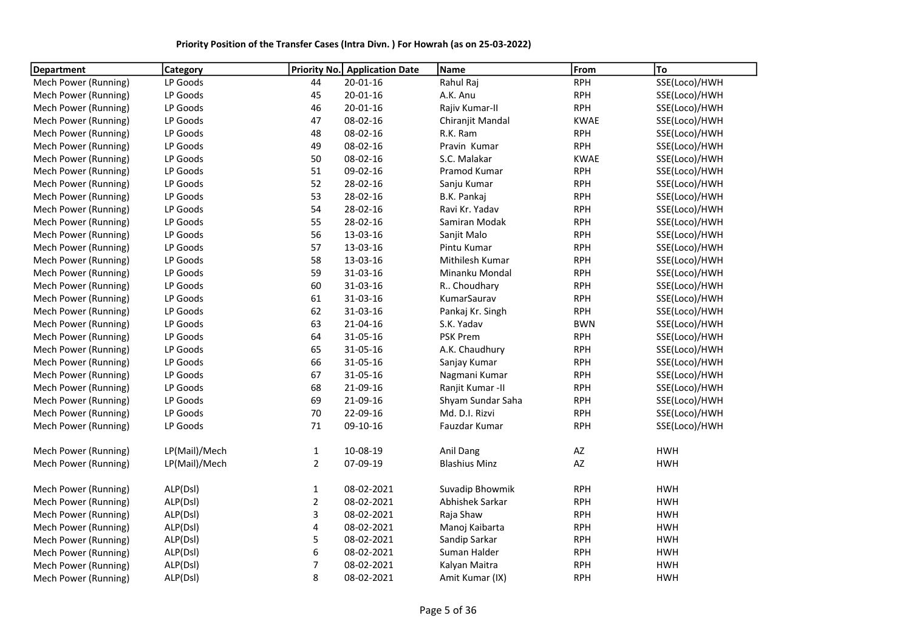| Priority Position of the Transfer Cases (Intra Divn.) For Howrah (as on 25-03-2022) |  |
|-------------------------------------------------------------------------------------|--|
|-------------------------------------------------------------------------------------|--|

| Department           | <b>Category</b> | Priority No.   | <b>Application Date</b> | Name                 | From                   | To            |
|----------------------|-----------------|----------------|-------------------------|----------------------|------------------------|---------------|
| Mech Power (Running) | LP Goods        | 44             | $20 - 01 - 16$          | Rahul Raj            | <b>RPH</b>             | SSE(Loco)/HWH |
| Mech Power (Running) | LP Goods        | 45             | $20 - 01 - 16$          | A.K. Anu             | <b>RPH</b>             | SSE(Loco)/HWH |
| Mech Power (Running) | LP Goods        | 46             | $20 - 01 - 16$          | Rajiv Kumar-II       | <b>RPH</b>             | SSE(Loco)/HWH |
| Mech Power (Running) | LP Goods        | 47             | 08-02-16                | Chiranjit Mandal     | <b>KWAE</b>            | SSE(Loco)/HWH |
| Mech Power (Running) | LP Goods        | 48             | 08-02-16                | R.K. Ram             | <b>RPH</b>             | SSE(Loco)/HWH |
| Mech Power (Running) | LP Goods        | 49             | 08-02-16                | Pravin Kumar         | <b>RPH</b>             | SSE(Loco)/HWH |
| Mech Power (Running) | LP Goods        | 50             | 08-02-16                | S.C. Malakar         | <b>KWAE</b>            | SSE(Loco)/HWH |
| Mech Power (Running) | LP Goods        | 51             | 09-02-16                | Pramod Kumar         | <b>RPH</b>             | SSE(Loco)/HWH |
| Mech Power (Running) | LP Goods        | 52             | 28-02-16                | Sanju Kumar          | <b>RPH</b>             | SSE(Loco)/HWH |
| Mech Power (Running) | LP Goods        | 53             | 28-02-16                | B.K. Pankaj          | <b>RPH</b>             | SSE(Loco)/HWH |
| Mech Power (Running) | LP Goods        | 54             | 28-02-16                | Ravi Kr. Yadav       | <b>RPH</b>             | SSE(Loco)/HWH |
| Mech Power (Running) | LP Goods        | 55             | 28-02-16                | Samiran Modak        | <b>RPH</b>             | SSE(Loco)/HWH |
| Mech Power (Running) | LP Goods        | 56             | 13-03-16                | Sanjit Malo          | <b>RPH</b>             | SSE(Loco)/HWH |
| Mech Power (Running) | LP Goods        | 57             | 13-03-16                | Pintu Kumar          | <b>RPH</b>             | SSE(Loco)/HWH |
| Mech Power (Running) | LP Goods        | 58             | 13-03-16                | Mithilesh Kumar      | <b>RPH</b>             | SSE(Loco)/HWH |
| Mech Power (Running) | LP Goods        | 59             | 31-03-16                | Minanku Mondal       | <b>RPH</b>             | SSE(Loco)/HWH |
| Mech Power (Running) | LP Goods        | 60             | 31-03-16                | R Choudhary          | <b>RPH</b>             | SSE(Loco)/HWH |
| Mech Power (Running) | LP Goods        | 61             | 31-03-16                | KumarSaurav          | <b>RPH</b>             | SSE(Loco)/HWH |
| Mech Power (Running) | LP Goods        | 62             | 31-03-16                | Pankaj Kr. Singh     | <b>RPH</b>             | SSE(Loco)/HWH |
| Mech Power (Running) | LP Goods        | 63             | 21-04-16                | S.K. Yadav           | <b>BWN</b>             | SSE(Loco)/HWH |
| Mech Power (Running) | LP Goods        | 64             | 31-05-16                | PSK Prem             | <b>RPH</b>             | SSE(Loco)/HWH |
| Mech Power (Running) | LP Goods        | 65             | 31-05-16                | A.K. Chaudhury       | <b>RPH</b>             | SSE(Loco)/HWH |
| Mech Power (Running) | LP Goods        | 66             | 31-05-16                | Sanjay Kumar         | <b>RPH</b>             | SSE(Loco)/HWH |
| Mech Power (Running) | LP Goods        | 67             | 31-05-16                | Nagmani Kumar        | <b>RPH</b>             | SSE(Loco)/HWH |
| Mech Power (Running) | LP Goods        | 68             | 21-09-16                | Ranjit Kumar - II    | <b>RPH</b>             | SSE(Loco)/HWH |
| Mech Power (Running) | LP Goods        | 69             | 21-09-16                | Shyam Sundar Saha    | <b>RPH</b>             | SSE(Loco)/HWH |
| Mech Power (Running) | LP Goods        | 70             | 22-09-16                | Md. D.I. Rizvi       | <b>RPH</b>             | SSE(Loco)/HWH |
| Mech Power (Running) | LP Goods        | 71             | 09-10-16                | Fauzdar Kumar        | <b>RPH</b>             | SSE(Loco)/HWH |
| Mech Power (Running) | LP(Mail)/Mech   | $\mathbf{1}$   | 10-08-19                | Anil Dang            | AZ                     | <b>HWH</b>    |
| Mech Power (Running) | LP(Mail)/Mech   | $\overline{2}$ | 07-09-19                | <b>Blashius Minz</b> | $\mathsf{A}\mathsf{Z}$ | <b>HWH</b>    |
| Mech Power (Running) | ALP(Dsl)        | $\mathbf 1$    | 08-02-2021              | Suvadip Bhowmik      | <b>RPH</b>             | <b>HWH</b>    |
| Mech Power (Running) | ALP(Dsl)        | $\overline{2}$ | 08-02-2021              | Abhishek Sarkar      | <b>RPH</b>             | <b>HWH</b>    |
| Mech Power (Running) | ALP(Dsl)        | 3              | 08-02-2021              | Raja Shaw            | <b>RPH</b>             | <b>HWH</b>    |
| Mech Power (Running) | ALP(Dsl)        | 4              | 08-02-2021              | Manoj Kaibarta       | <b>RPH</b>             | <b>HWH</b>    |
| Mech Power (Running) | ALP(Dsl)        | 5              | 08-02-2021              | Sandip Sarkar        | <b>RPH</b>             | <b>HWH</b>    |
| Mech Power (Running) | ALP(Dsl)        | 6              | 08-02-2021              | Suman Halder         | <b>RPH</b>             | <b>HWH</b>    |
| Mech Power (Running) | ALP(Dsl)        | $\overline{7}$ | 08-02-2021              | Kalyan Maitra        | <b>RPH</b>             | <b>HWH</b>    |
| Mech Power (Running) | ALP(Dsl)        | 8              | 08-02-2021              | Amit Kumar (IX)      | <b>RPH</b>             | <b>HWH</b>    |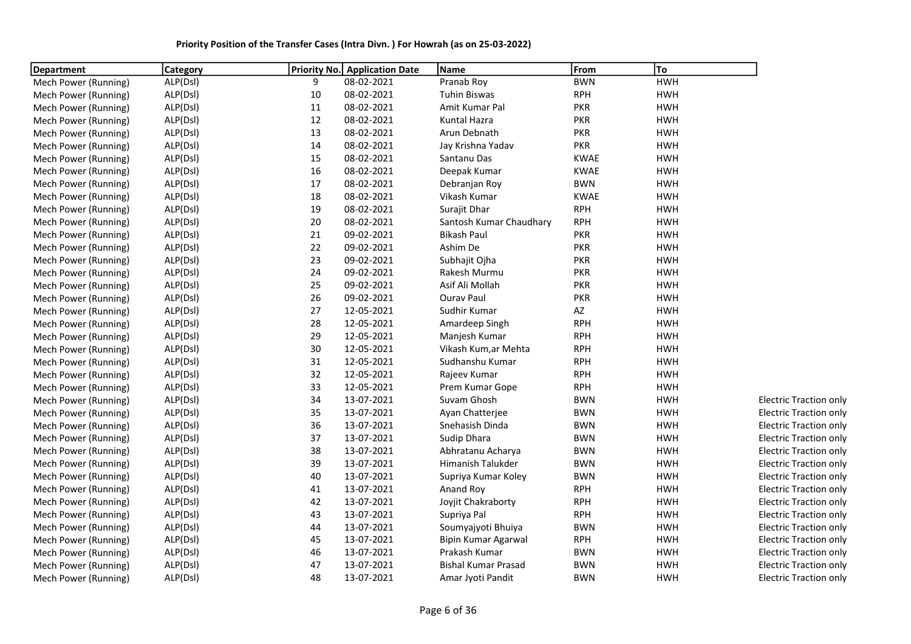| Priority Position of the Transfer Cases (Intra Divn.) For Howrah (as on 25-03-2022) |  |  |  |
|-------------------------------------------------------------------------------------|--|--|--|
|-------------------------------------------------------------------------------------|--|--|--|

| <b>Department</b>    | <b>Category</b> |        | <b>Priority No. Application Date</b> | Name                       | From        | To         |                               |
|----------------------|-----------------|--------|--------------------------------------|----------------------------|-------------|------------|-------------------------------|
| Mech Power (Running) | ALP(Dsl)        | 9      | 08-02-2021                           | Pranab Roy                 | <b>BWN</b>  | <b>HWH</b> |                               |
| Mech Power (Running) | ALP(Dsl)        | 10     | 08-02-2021                           | <b>Tuhin Biswas</b>        | <b>RPH</b>  | <b>HWH</b> |                               |
| Mech Power (Running) | ALP(Dsl)        | 11     | 08-02-2021                           | Amit Kumar Pal             | <b>PKR</b>  | <b>HWH</b> |                               |
| Mech Power (Running) | ALP(Dsl)        | 12     | 08-02-2021                           | Kuntal Hazra               | <b>PKR</b>  | <b>HWH</b> |                               |
| Mech Power (Running) | ALP(Dsl)        | 13     | 08-02-2021                           | Arun Debnath               | <b>PKR</b>  | <b>HWH</b> |                               |
| Mech Power (Running) | ALP(Dsl)        | 14     | 08-02-2021                           | Jay Krishna Yadav          | <b>PKR</b>  | <b>HWH</b> |                               |
| Mech Power (Running) | ALP(Dsl)        | 15     | 08-02-2021                           | Santanu Das                | <b>KWAE</b> | <b>HWH</b> |                               |
| Mech Power (Running) | ALP(Dsl)        | 16     | 08-02-2021                           | Deepak Kumar               | <b>KWAE</b> | <b>HWH</b> |                               |
| Mech Power (Running) | ALP(Dsl)        | $17\,$ | 08-02-2021                           | Debranjan Roy              | <b>BWN</b>  | <b>HWH</b> |                               |
| Mech Power (Running) | ALP(Dsl)        | 18     | 08-02-2021                           | Vikash Kumar               | <b>KWAE</b> | <b>HWH</b> |                               |
| Mech Power (Running) | ALP(Dsl)        | 19     | 08-02-2021                           | Surajit Dhar               | <b>RPH</b>  | <b>HWH</b> |                               |
| Mech Power (Running) | ALP(Dsl)        | 20     | 08-02-2021                           | Santosh Kumar Chaudhary    | <b>RPH</b>  | <b>HWH</b> |                               |
| Mech Power (Running) | ALP(Dsl)        | 21     | 09-02-2021                           | <b>Bikash Paul</b>         | <b>PKR</b>  | <b>HWH</b> |                               |
| Mech Power (Running) | ALP(Dsl)        | 22     | 09-02-2021                           | Ashim De                   | <b>PKR</b>  | <b>HWH</b> |                               |
| Mech Power (Running) | ALP(Dsl)        | 23     | 09-02-2021                           | Subhajit Ojha              | <b>PKR</b>  | <b>HWH</b> |                               |
| Mech Power (Running) | ALP(Dsl)        | 24     | 09-02-2021                           | Rakesh Murmu               | <b>PKR</b>  | <b>HWH</b> |                               |
| Mech Power (Running) | ALP(Dsl)        | 25     | 09-02-2021                           | Asif Ali Mollah            | <b>PKR</b>  | <b>HWH</b> |                               |
| Mech Power (Running) | ALP(Dsl)        | 26     | 09-02-2021                           | <b>Ourav Paul</b>          | <b>PKR</b>  | <b>HWH</b> |                               |
| Mech Power (Running) | ALP(Dsl)        | 27     | 12-05-2021                           | Sudhir Kumar               | AZ          | <b>HWH</b> |                               |
| Mech Power (Running) | ALP(Dsl)        | 28     | 12-05-2021                           | Amardeep Singh             | <b>RPH</b>  | <b>HWH</b> |                               |
| Mech Power (Running) | ALP(Dsl)        | 29     | 12-05-2021                           | Manjesh Kumar              | <b>RPH</b>  | <b>HWH</b> |                               |
| Mech Power (Running) | ALP(Dsl)        | 30     | 12-05-2021                           | Vikash Kum,ar Mehta        | <b>RPH</b>  | <b>HWH</b> |                               |
| Mech Power (Running) | ALP(Dsl)        | 31     | 12-05-2021                           | Sudhanshu Kumar            | <b>RPH</b>  | <b>HWH</b> |                               |
| Mech Power (Running) | ALP(Dsl)        | 32     | 12-05-2021                           | Rajeev Kumar               | <b>RPH</b>  | <b>HWH</b> |                               |
| Mech Power (Running) | ALP(Dsl)        | 33     | 12-05-2021                           | Prem Kumar Gope            | <b>RPH</b>  | <b>HWH</b> |                               |
| Mech Power (Running) | ALP(Dsl)        | 34     | 13-07-2021                           | Suvam Ghosh                | <b>BWN</b>  | <b>HWH</b> | <b>Electric Traction only</b> |
| Mech Power (Running) | ALP(Dsl)        | 35     | 13-07-2021                           | Ayan Chatterjee            | <b>BWN</b>  | <b>HWH</b> | <b>Electric Traction only</b> |
| Mech Power (Running) | ALP(Dsl)        | 36     | 13-07-2021                           | Snehasish Dinda            | <b>BWN</b>  | <b>HWH</b> | <b>Electric Traction only</b> |
| Mech Power (Running) | ALP(Dsl)        | 37     | 13-07-2021                           | Sudip Dhara                | <b>BWN</b>  | <b>HWH</b> | <b>Electric Traction only</b> |
| Mech Power (Running) | ALP(Dsl)        | 38     | 13-07-2021                           | Abhratanu Acharya          | <b>BWN</b>  | <b>HWH</b> | <b>Electric Traction only</b> |
| Mech Power (Running) | ALP(Dsl)        | 39     | 13-07-2021                           | Himanish Talukder          | <b>BWN</b>  | <b>HWH</b> | <b>Electric Traction only</b> |
| Mech Power (Running) | ALP(Dsl)        | 40     | 13-07-2021                           | Supriya Kumar Koley        | <b>BWN</b>  | <b>HWH</b> | <b>Electric Traction only</b> |
| Mech Power (Running) | ALP(Dsl)        | 41     | 13-07-2021                           | Anand Roy                  | <b>RPH</b>  | <b>HWH</b> | <b>Electric Traction only</b> |
| Mech Power (Running) | ALP(Dsl)        | 42     | 13-07-2021                           | Joyjit Chakraborty         | <b>RPH</b>  | <b>HWH</b> | <b>Electric Traction only</b> |
| Mech Power (Running) | ALP(Dsl)        | 43     | 13-07-2021                           | Supriya Pal                | <b>RPH</b>  | <b>HWH</b> | <b>Electric Traction only</b> |
| Mech Power (Running) | ALP(Dsl)        | 44     | 13-07-2021                           | Soumyajyoti Bhuiya         | <b>BWN</b>  | <b>HWH</b> | Electric Traction only        |
| Mech Power (Running) | ALP(Dsl)        | 45     | 13-07-2021                           | <b>Bipin Kumar Agarwal</b> | <b>RPH</b>  | <b>HWH</b> | <b>Electric Traction only</b> |
| Mech Power (Running) | ALP(Dsl)        | 46     | 13-07-2021                           | Prakash Kumar              | <b>BWN</b>  | <b>HWH</b> | <b>Electric Traction only</b> |
| Mech Power (Running) | ALP(Dsl)        | 47     | 13-07-2021                           | <b>Bishal Kumar Prasad</b> | <b>BWN</b>  | <b>HWH</b> | <b>Electric Traction only</b> |
| Mech Power (Running) | ALP(Dsl)        | 48     | 13-07-2021                           | Amar Jyoti Pandit          | <b>BWN</b>  | <b>HWH</b> | Electric Traction only        |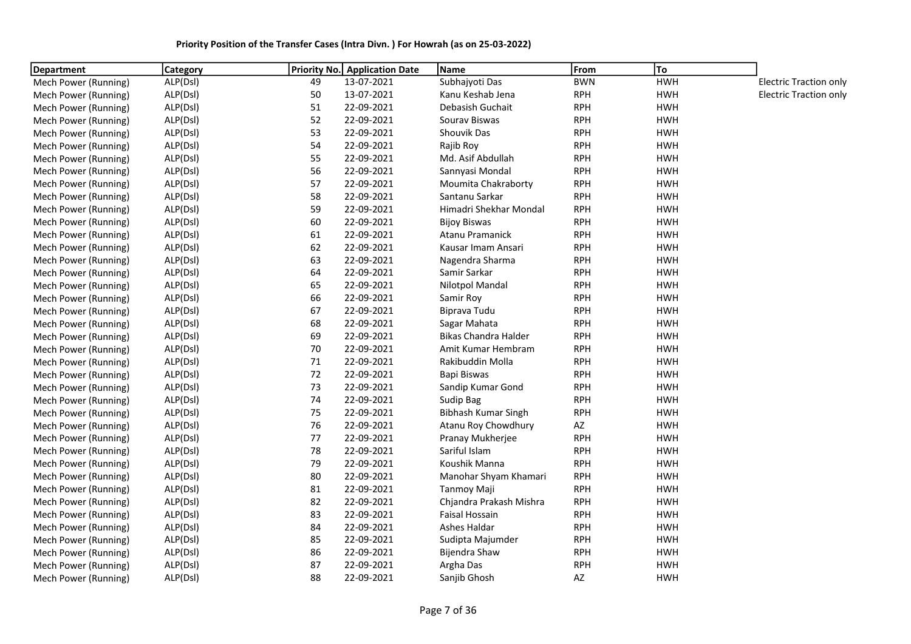| Department           | <b>Category</b> |    | <b>Priority No.</b> Application Date | Name                        | From                   | To         |                               |
|----------------------|-----------------|----|--------------------------------------|-----------------------------|------------------------|------------|-------------------------------|
| Mech Power (Running) | ALP(Dsl)        | 49 | 13-07-2021                           | Subhajyoti Das              | <b>BWN</b>             | <b>HWH</b> | <b>Electric Traction only</b> |
| Mech Power (Running) | ALP(Dsl)        | 50 | 13-07-2021                           | Kanu Keshab Jena            | <b>RPH</b>             | <b>HWH</b> | <b>Electric Traction only</b> |
| Mech Power (Running) | ALP(Dsl)        | 51 | 22-09-2021                           | Debasish Guchait            | <b>RPH</b>             | <b>HWH</b> |                               |
| Mech Power (Running) | ALP(Dsl)        | 52 | 22-09-2021                           | Sourav Biswas               | <b>RPH</b>             | <b>HWH</b> |                               |
| Mech Power (Running) | ALP(Dsl)        | 53 | 22-09-2021                           | Shouvik Das                 | <b>RPH</b>             | <b>HWH</b> |                               |
| Mech Power (Running) | ALP(Dsl)        | 54 | 22-09-2021                           | Rajib Roy                   | <b>RPH</b>             | <b>HWH</b> |                               |
| Mech Power (Running) | ALP(Dsl)        | 55 | 22-09-2021                           | Md. Asif Abdullah           | <b>RPH</b>             | <b>HWH</b> |                               |
| Mech Power (Running) | ALP(Dsl)        | 56 | 22-09-2021                           | Sannyasi Mondal             | <b>RPH</b>             | <b>HWH</b> |                               |
| Mech Power (Running) | ALP(Dsl)        | 57 | 22-09-2021                           | Moumita Chakraborty         | <b>RPH</b>             | <b>HWH</b> |                               |
| Mech Power (Running) | ALP(Dsl)        | 58 | 22-09-2021                           | Santanu Sarkar              | <b>RPH</b>             | <b>HWH</b> |                               |
| Mech Power (Running) | ALP(Dsl)        | 59 | 22-09-2021                           | Himadri Shekhar Mondal      | <b>RPH</b>             | HWH        |                               |
| Mech Power (Running) | ALP(Dsl)        | 60 | 22-09-2021                           | <b>Bijoy Biswas</b>         | <b>RPH</b>             | <b>HWH</b> |                               |
| Mech Power (Running) | ALP(Dsl)        | 61 | 22-09-2021                           | <b>Atanu Pramanick</b>      | <b>RPH</b>             | <b>HWH</b> |                               |
| Mech Power (Running) | ALP(Dsl)        | 62 | 22-09-2021                           | Kausar Imam Ansari          | <b>RPH</b>             | HWH        |                               |
| Mech Power (Running) | ALP(Dsl)        | 63 | 22-09-2021                           | Nagendra Sharma             | <b>RPH</b>             | <b>HWH</b> |                               |
| Mech Power (Running) | ALP(Dsl)        | 64 | 22-09-2021                           | Samir Sarkar                | <b>RPH</b>             | HWH        |                               |
| Mech Power (Running) | ALP(Dsl)        | 65 | 22-09-2021                           | <b>Nilotpol Mandal</b>      | <b>RPH</b>             | <b>HWH</b> |                               |
| Mech Power (Running) | ALP(Dsl)        | 66 | 22-09-2021                           | Samir Roy                   | <b>RPH</b>             | <b>HWH</b> |                               |
| Mech Power (Running) | ALP(Dsl)        | 67 | 22-09-2021                           | Biprava Tudu                | <b>RPH</b>             | <b>HWH</b> |                               |
| Mech Power (Running) | ALP(Dsl)        | 68 | 22-09-2021                           | Sagar Mahata                | <b>RPH</b>             | <b>HWH</b> |                               |
| Mech Power (Running) | ALP(Dsl)        | 69 | 22-09-2021                           | <b>Bikas Chandra Halder</b> | <b>RPH</b>             | <b>HWH</b> |                               |
| Mech Power (Running) | ALP(Dsl)        | 70 | 22-09-2021                           | Amit Kumar Hembram          | <b>RPH</b>             | <b>HWH</b> |                               |
| Mech Power (Running) | ALP(Dsl)        | 71 | 22-09-2021                           | Rakibuddin Molla            | <b>RPH</b>             | <b>HWH</b> |                               |
| Mech Power (Running) | ALP(Dsl)        | 72 | 22-09-2021                           | Bapi Biswas                 | <b>RPH</b>             | <b>HWH</b> |                               |
| Mech Power (Running) | ALP(Dsl)        | 73 | 22-09-2021                           | Sandip Kumar Gond           | <b>RPH</b>             | <b>HWH</b> |                               |
| Mech Power (Running) | ALP(Dsl)        | 74 | 22-09-2021                           | Sudip Bag                   | <b>RPH</b>             | <b>HWH</b> |                               |
| Mech Power (Running) | ALP(Dsl)        | 75 | 22-09-2021                           | Bibhash Kumar Singh         | <b>RPH</b>             | <b>HWH</b> |                               |
| Mech Power (Running) | ALP(Dsl)        | 76 | 22-09-2021                           | Atanu Roy Chowdhury         | $\mathsf{A}\mathsf{Z}$ | <b>HWH</b> |                               |
| Mech Power (Running) | ALP(Dsl)        | 77 | 22-09-2021                           | Pranay Mukherjee            | <b>RPH</b>             | <b>HWH</b> |                               |
| Mech Power (Running) | ALP(Dsl)        | 78 | 22-09-2021                           | Sariful Islam               | <b>RPH</b>             | <b>HWH</b> |                               |
| Mech Power (Running) | ALP(Dsl)        | 79 | 22-09-2021                           | Koushik Manna               | <b>RPH</b>             | <b>HWH</b> |                               |
| Mech Power (Running) | ALP(Dsl)        | 80 | 22-09-2021                           | Manohar Shyam Khamari       | <b>RPH</b>             | HWH        |                               |
| Mech Power (Running) | ALP(Dsl)        | 81 | 22-09-2021                           | Tanmoy Maji                 | <b>RPH</b>             | <b>HWH</b> |                               |
| Mech Power (Running) | ALP(Dsl)        | 82 | 22-09-2021                           | Chjandra Prakash Mishra     | <b>RPH</b>             | <b>HWH</b> |                               |
| Mech Power (Running) | ALP(Dsl)        | 83 | 22-09-2021                           | <b>Faisal Hossain</b>       | <b>RPH</b>             | <b>HWH</b> |                               |
| Mech Power (Running) | ALP(Dsl)        | 84 | 22-09-2021                           | Ashes Haldar                | <b>RPH</b>             | <b>HWH</b> |                               |
| Mech Power (Running) | ALP(Dsl)        | 85 | 22-09-2021                           | Sudipta Majumder            | <b>RPH</b>             | <b>HWH</b> |                               |
| Mech Power (Running) | ALP(Dsl)        | 86 | 22-09-2021                           | Bijendra Shaw               | <b>RPH</b>             | <b>HWH</b> |                               |
| Mech Power (Running) | ALP(Dsl)        | 87 | 22-09-2021                           | Argha Das                   | <b>RPH</b>             | <b>HWH</b> |                               |
| Mech Power (Running) | ALP(Dsl)        | 88 | 22-09-2021                           | Sanjib Ghosh                | AZ                     | <b>HWH</b> |                               |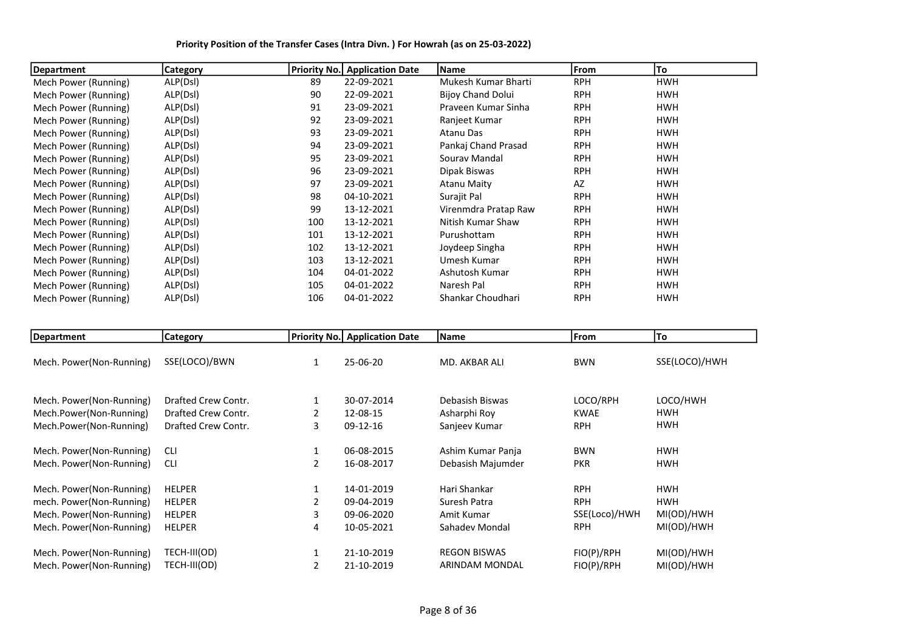| Department           | Category | <b>Priority No.</b> | <b>Application Date</b> | Name                     | <b>IFrom</b> | To         |
|----------------------|----------|---------------------|-------------------------|--------------------------|--------------|------------|
| Mech Power (Running) | ALP(Dsl) | 89                  | 22-09-2021              | Mukesh Kumar Bharti      | <b>RPH</b>   | HWH        |
| Mech Power (Running) | ALP(Dsl) | 90                  | 22-09-2021              | <b>Bijoy Chand Dolui</b> | <b>RPH</b>   | <b>HWH</b> |
| Mech Power (Running) | ALP(Dsl) | 91                  | 23-09-2021              | Praveen Kumar Sinha      | <b>RPH</b>   | <b>HWH</b> |
| Mech Power (Running) | ALP(Dsl) | 92                  | 23-09-2021              | Ranjeet Kumar            | <b>RPH</b>   | <b>HWH</b> |
| Mech Power (Running) | ALP(Dsl) | 93                  | 23-09-2021              | Atanu Das                | <b>RPH</b>   | <b>HWH</b> |
| Mech Power (Running) | ALP(Dsl) | 94                  | 23-09-2021              | Pankaj Chand Prasad      | <b>RPH</b>   | <b>HWH</b> |
| Mech Power (Running) | ALP(Dsl) | 95                  | 23-09-2021              | Souray Mandal            | <b>RPH</b>   | <b>HWH</b> |
| Mech Power (Running) | ALP(Dsl) | 96                  | 23-09-2021              | Dipak Biswas             | <b>RPH</b>   | <b>HWH</b> |
| Mech Power (Running) | ALP(Dsl) | 97                  | 23-09-2021              | <b>Atanu Maity</b>       | AZ           | <b>HWH</b> |
| Mech Power (Running) | ALP(Dsl) | 98                  | 04-10-2021              | Surajit Pal              | <b>RPH</b>   | <b>HWH</b> |
| Mech Power (Running) | ALP(Dsl) | 99                  | 13-12-2021              | Virenmdra Pratap Raw     | <b>RPH</b>   | <b>HWH</b> |
| Mech Power (Running) | ALP(Dsl) | 100                 | 13-12-2021              | Nitish Kumar Shaw        | <b>RPH</b>   | <b>HWH</b> |
| Mech Power (Running) | ALP(Dsl) | 101                 | 13-12-2021              | Purushottam              | <b>RPH</b>   | <b>HWH</b> |
| Mech Power (Running) | ALP(Dsl) | 102                 | 13-12-2021              | Joydeep Singha           | <b>RPH</b>   | <b>HWH</b> |
| Mech Power (Running) | ALP(Dsl) | 103                 | 13-12-2021              | Umesh Kumar              | <b>RPH</b>   | <b>HWH</b> |
| Mech Power (Running) | ALP(Dsl) | 104                 | 04-01-2022              | Ashutosh Kumar           | <b>RPH</b>   | HWH        |
| Mech Power (Running) | ALP(Dsl) | 105                 | 04-01-2022              | Naresh Pal               | <b>RPH</b>   | HWH        |
| Mech Power (Running) | ALP(Dsl) | 106                 | 04-01-2022              | Shankar Choudhari        | <b>RPH</b>   | <b>HWH</b> |

Priority Position of the Transfer Cases (Intra Divn. ) For Howrah (as on 25-03-2022)

| Department               | <b>Category</b>     |   | <b>Priority No.</b> Application Date | Name                  | From          | To            |
|--------------------------|---------------------|---|--------------------------------------|-----------------------|---------------|---------------|
| Mech. Power(Non-Running) | SSE(LOCO)/BWN       | 1 | 25-06-20                             | MD. AKBAR ALI         | <b>BWN</b>    | SSE(LOCO)/HWH |
| Mech. Power(Non-Running) | Drafted Crew Contr. | 1 | 30-07-2014                           | Debasish Biswas       | LOCO/RPH      | LOCO/HWH      |
| Mech.Power(Non-Running)  | Drafted Crew Contr. |   | 12-08-15                             | Asharphi Roy          | <b>KWAE</b>   | HWH           |
| Mech.Power(Non-Running)  | Drafted Crew Contr. | 3 | 09-12-16                             | Sanjeev Kumar         | <b>RPH</b>    | <b>HWH</b>    |
| Mech. Power(Non-Running) | <b>CLI</b>          | 1 | 06-08-2015                           | Ashim Kumar Panja     | <b>BWN</b>    | <b>HWH</b>    |
| Mech. Power(Non-Running) | <b>CLI</b>          | 2 | 16-08-2017                           | Debasish Majumder     | <b>PKR</b>    | HWH           |
| Mech. Power(Non-Running) | <b>HELPER</b>       | 1 | 14-01-2019                           | Hari Shankar          | <b>RPH</b>    | <b>HWH</b>    |
| mech. Power(Non-Running) | <b>HELPER</b>       |   | 09-04-2019                           | Suresh Patra          | <b>RPH</b>    | <b>HWH</b>    |
| Mech. Power(Non-Running) | <b>HELPER</b>       | 3 | 09-06-2020                           | Amit Kumar            | SSE(Loco)/HWH | MI(OD)/HWH    |
| Mech. Power(Non-Running) | <b>HELPER</b>       | 4 | 10-05-2021                           | Sahadev Mondal        | <b>RPH</b>    | MI(OD)/HWH    |
| Mech. Power(Non-Running) | TECH-III(OD)        |   | 21-10-2019                           | <b>REGON BISWAS</b>   | FIO(P)/RPH    | MI(OD)/HWH    |
| Mech. Power(Non-Running) | TECH-III(OD)        |   | 21-10-2019                           | <b>ARINDAM MONDAL</b> | FIO(P)/RPH    | MI(OD)/HWH    |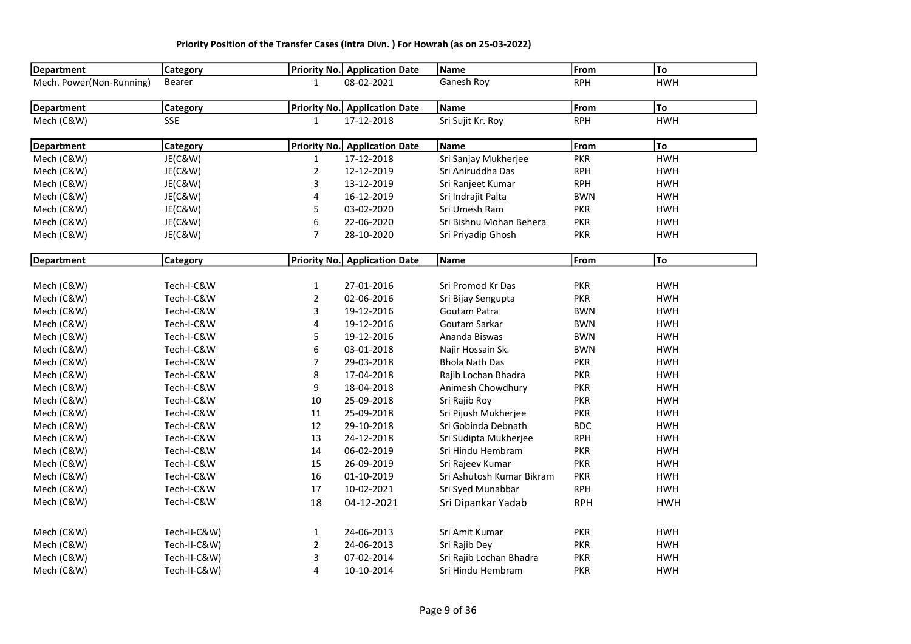| Department               | <b>Category</b> |                | <b>Priority No.</b> Application Date | <b>Name</b>               | From       | To         |
|--------------------------|-----------------|----------------|--------------------------------------|---------------------------|------------|------------|
| Mech. Power(Non-Running) | Bearer          | 1              | 08-02-2021                           | Ganesh Roy                | <b>RPH</b> | <b>HWH</b> |
| <b>Department</b>        | <b>Category</b> |                | <b>Priority No.</b> Application Date | <b>Name</b>               | From       | To         |
| Mech (C&W)               | <b>SSE</b>      | $\mathbf{1}$   | 17-12-2018                           | Sri Sujit Kr. Roy         | <b>RPH</b> | <b>HWH</b> |
| <b>Department</b>        | Category        | Priority No.   | <b>Application Date</b>              | Name                      | From       | To         |
| Mech (C&W)               | JE(C&W)         | $\mathbf{1}$   | 17-12-2018                           | Sri Sanjay Mukherjee      | <b>PKR</b> | <b>HWH</b> |
| Mech (C&W)               | JE(C&W)         | $\overline{2}$ | 12-12-2019                           | Sri Aniruddha Das         | <b>RPH</b> | <b>HWH</b> |
| Mech (C&W)               | JE(C&W)         | 3              | 13-12-2019                           | Sri Ranjeet Kumar         | <b>RPH</b> | <b>HWH</b> |
| Mech (C&W)               | JE(C&W)         | 4              | 16-12-2019                           | Sri Indrajit Palta        | <b>BWN</b> | <b>HWH</b> |
| Mech (C&W)               | JE(C&W)         | 5              | 03-02-2020                           | Sri Umesh Ram             | <b>PKR</b> | <b>HWH</b> |
| Mech (C&W)               | JE(C&W)         | 6              | 22-06-2020                           | Sri Bishnu Mohan Behera   | <b>PKR</b> | <b>HWH</b> |
| Mech (C&W)               | JE(C&W)         | $\overline{7}$ | 28-10-2020                           | Sri Priyadip Ghosh        | <b>PKR</b> | <b>HWH</b> |
| <b>Department</b>        | Category        |                | <b>Priority No.</b> Application Date | <b>Name</b>               | From       | To         |
|                          |                 |                |                                      |                           |            |            |
| Mech (C&W)               | Tech-I-C&W      | $\mathbf{1}$   | 27-01-2016                           | Sri Promod Kr Das         | <b>PKR</b> | <b>HWH</b> |
| Mech (C&W)               | Tech-I-C&W      | $\overline{2}$ | 02-06-2016                           | Sri Bijay Sengupta        | <b>PKR</b> | <b>HWH</b> |
| Mech (C&W)               | Tech-I-C&W      | 3              | 19-12-2016                           | Goutam Patra              | <b>BWN</b> | <b>HWH</b> |
| Mech (C&W)               | Tech-I-C&W      | 4              | 19-12-2016                           | Goutam Sarkar             | <b>BWN</b> | <b>HWH</b> |
| Mech (C&W)               | Tech-I-C&W      | 5              | 19-12-2016                           | Ananda Biswas             | <b>BWN</b> | <b>HWH</b> |
| Mech (C&W)               | Tech-I-C&W      | 6              | 03-01-2018                           | Najir Hossain Sk.         | <b>BWN</b> | <b>HWH</b> |
| Mech (C&W)               | Tech-I-C&W      | $\overline{7}$ | 29-03-2018                           | <b>Bhola Nath Das</b>     | <b>PKR</b> | <b>HWH</b> |
| Mech (C&W)               | Tech-I-C&W      | 8              | 17-04-2018                           | Rajib Lochan Bhadra       | <b>PKR</b> | <b>HWH</b> |
| Mech (C&W)               | Tech-I-C&W      | 9              | 18-04-2018                           | Animesh Chowdhury         | <b>PKR</b> | <b>HWH</b> |
| Mech (C&W)               | Tech-I-C&W      | 10             | 25-09-2018                           | Sri Rajib Roy             | <b>PKR</b> | <b>HWH</b> |
| Mech (C&W)               | Tech-I-C&W      | 11             | 25-09-2018                           | Sri Pijush Mukherjee      | <b>PKR</b> | <b>HWH</b> |
| Mech (C&W)               | Tech-I-C&W      | 12             | 29-10-2018                           | Sri Gobinda Debnath       | <b>BDC</b> | <b>HWH</b> |
| Mech (C&W)               | Tech-I-C&W      | 13             | 24-12-2018                           | Sri Sudipta Mukherjee     | <b>RPH</b> | <b>HWH</b> |
| Mech (C&W)               | Tech-I-C&W      | 14             | 06-02-2019                           | Sri Hindu Hembram         | <b>PKR</b> | <b>HWH</b> |
| Mech (C&W)               | Tech-I-C&W      | 15             | 26-09-2019                           | Sri Rajeev Kumar          | <b>PKR</b> | <b>HWH</b> |
| Mech (C&W)               | Tech-I-C&W      | 16             | 01-10-2019                           | Sri Ashutosh Kumar Bikram | <b>PKR</b> | <b>HWH</b> |
| Mech (C&W)               | Tech-I-C&W      | 17             | 10-02-2021                           | Sri Syed Munabbar         | <b>RPH</b> | <b>HWH</b> |
| Mech (C&W)               | Tech-I-C&W      | 18             | 04-12-2021                           | Sri Dipankar Yadab        | <b>RPH</b> | <b>HWH</b> |
| Mech (C&W)               | Tech-II-C&W)    | $\mathbf{1}$   | 24-06-2013                           | Sri Amit Kumar            | <b>PKR</b> | <b>HWH</b> |
| Mech (C&W)               | Tech-II-C&W)    | $\overline{2}$ | 24-06-2013                           | Sri Rajib Dey             | <b>PKR</b> | <b>HWH</b> |
| Mech (C&W)               | Tech-II-C&W)    | 3              | 07-02-2014                           | Sri Rajib Lochan Bhadra   | <b>PKR</b> | <b>HWH</b> |
| Mech (C&W)               | Tech-II-C&W)    | 4              | 10-10-2014                           | Sri Hindu Hembram         | <b>PKR</b> | <b>HWH</b> |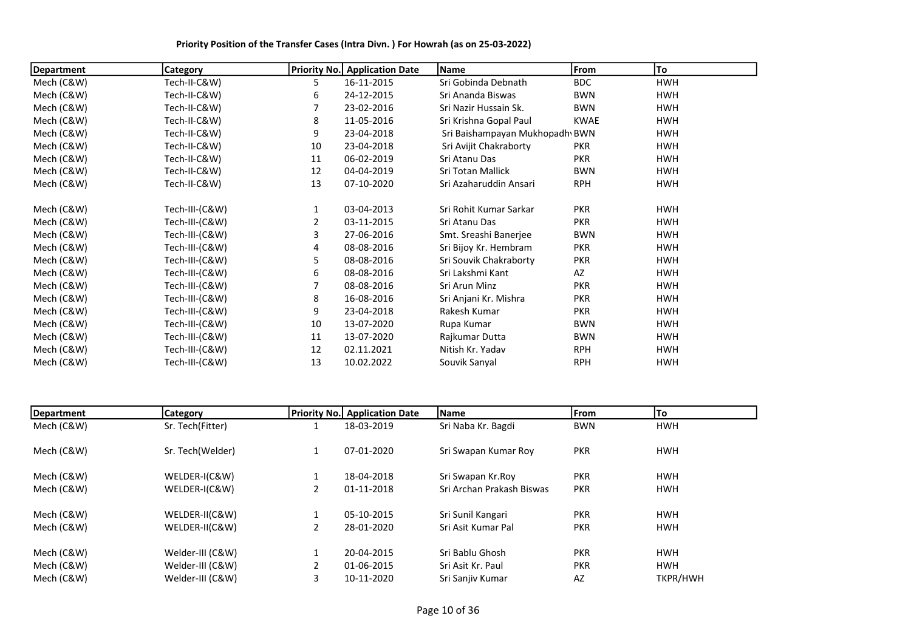| Department | <b>Category</b> |    | <b>Priority No.</b> Application Date | Name                           | From        | To         |
|------------|-----------------|----|--------------------------------------|--------------------------------|-------------|------------|
| Mech (C&W) | Tech-II-C&W)    | 5. | 16-11-2015                           | Sri Gobinda Debnath            | <b>BDC</b>  | <b>HWH</b> |
| Mech (C&W) | Tech-II-C&W)    | 6  | 24-12-2015                           | Sri Ananda Biswas              | <b>BWN</b>  | <b>HWH</b> |
| Mech (C&W) | Tech-II-C&W)    |    | 23-02-2016                           | Sri Nazir Hussain Sk.          | <b>BWN</b>  | <b>HWH</b> |
| Mech (C&W) | Tech-II-C&W)    | 8  | 11-05-2016                           | Sri Krishna Gopal Paul         | <b>KWAE</b> | <b>HWH</b> |
| Mech (C&W) | Tech-II-C&W)    | 9  | 23-04-2018                           | Sri Baishampayan Mukhopadh BWN |             | <b>HWH</b> |
| Mech (C&W) | Tech-II-C&W)    | 10 | 23-04-2018                           | Sri Avijit Chakraborty         | <b>PKR</b>  | <b>HWH</b> |
| Mech (C&W) | Tech-II-C&W)    | 11 | 06-02-2019                           | Sri Atanu Das                  | <b>PKR</b>  | <b>HWH</b> |
| Mech (C&W) | Tech-II-C&W)    | 12 | 04-04-2019                           | Sri Totan Mallick              | <b>BWN</b>  | <b>HWH</b> |
| Mech (C&W) | Tech-II-C&W)    | 13 | 07-10-2020                           | Sri Azaharuddin Ansari         | <b>RPH</b>  | <b>HWH</b> |
| Mech (C&W) | Tech-III-(C&W)  | 1  | 03-04-2013                           | Sri Rohit Kumar Sarkar         | <b>PKR</b>  | HWH        |
| Mech (C&W) | Tech-III-(C&W)  |    | 03-11-2015                           | Sri Atanu Das                  | <b>PKR</b>  | <b>HWH</b> |
| Mech (C&W) | Tech-III-(C&W)  | 3  | 27-06-2016                           | Smt. Sreashi Banerjee          | <b>BWN</b>  | <b>HWH</b> |
| Mech (C&W) | Tech-III-(C&W)  | 4  | 08-08-2016                           | Sri Bijoy Kr. Hembram          | <b>PKR</b>  | <b>HWH</b> |
| Mech (C&W) | Tech-III-(C&W)  | 5  | 08-08-2016                           | Sri Souvik Chakraborty         | <b>PKR</b>  | <b>HWH</b> |
| Mech (C&W) | Tech-III-(C&W)  | 6  | 08-08-2016                           | Sri Lakshmi Kant               | AZ          | <b>HWH</b> |
| Mech (C&W) | Tech-III-(C&W)  |    | 08-08-2016                           | Sri Arun Minz                  | <b>PKR</b>  | <b>HWH</b> |
| Mech (C&W) | Tech-III-(C&W)  | 8  | 16-08-2016                           | Sri Anjani Kr. Mishra          | <b>PKR</b>  | <b>HWH</b> |
| Mech (C&W) | Tech-III-(C&W)  | 9  | 23-04-2018                           | Rakesh Kumar                   | <b>PKR</b>  | <b>HWH</b> |
| Mech (C&W) | Tech-III-(C&W)  | 10 | 13-07-2020                           | Rupa Kumar                     | <b>BWN</b>  | <b>HWH</b> |
| Mech (C&W) | Tech-III-(C&W)  | 11 | 13-07-2020                           | Rajkumar Dutta                 | <b>BWN</b>  | <b>HWH</b> |
| Mech (C&W) | Tech-III-(C&W)  | 12 | 02.11.2021                           | Nitish Kr. Yadav               | <b>RPH</b>  | <b>HWH</b> |
| Mech (C&W) | Tech-III-(C&W)  | 13 | 10.02.2022                           | Souvik Sanyal                  | <b>RPH</b>  | <b>HWH</b> |

| Department | <b>Category</b>  |   | <b>Priority No. Application Date</b> | Name                      | From       | To         |  |
|------------|------------------|---|--------------------------------------|---------------------------|------------|------------|--|
| Mech (C&W) | Sr. Tech(Fitter) |   | 18-03-2019                           | Sri Naba Kr. Bagdi        | <b>BWN</b> | <b>HWH</b> |  |
| Mech (C&W) | Sr. Tech(Welder) |   | 07-01-2020                           | Sri Swapan Kumar Roy      | <b>PKR</b> | <b>HWH</b> |  |
| Mech (C&W) | WELDER-I(C&W)    |   | 18-04-2018                           | Sri Swapan Kr.Roy         | <b>PKR</b> | <b>HWH</b> |  |
| Mech (C&W) | WELDER-I(C&W)    | 2 | 01-11-2018                           | Sri Archan Prakash Biswas | <b>PKR</b> | <b>HWH</b> |  |
| Mech (C&W) | WELDER-II(C&W)   |   | 05-10-2015                           | Sri Sunil Kangari         | <b>PKR</b> | <b>HWH</b> |  |
| Mech (C&W) | WELDER-II(C&W)   | 2 | 28-01-2020                           | Sri Asit Kumar Pal        | <b>PKR</b> | <b>HWH</b> |  |
| Mech (C&W) | Welder-III (C&W) |   | 20-04-2015                           | Sri Bablu Ghosh           | <b>PKR</b> | <b>HWH</b> |  |
| Mech (C&W) | Welder-III (C&W) |   | 01-06-2015                           | Sri Asit Kr. Paul         | <b>PKR</b> | <b>HWH</b> |  |
| Mech (C&W) | Welder-III (C&W) |   | 10-11-2020                           | Sri Sanjiv Kumar          | AZ         | TKPR/HWH   |  |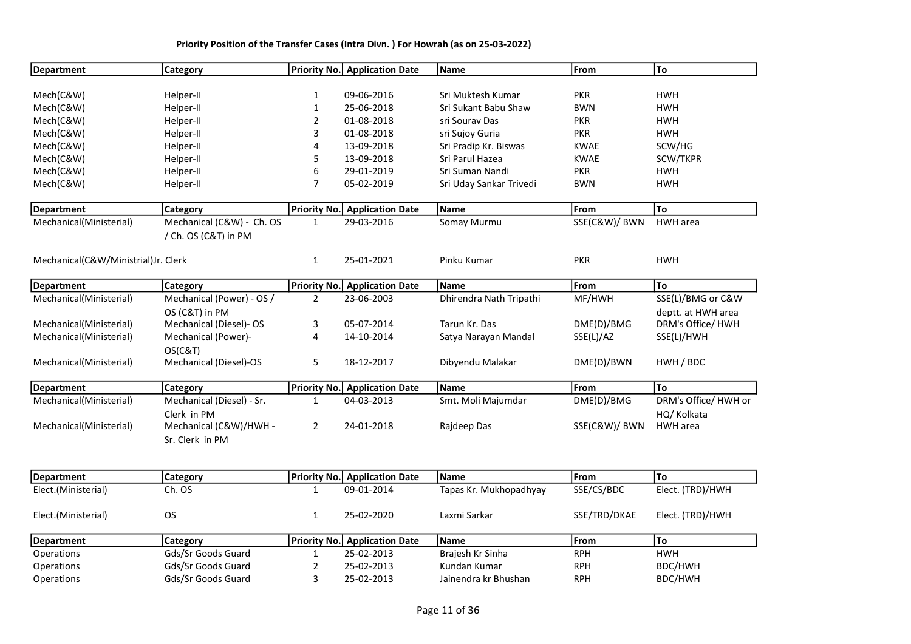| <b>Department</b>                   | Category                  |                     | <b>Priority No.</b> Application Date | Name                    | From          | To                   |
|-------------------------------------|---------------------------|---------------------|--------------------------------------|-------------------------|---------------|----------------------|
|                                     |                           |                     |                                      |                         |               |                      |
| Mech(C&W)                           | Helper-II                 | $\mathbf{1}$        | 09-06-2016                           | Sri Muktesh Kumar       | <b>PKR</b>    | <b>HWH</b>           |
| Mech(C&W)                           | Helper-II                 | 1                   | 25-06-2018                           | Sri Sukant Babu Shaw    | <b>BWN</b>    | <b>HWH</b>           |
| Mech(C&W)                           | Helper-II                 | 2                   | 01-08-2018                           | sri Sourav Das          | <b>PKR</b>    | <b>HWH</b>           |
| Mech(C&W)                           | Helper-II                 | 3                   | 01-08-2018                           | sri Sujoy Guria         | <b>PKR</b>    | <b>HWH</b>           |
| Mech(C&W)                           | Helper-II                 | 4                   | 13-09-2018                           | Sri Pradip Kr. Biswas   | <b>KWAE</b>   | SCW/HG               |
| Mech(C&W)                           | Helper-II                 | 5                   | 13-09-2018                           | Sri Parul Hazea         | <b>KWAE</b>   | SCW/TKPR             |
| Mech(C&W)                           | Helper-II                 | 6                   | 29-01-2019                           | Sri Suman Nandi         | <b>PKR</b>    | <b>HWH</b>           |
| Mech(C&W)                           | Helper-II                 | 7                   | 05-02-2019                           | Sri Uday Sankar Trivedi | <b>BWN</b>    | <b>HWH</b>           |
| <b>Department</b>                   | Category                  | Priority No.        | <b>Application Date</b>              | Name                    | From          | To                   |
| Mechanical(Ministerial)             | Mechanical (C&W) - Ch. OS | $\mathbf{1}$        | 29-03-2016                           | Somay Murmu             | SSE(C&W)/ BWN | HWH area             |
|                                     | / Ch. OS (C&T) in PM      |                     |                                      |                         |               |                      |
| Mechanical(C&W/Ministrial)Jr. Clerk |                           | $\mathbf{1}$        | 25-01-2021                           | Pinku Kumar             | <b>PKR</b>    | <b>HWH</b>           |
| Department                          | <b>Category</b>           | <b>Priority No.</b> | <b>Application Date</b>              | Name                    | From          | To                   |
| Mechanical(Ministerial)             | Mechanical (Power) - OS / | $\overline{2}$      | 23-06-2003                           | Dhirendra Nath Tripathi | MF/HWH        | SSE(L)/BMG or C&W    |
|                                     | OS (C&T) in PM            |                     |                                      |                         |               | deptt. at HWH area   |
| Mechanical(Ministerial)             | Mechanical (Diesel)- OS   | 3                   | 05-07-2014                           | Tarun Kr. Das           | DME(D)/BMG    | DRM's Office/ HWH    |
| Mechanical(Ministerial)             | Mechanical (Power)-       | 4                   | 14-10-2014                           | Satya Narayan Mandal    | SSE(L)/AZ     | SSE(L)/HWH           |
|                                     | OS(C&T)                   |                     |                                      |                         |               |                      |
| Mechanical(Ministerial)             | Mechanical (Diesel)-OS    | 5                   | 18-12-2017                           | Dibyendu Malakar        | DME(D)/BWN    | HWH / BDC            |
| <b>Department</b>                   | <b>Category</b>           |                     | <b>Priority No.</b> Application Date | Name                    | From          | To                   |
| Mechanical(Ministerial)             | Mechanical (Diesel) - Sr. | $\mathbf{1}$        | 04-03-2013                           | Smt. Moli Majumdar      | DME(D)/BMG    | DRM's Office/ HWH or |
|                                     | Clerk in PM               |                     |                                      |                         |               | HQ/ Kolkata          |
| Mechanical(Ministerial)             | Mechanical (C&W)/HWH -    | $\overline{2}$      | 24-01-2018                           | Rajdeep Das             | SSE(C&W)/ BWN | <b>HWH</b> area      |
|                                     | Sr. Clerk in PM           |                     |                                      |                         |               |                      |
|                                     |                           |                     |                                      |                         |               |                      |
| <b>Department</b>                   | <b>Category</b>           | <b>Priority No.</b> | <b>Application Date</b>              | Name                    | From          | To                   |
| Elect.(Ministerial)                 | Ch. OS                    | $\mathbf{1}$        | 09-01-2014                           | Tapas Kr. Mukhopadhyay  | SSE/CS/BDC    | Elect. (TRD)/HWH     |
| Elect.(Ministerial)                 | <b>OS</b>                 | 1                   | 25-02-2020                           | Laxmi Sarkar            | SSE/TRD/DKAE  | Elect. (TRD)/HWH     |
| <b>Department</b>                   | <b>Category</b>           | <b>Priority No.</b> | <b>Application Date</b>              | Name                    | From          | To                   |
| Operations                          | Gds/Sr Goods Guard        | $\mathbf{1}$        | 25-02-2013                           | Brajesh Kr Sinha        | <b>RPH</b>    | <b>HWH</b>           |
| Operations                          | Gds/Sr Goods Guard        | $\overline{2}$      | 25-02-2013                           | Kundan Kumar            | <b>RPH</b>    | BDC/HWH              |
| Operations                          | Gds/Sr Goods Guard        | 3                   | 25-02-2013                           | Jainendra kr Bhushan    | <b>RPH</b>    | BDC/HWH              |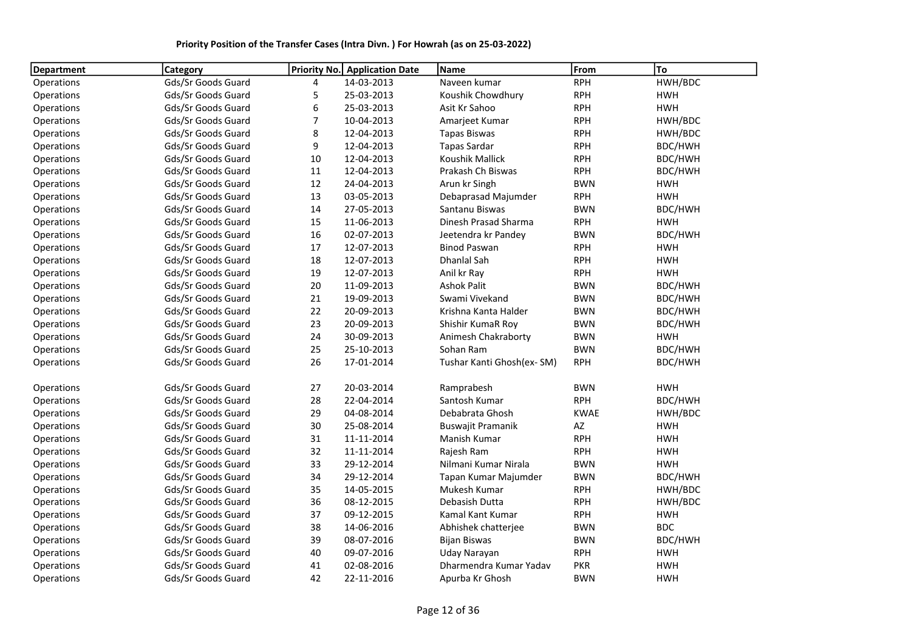| <b>Department</b> | <b>Category</b>    | Priority No.   | <b>Application Date</b> | Name                      | From        | To         |
|-------------------|--------------------|----------------|-------------------------|---------------------------|-------------|------------|
| Operations        | Gds/Sr Goods Guard | 4              | 14-03-2013              | Naveen kumar              | <b>RPH</b>  | HWH/BDC    |
| Operations        | Gds/Sr Goods Guard | 5              | 25-03-2013              | Koushik Chowdhury         | <b>RPH</b>  | <b>HWH</b> |
| Operations        | Gds/Sr Goods Guard | 6              | 25-03-2013              | Asit Kr Sahoo             | <b>RPH</b>  | <b>HWH</b> |
| Operations        | Gds/Sr Goods Guard | $\overline{7}$ | 10-04-2013              | Amarjeet Kumar            | <b>RPH</b>  | HWH/BDC    |
| Operations        | Gds/Sr Goods Guard | 8              | 12-04-2013              | <b>Tapas Biswas</b>       | <b>RPH</b>  | HWH/BDC    |
| Operations        | Gds/Sr Goods Guard | 9              | 12-04-2013              | <b>Tapas Sardar</b>       | <b>RPH</b>  | BDC/HWH    |
| Operations        | Gds/Sr Goods Guard | 10             | 12-04-2013              | <b>Koushik Mallick</b>    | <b>RPH</b>  | BDC/HWH    |
| Operations        | Gds/Sr Goods Guard | 11             | 12-04-2013              | Prakash Ch Biswas         | <b>RPH</b>  | BDC/HWH    |
| Operations        | Gds/Sr Goods Guard | 12             | 24-04-2013              | Arun kr Singh             | <b>BWN</b>  | <b>HWH</b> |
| Operations        | Gds/Sr Goods Guard | 13             | 03-05-2013              | Debaprasad Majumder       | <b>RPH</b>  | <b>HWH</b> |
| Operations        | Gds/Sr Goods Guard | 14             | 27-05-2013              | Santanu Biswas            | <b>BWN</b>  | BDC/HWH    |
| Operations        | Gds/Sr Goods Guard | 15             | 11-06-2013              | Dinesh Prasad Sharma      | <b>RPH</b>  | <b>HWH</b> |
| Operations        | Gds/Sr Goods Guard | 16             | 02-07-2013              | Jeetendra kr Pandey       | <b>BWN</b>  | BDC/HWH    |
| Operations        | Gds/Sr Goods Guard | 17             | 12-07-2013              | <b>Binod Paswan</b>       | <b>RPH</b>  | <b>HWH</b> |
| Operations        | Gds/Sr Goods Guard | 18             | 12-07-2013              | Dhanlal Sah               | <b>RPH</b>  | <b>HWH</b> |
| Operations        | Gds/Sr Goods Guard | 19             | 12-07-2013              | Anil kr Ray               | <b>RPH</b>  | <b>HWH</b> |
| Operations        | Gds/Sr Goods Guard | 20             | 11-09-2013              | <b>Ashok Palit</b>        | <b>BWN</b>  | BDC/HWH    |
| Operations        | Gds/Sr Goods Guard | 21             | 19-09-2013              | Swami Vivekand            | <b>BWN</b>  | BDC/HWH    |
| Operations        | Gds/Sr Goods Guard | 22             | 20-09-2013              | Krishna Kanta Halder      | <b>BWN</b>  | BDC/HWH    |
| Operations        | Gds/Sr Goods Guard | 23             | 20-09-2013              | Shishir KumaR Roy         | <b>BWN</b>  | BDC/HWH    |
| Operations        | Gds/Sr Goods Guard | 24             | 30-09-2013              | Animesh Chakraborty       | <b>BWN</b>  | <b>HWH</b> |
| Operations        | Gds/Sr Goods Guard | 25             | 25-10-2013              | Sohan Ram                 | <b>BWN</b>  | BDC/HWH    |
| Operations        | Gds/Sr Goods Guard | 26             | 17-01-2014              | Tushar Kanti Ghosh(ex-SM) | <b>RPH</b>  | BDC/HWH    |
| Operations        | Gds/Sr Goods Guard | 27             | 20-03-2014              | Ramprabesh                | <b>BWN</b>  | <b>HWH</b> |
| Operations        | Gds/Sr Goods Guard | 28             | 22-04-2014              | Santosh Kumar             | <b>RPH</b>  | BDC/HWH    |
| Operations        | Gds/Sr Goods Guard | 29             | 04-08-2014              | Debabrata Ghosh           | <b>KWAE</b> | HWH/BDC    |
| Operations        | Gds/Sr Goods Guard | 30             | 25-08-2014              | Buswajit Pramanik         | AZ          | <b>HWH</b> |
| Operations        | Gds/Sr Goods Guard | 31             | 11-11-2014              | Manish Kumar              | <b>RPH</b>  | <b>HWH</b> |
| Operations        | Gds/Sr Goods Guard | 32             | 11-11-2014              | Rajesh Ram                | <b>RPH</b>  | <b>HWH</b> |
| Operations        | Gds/Sr Goods Guard | 33             | 29-12-2014              | Nilmani Kumar Nirala      | <b>BWN</b>  | <b>HWH</b> |
| Operations        | Gds/Sr Goods Guard | 34             | 29-12-2014              | Tapan Kumar Majumder      | <b>BWN</b>  | BDC/HWH    |
| Operations        | Gds/Sr Goods Guard | 35             | 14-05-2015              | Mukesh Kumar              | <b>RPH</b>  | HWH/BDC    |
| Operations        | Gds/Sr Goods Guard | 36             | 08-12-2015              | Debasish Dutta            | <b>RPH</b>  | HWH/BDC    |
| Operations        | Gds/Sr Goods Guard | 37             | 09-12-2015              | Kamal Kant Kumar          | <b>RPH</b>  | <b>HWH</b> |
| Operations        | Gds/Sr Goods Guard | 38             | 14-06-2016              | Abhishek chatterjee       | <b>BWN</b>  | <b>BDC</b> |
| Operations        | Gds/Sr Goods Guard | 39             | 08-07-2016              | <b>Bijan Biswas</b>       | <b>BWN</b>  | BDC/HWH    |
| Operations        | Gds/Sr Goods Guard | 40             | 09-07-2016              | Uday Narayan              | <b>RPH</b>  | <b>HWH</b> |
| Operations        | Gds/Sr Goods Guard | 41             | 02-08-2016              | Dharmendra Kumar Yadav    | <b>PKR</b>  | <b>HWH</b> |
| Operations        | Gds/Sr Goods Guard | 42             | 22-11-2016              | Apurba Kr Ghosh           | <b>BWN</b>  | <b>HWH</b> |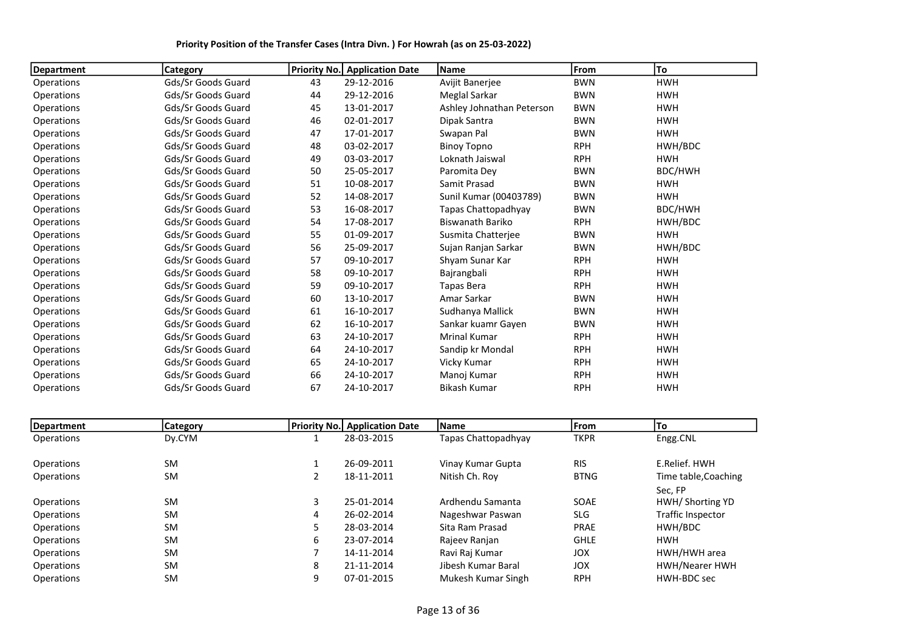| <b>Department</b> | <b>Category</b>    | <b>Priority No.</b> | <b>Application Date</b> | <b>Name</b>               | From       | To         |
|-------------------|--------------------|---------------------|-------------------------|---------------------------|------------|------------|
| Operations        | Gds/Sr Goods Guard | 43                  | 29-12-2016              | Avijit Banerjee           | <b>BWN</b> | <b>HWH</b> |
| Operations        | Gds/Sr Goods Guard | 44                  | 29-12-2016              | Meglal Sarkar             | <b>BWN</b> | <b>HWH</b> |
| Operations        | Gds/Sr Goods Guard | 45                  | 13-01-2017              | Ashley Johnathan Peterson | <b>BWN</b> | <b>HWH</b> |
| Operations        | Gds/Sr Goods Guard | 46                  | 02-01-2017              | Dipak Santra              | <b>BWN</b> | <b>HWH</b> |
| Operations        | Gds/Sr Goods Guard | 47                  | 17-01-2017              | Swapan Pal                | <b>BWN</b> | <b>HWH</b> |
| Operations        | Gds/Sr Goods Guard | 48                  | 03-02-2017              | <b>Binoy Topno</b>        | <b>RPH</b> | HWH/BDC    |
| Operations        | Gds/Sr Goods Guard | 49                  | 03-03-2017              | Loknath Jaiswal           | <b>RPH</b> | <b>HWH</b> |
| Operations        | Gds/Sr Goods Guard | 50                  | 25-05-2017              | Paromita Dev              | <b>BWN</b> | BDC/HWH    |
| Operations        | Gds/Sr Goods Guard | 51                  | 10-08-2017              | Samit Prasad              | <b>BWN</b> | <b>HWH</b> |
| Operations        | Gds/Sr Goods Guard | 52                  | 14-08-2017              | Sunil Kumar (00403789)    | <b>BWN</b> | <b>HWH</b> |
| Operations        | Gds/Sr Goods Guard | 53                  | 16-08-2017              | Tapas Chattopadhyay       | <b>BWN</b> | BDC/HWH    |
| Operations        | Gds/Sr Goods Guard | 54                  | 17-08-2017              | Biswanath Bariko          | <b>RPH</b> | HWH/BDC    |
| Operations        | Gds/Sr Goods Guard | 55                  | 01-09-2017              | Susmita Chatterjee        | <b>BWN</b> | <b>HWH</b> |
| Operations        | Gds/Sr Goods Guard | 56                  | 25-09-2017              | Sujan Ranjan Sarkar       | <b>BWN</b> | HWH/BDC    |
| Operations        | Gds/Sr Goods Guard | 57                  | 09-10-2017              | Shyam Sunar Kar           | <b>RPH</b> | <b>HWH</b> |
| Operations        | Gds/Sr Goods Guard | 58                  | 09-10-2017              | Bajrangbali               | <b>RPH</b> | <b>HWH</b> |
| Operations        | Gds/Sr Goods Guard | 59                  | 09-10-2017              | Tapas Bera                | <b>RPH</b> | <b>HWH</b> |
| Operations        | Gds/Sr Goods Guard | 60                  | 13-10-2017              | Amar Sarkar               | <b>BWN</b> | <b>HWH</b> |
| Operations        | Gds/Sr Goods Guard | 61                  | 16-10-2017              | Sudhanya Mallick          | <b>BWN</b> | <b>HWH</b> |
| Operations        | Gds/Sr Goods Guard | 62                  | 16-10-2017              | Sankar kuamr Gayen        | <b>BWN</b> | <b>HWH</b> |
| Operations        | Gds/Sr Goods Guard | 63                  | 24-10-2017              | <b>Mrinal Kumar</b>       | <b>RPH</b> | <b>HWH</b> |
| Operations        | Gds/Sr Goods Guard | 64                  | 24-10-2017              | Sandip kr Mondal          | <b>RPH</b> | <b>HWH</b> |
| Operations        | Gds/Sr Goods Guard | 65                  | 24-10-2017              | Vicky Kumar               | <b>RPH</b> | <b>HWH</b> |
| Operations        | Gds/Sr Goods Guard | 66                  | 24-10-2017              | Manoj Kumar               | <b>RPH</b> | <b>HWH</b> |
| Operations        | Gds/Sr Goods Guard | 67                  | 24-10-2017              | <b>Bikash Kumar</b>       | <b>RPH</b> | <b>HWH</b> |

| Department        | Category  |   | <b>Priority No. Application Date</b> | <b>Name</b>         | From        | lTo                  |
|-------------------|-----------|---|--------------------------------------|---------------------|-------------|----------------------|
| <b>Operations</b> | Dy.CYM    |   | 28-03-2015                           | Tapas Chattopadhyay | <b>TKPR</b> | Engg.CNL             |
|                   |           |   |                                      |                     |             |                      |
| Operations        | <b>SM</b> |   | 26-09-2011                           | Vinay Kumar Gupta   | <b>RIS</b>  | E.Relief. HWH        |
| <b>Operations</b> | <b>SM</b> |   | 18-11-2011                           | Nitish Ch. Roy      | <b>BTNG</b> | Time table, Coaching |
|                   |           |   |                                      |                     |             | Sec. FP              |
| Operations        | <b>SM</b> | 3 | 25-01-2014                           | Ardhendu Samanta    | SOAE        | HWH/ Shorting YD     |
| <b>Operations</b> | <b>SM</b> | 4 | 26-02-2014                           | Nageshwar Paswan    | <b>SLG</b>  | Traffic Inspector    |
| Operations        | <b>SM</b> |   | 28-03-2014                           | Sita Ram Prasad     | <b>PRAE</b> | HWH/BDC              |
| <b>Operations</b> | <b>SM</b> | 6 | 23-07-2014                           | Rajeev Ranjan       | <b>GHLE</b> | <b>HWH</b>           |
| Operations        | <b>SM</b> |   | 14-11-2014                           | Ravi Raj Kumar      | <b>JOX</b>  | HWH/HWH area         |
| <b>Operations</b> | <b>SM</b> | 8 | 21-11-2014                           | Jibesh Kumar Baral  | <b>JOX</b>  | HWH/Nearer HWH       |
| <b>Operations</b> | <b>SM</b> |   | 07-01-2015                           | Mukesh Kumar Singh  | <b>RPH</b>  | HWH-BDC sec          |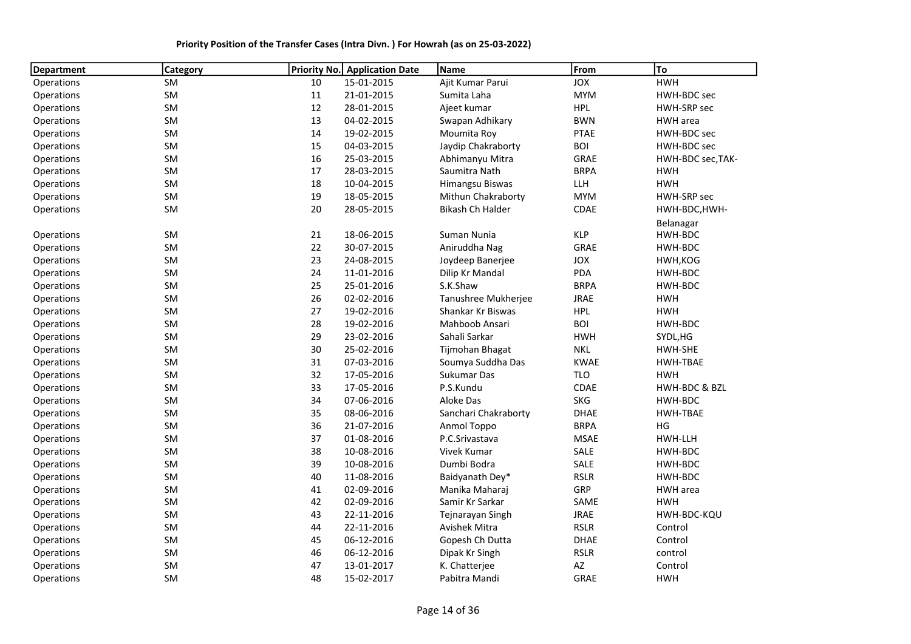| Priority Position of the Transfer Cases (Intra Divn.) For Howrah (as on 25-03-2022) |  |
|-------------------------------------------------------------------------------------|--|
|-------------------------------------------------------------------------------------|--|

| <b>Department</b> | Category  | Priority No. | <b>Application Date</b> | Name                 | From        | To                |
|-------------------|-----------|--------------|-------------------------|----------------------|-------------|-------------------|
| Operations        | SM        | 10           | 15-01-2015              | Ajit Kumar Parui     | <b>JOX</b>  | <b>HWH</b>        |
| Operations        | SM        | 11           | 21-01-2015              | Sumita Laha          | <b>MYM</b>  | HWH-BDC sec       |
| Operations        | SM        | 12           | 28-01-2015              | Ajeet kumar          | <b>HPL</b>  | HWH-SRP sec       |
| Operations        | SM        | 13           | 04-02-2015              | Swapan Adhikary      | <b>BWN</b>  | <b>HWH</b> area   |
| Operations        | SM        | 14           | 19-02-2015              | Moumita Roy          | <b>PTAE</b> | HWH-BDC sec       |
| Operations        | SM        | 15           | 04-03-2015              | Jaydip Chakraborty   | <b>BOI</b>  | HWH-BDC sec       |
| Operations        | SM        | 16           | 25-03-2015              | Abhimanyu Mitra      | GRAE        | HWH-BDC sec, TAK- |
| Operations        | SM        | 17           | 28-03-2015              | Saumitra Nath        | <b>BRPA</b> | <b>HWH</b>        |
| Operations        | SM        | 18           | 10-04-2015              | Himangsu Biswas      | LLH         | <b>HWH</b>        |
| Operations        | SM        | 19           | 18-05-2015              | Mithun Chakraborty   | <b>MYM</b>  | HWH-SRP sec       |
| Operations        | SM        | 20           | 28-05-2015              | Bikash Ch Halder     | CDAE        | HWH-BDC, HWH-     |
|                   |           |              |                         |                      |             | Belanagar         |
| <b>Operations</b> | SM        | 21           | 18-06-2015              | Suman Nunia          | <b>KLP</b>  | HWH-BDC           |
| Operations        | SM        | 22           | 30-07-2015              | Aniruddha Nag        | GRAE        | HWH-BDC           |
| Operations        | SM        | 23           | 24-08-2015              | Joydeep Banerjee     | JOX         | HWH, KOG          |
| Operations        | SM        | 24           | 11-01-2016              | Dilip Kr Mandal      | <b>PDA</b>  | HWH-BDC           |
| Operations        | SM        | 25           | 25-01-2016              | S.K.Shaw             | <b>BRPA</b> | HWH-BDC           |
| Operations        | SM        | 26           | 02-02-2016              | Tanushree Mukherjee  | <b>JRAE</b> | <b>HWH</b>        |
| Operations        | SM        | 27           | 19-02-2016              | Shankar Kr Biswas    | <b>HPL</b>  | <b>HWH</b>        |
| Operations        | SM        | 28           | 19-02-2016              | Mahboob Ansari       | <b>BOI</b>  | HWH-BDC           |
| Operations        | SM        | 29           | 23-02-2016              | Sahali Sarkar        | <b>HWH</b>  | SYDL, HG          |
| Operations        | <b>SM</b> | 30           | 25-02-2016              | Tijmohan Bhagat      | <b>NKL</b>  | HWH-SHE           |
| Operations        | SM        | 31           | 07-03-2016              | Soumya Suddha Das    | <b>KWAE</b> | HWH-TBAE          |
| Operations        | SM        | 32           | 17-05-2016              | Sukumar Das          | <b>TLO</b>  | <b>HWH</b>        |
| Operations        | SM        | 33           | 17-05-2016              | P.S.Kundu            | CDAE        | HWH-BDC & BZL     |
| Operations        | SM        | 34           | 07-06-2016              | Aloke Das            | <b>SKG</b>  | HWH-BDC           |
| Operations        | SM        | 35           | 08-06-2016              | Sanchari Chakraborty | <b>DHAE</b> | <b>HWH-TBAE</b>   |
| Operations        | SM        | 36           | 21-07-2016              | Anmol Toppo          | <b>BRPA</b> | HG                |
| Operations        | SM        | 37           | 01-08-2016              | P.C.Srivastava       | <b>MSAE</b> | HWH-LLH           |
| Operations        | SM        | 38           | 10-08-2016              | Vivek Kumar          | SALE        | HWH-BDC           |
| Operations        | SM        | 39           | 10-08-2016              | Dumbi Bodra          | SALE        | HWH-BDC           |
| Operations        | SM        | 40           | 11-08-2016              | Baidyanath Dey*      | <b>RSLR</b> | HWH-BDC           |
| Operations        | SM        | 41           | 02-09-2016              | Manika Maharaj       | GRP         | HWH area          |
| Operations        | SM        | 42           | 02-09-2016              | Samir Kr Sarkar      | SAME        | <b>HWH</b>        |
| Operations        | SM        | 43           | 22-11-2016              | Tejnarayan Singh     | <b>JRAE</b> | HWH-BDC-KQU       |
| Operations        | SM        | 44           | 22-11-2016              | <b>Avishek Mitra</b> | <b>RSLR</b> | Control           |
| Operations        | SM        | 45           | 06-12-2016              | Gopesh Ch Dutta      | <b>DHAE</b> | Control           |
| Operations        | SM        | 46           | 06-12-2016              | Dipak Kr Singh       | <b>RSLR</b> | control           |
| Operations        | SM        | 47           | 13-01-2017              | K. Chatterjee        | AZ          | Control           |
| Operations        | <b>SM</b> | 48           | 15-02-2017              | Pabitra Mandi        | <b>GRAE</b> | <b>HWH</b>        |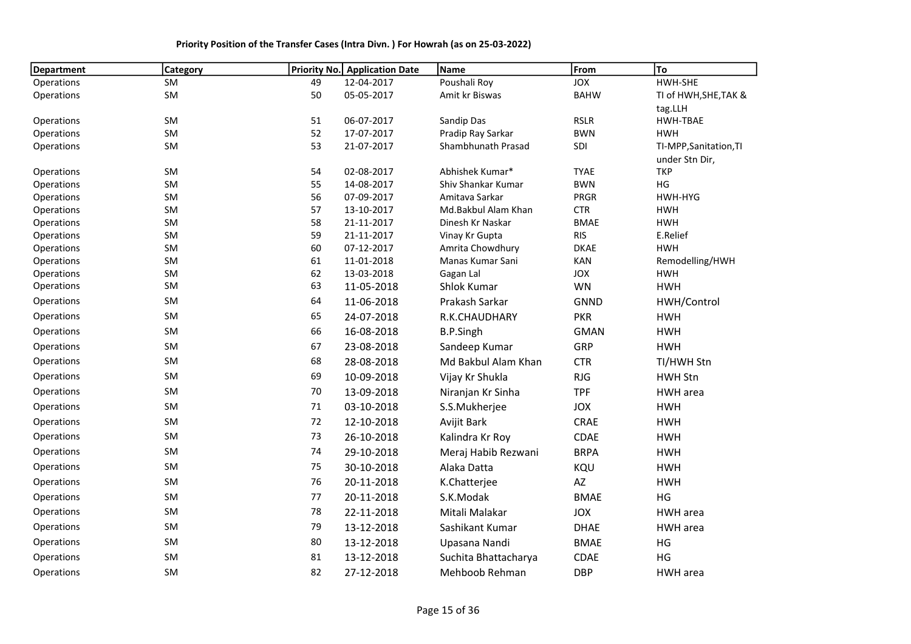| <b>Department</b>        | <b>Category</b> | Priority No. | <b>Application Date</b>  | Name                                  | From                      | To                     |
|--------------------------|-----------------|--------------|--------------------------|---------------------------------------|---------------------------|------------------------|
| Operations               | SM              | 49           | 12-04-2017               | Poushali Roy                          | JOX                       | HWH-SHE                |
| Operations               | SM              | 50           | 05-05-2017               | Amit kr Biswas                        | <b>BAHW</b>               | TI of HWH, SHE, TAK &  |
|                          |                 |              |                          |                                       |                           | tag.LLH                |
| Operations               | SM              | 51           | 06-07-2017               | Sandip Das                            | <b>RSLR</b>               | <b>HWH-TBAE</b>        |
| Operations               | SM              | 52           | 17-07-2017               | Pradip Ray Sarkar                     | <b>BWN</b>                | <b>HWH</b>             |
| Operations               | SM              | 53           | 21-07-2017               | Shambhunath Prasad                    | SDI                       | TI-MPP, Sanitation, TI |
|                          |                 |              |                          |                                       |                           | under Stn Dir,         |
| Operations               | SM              | 54           | 02-08-2017               | Abhishek Kumar*                       | <b>TYAE</b>               | <b>TKP</b>             |
| Operations               | SM              | 55           | 14-08-2017               | Shiv Shankar Kumar                    | <b>BWN</b>                | HG                     |
| Operations<br>Operations | SM<br>SM        | 56<br>57     | 07-09-2017<br>13-10-2017 | Amitava Sarkar<br>Md.Bakbul Alam Khan | <b>PRGR</b><br><b>CTR</b> | HWH-HYG<br><b>HWH</b>  |
| Operations               | SM              | 58           | 21-11-2017               | Dinesh Kr Naskar                      | <b>BMAE</b>               | <b>HWH</b>             |
| Operations               | <b>SM</b>       | 59           | 21-11-2017               | Vinay Kr Gupta                        | <b>RIS</b>                | E.Relief               |
| Operations               | SM              | 60           | 07-12-2017               | Amrita Chowdhury                      | <b>DKAE</b>               | <b>HWH</b>             |
| Operations               | <b>SM</b>       | 61           | 11-01-2018               | Manas Kumar Sani                      | KAN                       | Remodelling/HWH        |
| Operations               | SM              | 62           | 13-03-2018               | Gagan Lal                             | JOX                       | <b>HWH</b>             |
| Operations               | SM              | 63           | 11-05-2018               | Shlok Kumar                           | WN                        | <b>HWH</b>             |
| Operations               | SM              | 64           | 11-06-2018               | Prakash Sarkar                        | <b>GNND</b>               | HWH/Control            |
| Operations               | SM              | 65           | 24-07-2018               | R.K.CHAUDHARY                         | <b>PKR</b>                | <b>HWH</b>             |
| Operations               | SM              | 66           | 16-08-2018               | <b>B.P.Singh</b>                      | <b>GMAN</b>               | <b>HWH</b>             |
| Operations               | SM              | 67           | 23-08-2018               | Sandeep Kumar                         | GRP                       | <b>HWH</b>             |
| Operations               | SM              | 68           | 28-08-2018               | Md Bakbul Alam Khan                   | <b>CTR</b>                | TI/HWH Stn             |
| Operations               | SM              | 69           | 10-09-2018               | Vijay Kr Shukla                       | <b>RJG</b>                | <b>HWH Stn</b>         |
| Operations               | SM              | 70           | 13-09-2018               | Niranjan Kr Sinha                     | <b>TPF</b>                | HWH area               |
| Operations               | SM              | 71           | 03-10-2018               | S.S.Mukherjee                         | JOX                       | <b>HWH</b>             |
| Operations               | SM              | $72\,$       | 12-10-2018               | Avijit Bark                           | CRAE                      | <b>HWH</b>             |
| Operations               | SM              | 73           | 26-10-2018               | Kalindra Kr Roy                       | CDAE                      | <b>HWH</b>             |
| Operations               | SM              | 74           | 29-10-2018               | Meraj Habib Rezwani                   | <b>BRPA</b>               | <b>HWH</b>             |
| Operations               | SM              | 75           | 30-10-2018               | Alaka Datta                           | KQU                       | <b>HWH</b>             |
| Operations               | SM              | 76           | 20-11-2018               | K.Chatterjee                          | AZ                        | <b>HWH</b>             |
| Operations               | SM              | 77           | 20-11-2018               | S.K.Modak                             | <b>BMAE</b>               | HG                     |
| Operations               | SM              | 78           | 22-11-2018               | Mitali Malakar                        | <b>JOX</b>                | HWH area               |
| Operations               | SM              | 79           | 13-12-2018               | Sashikant Kumar                       | <b>DHAE</b>               | HWH area               |
| Operations               | SM              | 80           | 13-12-2018               | Upasana Nandi                         | <b>BMAE</b>               | HG                     |
| Operations               | SM              | 81           | 13-12-2018               | Suchita Bhattacharya                  | CDAE                      | HG                     |
| Operations               | SM              | 82           | 27-12-2018               | Mehboob Rehman                        | <b>DBP</b>                | HWH area               |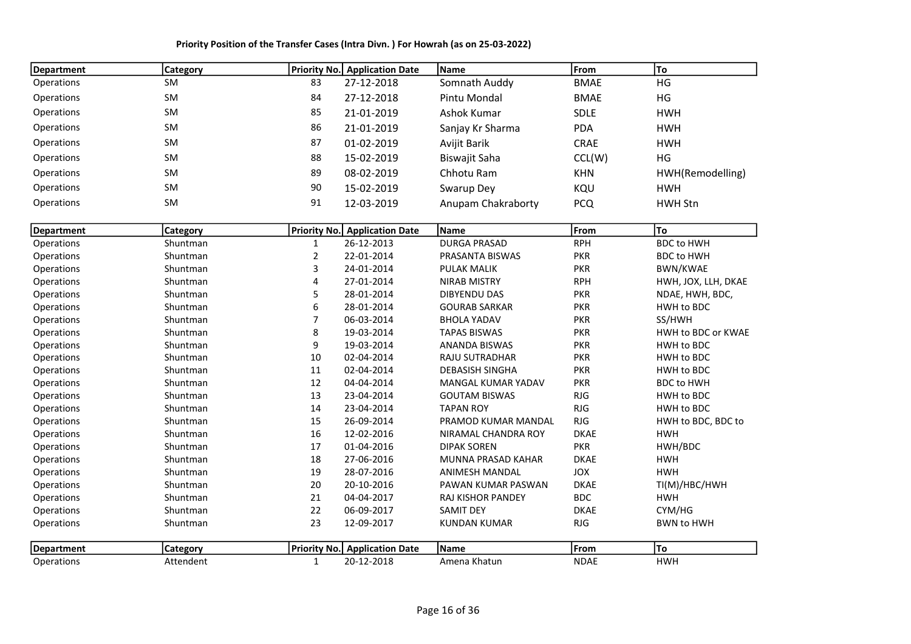Priority Position of the Transfer Cases (Intra Divn. ) For Howrah (as on 25-03-2022)

| <b>Department</b> | <b>Category</b> |                | <b>Priority No.</b> Application Date | Name                      | From        | To                  |
|-------------------|-----------------|----------------|--------------------------------------|---------------------------|-------------|---------------------|
| Operations        | <b>SM</b>       | 83             | 27-12-2018                           | Somnath Auddy             | <b>BMAE</b> | HG                  |
| Operations        | SM              | 84             | 27-12-2018                           | Pintu Mondal              | <b>BMAE</b> | HG                  |
| Operations        | SM              | 85             | 21-01-2019                           | Ashok Kumar               | SDLE        | <b>HWH</b>          |
| Operations        | SM              | 86             | 21-01-2019                           | Sanjay Kr Sharma          | <b>PDA</b>  | <b>HWH</b>          |
| Operations        | SM              | 87             | 01-02-2019                           | Avijit Barik              | CRAE        | <b>HWH</b>          |
| Operations        | <b>SM</b>       | 88             | 15-02-2019                           | Biswajit Saha             | CCL(W)      | HG                  |
| Operations        | SM              | 89             | 08-02-2019                           | Chhotu Ram                | <b>KHN</b>  | HWH(Remodelling)    |
| Operations        | SM              | 90             | 15-02-2019                           | Swarup Dey                | KQU         | <b>HWH</b>          |
| Operations        | SM              | 91             | 12-03-2019                           | Anupam Chakraborty        | <b>PCQ</b>  | <b>HWH Stn</b>      |
|                   |                 |                |                                      |                           |             |                     |
| <b>Department</b> | Category        |                | <b>Priority No. Application Date</b> | Name                      | From        | To                  |
| Operations        | Shuntman        | $\mathbf{1}$   | 26-12-2013                           | <b>DURGA PRASAD</b>       | <b>RPH</b>  | <b>BDC to HWH</b>   |
| Operations        | Shuntman        | $\overline{2}$ | 22-01-2014                           | PRASANTA BISWAS           | <b>PKR</b>  | <b>BDC to HWH</b>   |
| Operations        | Shuntman        | 3              | 24-01-2014                           | <b>PULAK MALIK</b>        | <b>PKR</b>  | <b>BWN/KWAE</b>     |
| Operations        | Shuntman        | 4              | 27-01-2014                           | <b>NIRAB MISTRY</b>       | <b>RPH</b>  | HWH, JOX, LLH, DKAE |
| Operations        | Shuntman        | 5              | 28-01-2014                           | <b>DIBYENDU DAS</b>       | <b>PKR</b>  | NDAE, HWH, BDC,     |
| Operations        | Shuntman        | 6              | 28-01-2014                           | <b>GOURAB SARKAR</b>      | <b>PKR</b>  | HWH to BDC          |
| Operations        | Shuntman        | 7              | 06-03-2014                           | <b>BHOLA YADAV</b>        | <b>PKR</b>  | SS/HWH              |
| Operations        | Shuntman        | 8              | 19-03-2014                           | <b>TAPAS BISWAS</b>       | <b>PKR</b>  | HWH to BDC or KWAE  |
| Operations        | Shuntman        | 9              | 19-03-2014                           | ANANDA BISWAS             | <b>PKR</b>  | HWH to BDC          |
| Operations        | Shuntman        | $10\,$         | 02-04-2014                           | RAJU SUTRADHAR            | <b>PKR</b>  | HWH to BDC          |
| Operations        | Shuntman        | 11             | 02-04-2014                           | <b>DEBASISH SINGHA</b>    | <b>PKR</b>  | HWH to BDC          |
| Operations        | Shuntman        | 12             | 04-04-2014                           | <b>MANGAL KUMAR YADAV</b> | <b>PKR</b>  | <b>BDC to HWH</b>   |
| Operations        | Shuntman        | 13             | 23-04-2014                           | <b>GOUTAM BISWAS</b>      | RJG         | HWH to BDC          |
| Operations        | Shuntman        | 14             | 23-04-2014                           | <b>TAPAN ROY</b>          | RJG         | HWH to BDC          |
| Operations        | Shuntman        | 15             | 26-09-2014                           | PRAMOD KUMAR MANDAL       | RJG         | HWH to BDC, BDC to  |
| Operations        | Shuntman        | 16             | 12-02-2016                           | NIRAMAL CHANDRA ROY       | <b>DKAE</b> | <b>HWH</b>          |
| Operations        | Shuntman        | 17             | 01-04-2016                           | <b>DIPAK SOREN</b>        | <b>PKR</b>  | HWH/BDC             |
| Operations        | Shuntman        | 18             | 27-06-2016                           | MUNNA PRASAD KAHAR        | <b>DKAE</b> | <b>HWH</b>          |
| Operations        | Shuntman        | 19             | 28-07-2016                           | <b>ANIMESH MANDAL</b>     | JOX         | <b>HWH</b>          |
| Operations        | Shuntman        | 20             | 20-10-2016                           | PAWAN KUMAR PASWAN        | <b>DKAE</b> | TI(M)/HBC/HWH       |
| Operations        | Shuntman        | 21             | 04-04-2017                           | RAJ KISHOR PANDEY         | <b>BDC</b>  | <b>HWH</b>          |
| Operations        | Shuntman        | 22             | 06-09-2017                           | <b>SAMIT DEY</b>          | <b>DKAE</b> | CYM/HG              |
| Operations        | Shuntman        | 23             | 12-09-2017                           | <b>KUNDAN KUMAR</b>       | RJG         | <b>BWN to HWH</b>   |
| Department        | Category        | Priority No.   | <b>Application Date</b>              | Name                      | From        | To                  |
| Operations        | Attendent       | $\mathbf{1}$   | 20-12-2018                           | Amena Khatun              | <b>NDAE</b> | <b>HWH</b>          |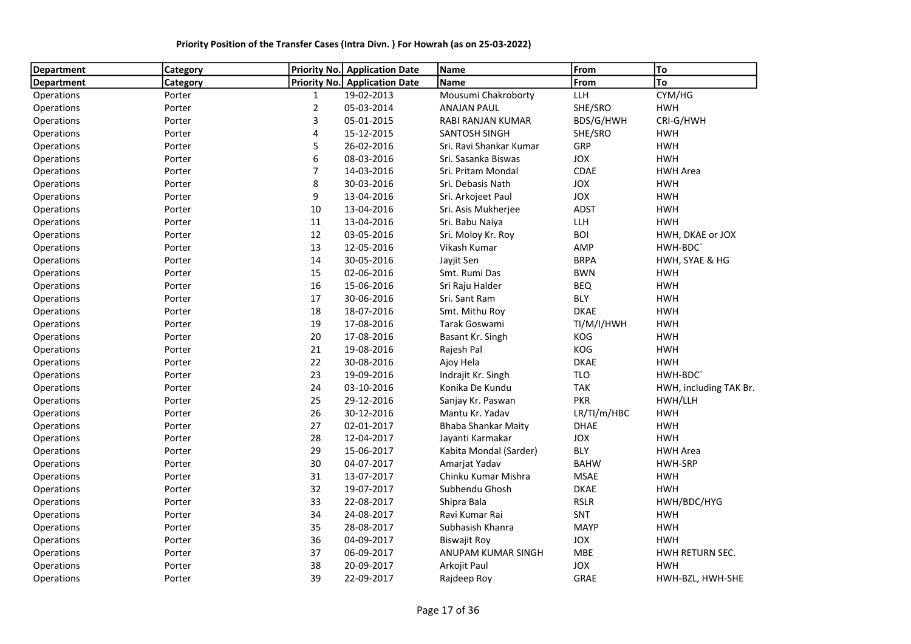| Department        | Category |                | Priority No. Application Date | Name                       | From        | To                     |
|-------------------|----------|----------------|-------------------------------|----------------------------|-------------|------------------------|
| <b>Department</b> | Category |                | Priority No. Application Date | Name                       | From        | To                     |
| Operations        | Porter   | $\mathbf{1}$   | 19-02-2013                    | Mousumi Chakroborty        | <b>LLH</b>  | CYM/HG                 |
| Operations        | Porter   | $\overline{2}$ | 05-03-2014                    | <b>ANAJAN PAUL</b>         | SHE/SRO     | <b>HWH</b>             |
| Operations        | Porter   | 3              | 05-01-2015                    | RABI RANJAN KUMAR          | BDS/G/HWH   | CRI-G/HWH              |
| Operations        | Porter   | 4              | 15-12-2015                    | <b>SANTOSH SINGH</b>       | SHE/SRO     | <b>HWH</b>             |
| Operations        | Porter   | 5              | 26-02-2016                    | Sri. Ravi Shankar Kumar    | GRP         | <b>HWH</b>             |
| Operations        | Porter   | 6              | 08-03-2016                    | Sri. Sasanka Biswas        | JOX         | <b>HWH</b>             |
| Operations        | Porter   | $\overline{7}$ | 14-03-2016                    | Sri. Pritam Mondal         | CDAE        | <b>HWH Area</b>        |
| Operations        | Porter   | 8              | 30-03-2016                    | Sri. Debasis Nath          | JOX         | <b>HWH</b>             |
| Operations        | Porter   | 9              | 13-04-2016                    | Sri. Arkojeet Paul         | JOX         | <b>HWH</b>             |
| Operations        | Porter   | 10             | 13-04-2016                    | Sri. Asis Mukherjee        | <b>ADST</b> | <b>HWH</b>             |
| Operations        | Porter   | 11             | 13-04-2016                    | Sri. Babu Naiya            | LLH         | <b>HWH</b>             |
| Operations        | Porter   | 12             | 03-05-2016                    | Sri. Moloy Kr. Roy         | <b>BOI</b>  | HWH, DKAE or JOX       |
| Operations        | Porter   | 13             | 12-05-2016                    | Vikash Kumar               | AMP         | HWH-BDC'               |
| Operations        | Porter   | 14             | 30-05-2016                    | Jayjit Sen                 | <b>BRPA</b> | HWH, SYAE & HG         |
| Operations        | Porter   | 15             | 02-06-2016                    | Smt. Rumi Das              | <b>BWN</b>  | <b>HWH</b>             |
| Operations        | Porter   | 16             | 15-06-2016                    | Sri Raju Halder            | <b>BEQ</b>  | <b>HWH</b>             |
| Operations        | Porter   | 17             | 30-06-2016                    | Sri. Sant Ram              | <b>BLY</b>  | <b>HWH</b>             |
| Operations        | Porter   | 18             | 18-07-2016                    | Smt. Mithu Roy             | <b>DKAE</b> | <b>HWH</b>             |
| Operations        | Porter   | 19             | 17-08-2016                    | Tarak Goswami              | TI/M/I/HWH  | <b>HWH</b>             |
| Operations        | Porter   | 20             | 17-08-2016                    | Basant Kr. Singh           | KOG         | <b>HWH</b>             |
| Operations        | Porter   | 21             | 19-08-2016                    | Rajesh Pal                 | KOG         | <b>HWH</b>             |
| Operations        | Porter   | 22             | 30-08-2016                    | Ajoy Hela                  | <b>DKAE</b> | <b>HWH</b>             |
| Operations        | Porter   | 23             | 19-09-2016                    | Indrajit Kr. Singh         | <b>TLO</b>  | HWH-BDC                |
| Operations        | Porter   | 24             | 03-10-2016                    | Konika De Kundu            | <b>TAK</b>  | HWH, including TAK Br. |
| Operations        | Porter   | 25             | 29-12-2016                    | Sanjay Kr. Paswan          | <b>PKR</b>  | HWH/LLH                |
| Operations        | Porter   | 26             | 30-12-2016                    | Mantu Kr. Yadav            | LR/TI/m/HBC | <b>HWH</b>             |
| Operations        | Porter   | 27             | 02-01-2017                    | <b>Bhaba Shankar Maity</b> | <b>DHAE</b> | <b>HWH</b>             |
| Operations        | Porter   | 28             | 12-04-2017                    | Jayanti Karmakar           | JOX         | <b>HWH</b>             |
| Operations        | Porter   | 29             | 15-06-2017                    | Kabita Mondal (Sarder)     | <b>BLY</b>  | <b>HWH Area</b>        |
| Operations        | Porter   | 30             | 04-07-2017                    | Amarjat Yadav              | <b>BAHW</b> | HWH-SRP                |
| Operations        | Porter   | 31             | 13-07-2017                    | Chinku Kumar Mishra        | <b>MSAE</b> | <b>HWH</b>             |
| Operations        | Porter   | 32             | 19-07-2017                    | Subhendu Ghosh             | <b>DKAE</b> | <b>HWH</b>             |
| Operations        | Porter   | 33             | 22-08-2017                    | Shipra Bala                | <b>RSLR</b> | HWH/BDC/HYG            |
| Operations        | Porter   | 34             | 24-08-2017                    | Ravi Kumar Rai             | SNT         | <b>HWH</b>             |
| Operations        | Porter   | 35             | 28-08-2017                    | Subhasish Khanra           | <b>MAYP</b> | <b>HWH</b>             |
| Operations        | Porter   | 36             | 04-09-2017                    | <b>Biswajit Roy</b>        | JOX         | <b>HWH</b>             |
| Operations        | Porter   | 37             | 06-09-2017                    | ANUPAM KUMAR SINGH         | MBE         | HWH RETURN SEC.        |
| Operations        | Porter   | 38             | 20-09-2017                    | Arkojit Paul               | JOX         | <b>HWH</b>             |
| Operations        | Porter   | 39             | 22-09-2017                    | Rajdeep Roy                | <b>GRAE</b> | HWH-BZL, HWH-SHE       |

Priority Position of the Transfer Cases (Intra Divn. ) For Howrah (as on 25-03-2022)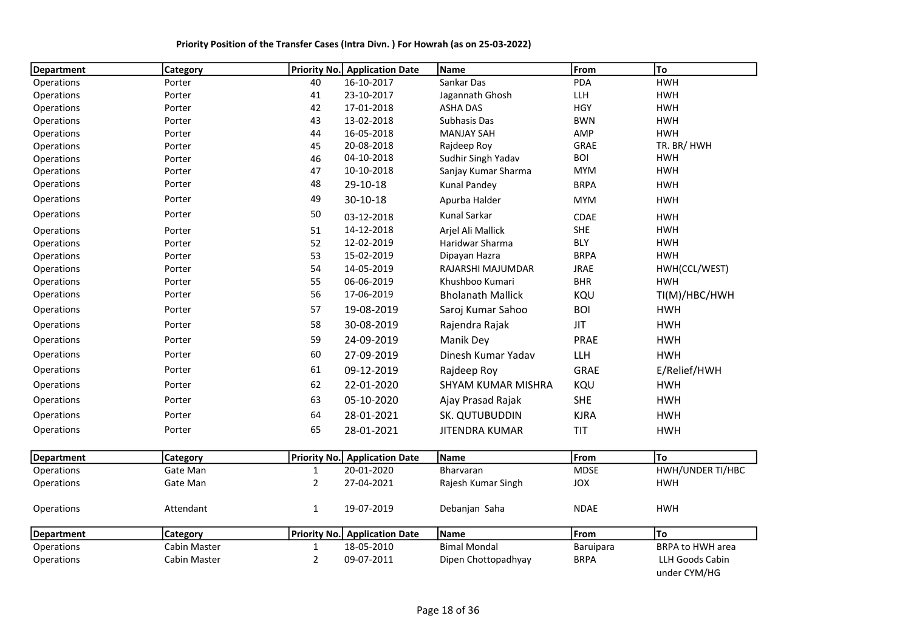| <b>Department</b> | <b>Category</b> |              | <b>Priority No. Application Date</b> | <b>Name</b>               | From        | To                              |
|-------------------|-----------------|--------------|--------------------------------------|---------------------------|-------------|---------------------------------|
| Operations        | Porter          | 40           | 16-10-2017                           | Sankar Das                | PDA         | <b>HWH</b>                      |
| Operations        | Porter          | 41           | 23-10-2017                           | Jagannath Ghosh           | LLH         | <b>HWH</b>                      |
| Operations        | Porter          | 42           | 17-01-2018                           | <b>ASHA DAS</b>           | <b>HGY</b>  | <b>HWH</b>                      |
| Operations        | Porter          | 43           | 13-02-2018                           | Subhasis Das              | <b>BWN</b>  | <b>HWH</b>                      |
| Operations        | Porter          | 44           | 16-05-2018                           | <b>MANJAY SAH</b>         | <b>AMP</b>  | <b>HWH</b>                      |
| Operations        | Porter          | 45           | 20-08-2018                           | Rajdeep Roy               | <b>GRAE</b> | TR. BR/HWH                      |
| Operations        | Porter          | 46           | 04-10-2018                           | Sudhir Singh Yadav        | <b>BOI</b>  | <b>HWH</b>                      |
| Operations        | Porter          | 47           | 10-10-2018                           | Sanjay Kumar Sharma       | <b>MYM</b>  | <b>HWH</b>                      |
| Operations        | Porter          | 48           | 29-10-18                             | <b>Kunal Pandey</b>       | <b>BRPA</b> | <b>HWH</b>                      |
| Operations        | Porter          | 49           | $30 - 10 - 18$                       | Apurba Halder             | <b>MYM</b>  | <b>HWH</b>                      |
| Operations        | Porter          | 50           | 03-12-2018                           | <b>Kunal Sarkar</b>       | CDAE        | <b>HWH</b>                      |
| Operations        | Porter          | 51           | 14-12-2018                           | Arjel Ali Mallick         | <b>SHE</b>  | <b>HWH</b>                      |
| Operations        | Porter          | 52           | 12-02-2019                           | Haridwar Sharma           | <b>BLY</b>  | <b>HWH</b>                      |
| Operations        | Porter          | 53           | 15-02-2019                           | Dipayan Hazra             | <b>BRPA</b> | <b>HWH</b>                      |
| Operations        | Porter          | 54           | 14-05-2019                           | RAJARSHI MAJUMDAR         | <b>JRAE</b> | HWH(CCL/WEST)                   |
| Operations        | Porter          | 55           | 06-06-2019                           | Khushboo Kumari           | <b>BHR</b>  | <b>HWH</b>                      |
| Operations        | Porter          | 56           | 17-06-2019                           | <b>Bholanath Mallick</b>  | KQU         | TI(M)/HBC/HWH                   |
| Operations        | Porter          | 57           | 19-08-2019                           | Saroj Kumar Sahoo         | <b>BOI</b>  | <b>HWH</b>                      |
| Operations        | Porter          | 58           | 30-08-2019                           | Rajendra Rajak            | <b>JIT</b>  | <b>HWH</b>                      |
| Operations        | Porter          | 59           | 24-09-2019                           | Manik Dey                 | PRAE        | <b>HWH</b>                      |
| Operations        | Porter          | 60           | 27-09-2019                           | Dinesh Kumar Yadav        | LLH         | <b>HWH</b>                      |
| Operations        | Porter          | 61           | 09-12-2019                           | Rajdeep Roy               | <b>GRAE</b> | E/Relief/HWH                    |
| Operations        | Porter          | 62           | 22-01-2020                           | <b>SHYAM KUMAR MISHRA</b> | KQU         | <b>HWH</b>                      |
| Operations        | Porter          | 63           | 05-10-2020                           | Ajay Prasad Rajak         | <b>SHE</b>  | <b>HWH</b>                      |
| Operations        | Porter          | 64           | 28-01-2021                           | SK. QUTUBUDDIN            | <b>KJRA</b> | <b>HWH</b>                      |
| Operations        | Porter          | 65           | 28-01-2021                           | <b>JITENDRA KUMAR</b>     | <b>TIT</b>  | <b>HWH</b>                      |
| <b>Department</b> | <b>Category</b> |              | <b>Priority No. Application Date</b> | <b>Name</b>               | From        | To                              |
| Operations        | Gate Man        | 1            | 20-01-2020                           | Bharvaran                 | <b>MDSE</b> | HWH/UNDER TI/HBC                |
| Operations        | Gate Man        | 2            | 27-04-2021                           | Rajesh Kumar Singh        | JOX         | <b>HWH</b>                      |
| Operations        | Attendant       | $\mathbf{1}$ | 19-07-2019                           | Debanjan Saha             | <b>NDAE</b> | <b>HWH</b>                      |
| <b>Department</b> | <b>Category</b> |              | Priority No. Application Date        | Name                      | From        | <b>To</b>                       |
| Operations        | Cabin Master    | 1            | 18-05-2010                           | <b>Bimal Mondal</b>       | Baruipara   | <b>BRPA to HWH area</b>         |
| Operations        | Cabin Master    | 2            | 09-07-2011                           | Dipen Chottopadhyay       | <b>BRPA</b> | LLH Goods Cabin<br>under CYM/HG |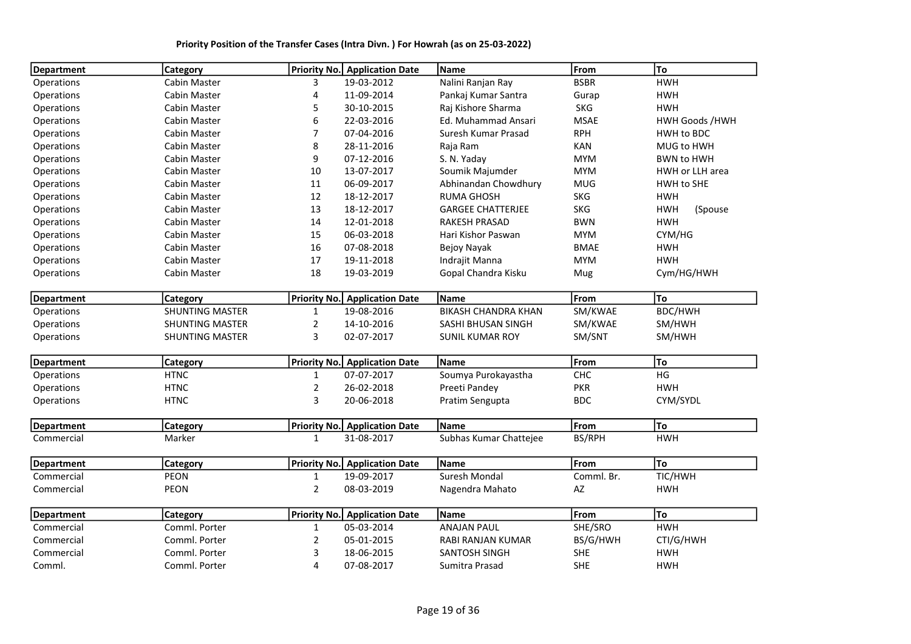| <b>HWH</b><br><b>Cabin Master</b><br>3<br>19-03-2012<br>Nalini Ranjan Ray<br><b>BSBR</b><br>11-09-2014<br><b>HWH</b><br>Cabin Master<br>4<br>Pankaj Kumar Santra<br>Gurap<br>30-10-2015<br><b>SKG</b><br><b>HWH</b><br>Cabin Master<br>5<br>Raj Kishore Sharma<br>6<br>Cabin Master<br>22-03-2016<br>Ed. Muhammad Ansari<br><b>MSAE</b><br><b>HWH Goods /HWH</b><br>7<br>07-04-2016<br><b>RPH</b><br>HWH to BDC<br>Cabin Master<br>Suresh Kumar Prasad<br>8<br>MUG to HWH<br>Cabin Master<br>28-11-2016<br>Raja Ram<br><b>KAN</b><br>9<br>07-12-2016<br>Cabin Master<br>S. N. Yaday<br><b>MYM</b><br><b>BWN to HWH</b><br>Cabin Master<br>10<br>13-07-2017<br>Soumik Majumder<br><b>MYM</b><br>HWH or LLH area<br>06-09-2017<br>Abhinandan Chowdhury<br><b>MUG</b><br>HWH to SHE<br>Cabin Master<br>11<br>12<br>18-12-2017<br><b>RUMA GHOSH</b><br><b>SKG</b><br><b>HWH</b><br>Cabin Master<br>13<br>18-12-2017<br><b>HWH</b><br>Cabin Master<br><b>GARGEE CHATTERJEE</b><br><b>SKG</b><br>(Spouse<br>Cabin Master<br>14<br>12-01-2018<br><b>BWN</b><br><b>HWH</b><br><b>RAKESH PRASAD</b><br>CYM/HG<br>Cabin Master<br>15<br>06-03-2018<br>Hari Kishor Paswan<br><b>MYM</b><br>16<br>07-08-2018<br><b>BMAE</b><br><b>HWH</b><br>Cabin Master<br>Bejoy Nayak<br><b>HWH</b><br>17<br>Cabin Master<br>19-11-2018<br>Indrajit Manna<br><b>MYM</b><br>Cabin Master<br>18<br>19-03-2019<br>Gopal Chandra Kisku<br>Cym/HG/HWH<br>Mug<br>Name<br>From<br> To<br><b>Department</b><br><b>Priority No.</b> Application Date<br><b>Category</b><br><b>SHUNTING MASTER</b><br>19-08-2016<br><b>BIKASH CHANDRA KHAN</b><br>SM/KWAE<br>BDC/HWH<br>$\mathbf{1}$<br>Operations<br><b>SHUNTING MASTER</b><br>2<br>14-10-2016<br>SASHI BHUSAN SINGH<br>SM/KWAE<br>SM/HWH<br>3<br>02-07-2017<br><b>SHUNTING MASTER</b><br><b>SUNIL KUMAR ROY</b><br>SM/SNT<br>SM/HWH<br> To<br><b>Priority No.</b> Application Date<br>From<br><b>Department</b><br>Category<br>Name<br>HG<br>07-07-2017<br>${\sf CHC}$<br><b>HTNC</b><br>$\mathbf{1}$<br>Soumya Purokayastha<br>Operations<br>$\overline{2}$<br><b>PKR</b><br><b>HWH</b><br><b>HTNC</b><br>26-02-2018<br>Operations<br>Preeti Pandey<br>3<br><b>HTNC</b><br>20-06-2018<br><b>BDC</b><br>CYM/SYDL<br>Pratim Sengupta<br>From<br> To<br><b>Department</b><br>Priority No. Application Date<br>Name<br>Category<br>31-08-2017<br>Subhas Kumar Chattejee<br>BS/RPH<br><b>HWH</b><br>Commercial<br>Marker<br>1<br><b>To</b><br>From<br><b>Priority No.</b> Application Date<br>Name<br><b>Department</b><br>Category<br>TIC/HWH<br>19-09-2017<br>Suresh Mondal<br>Comml. Br.<br>PEON<br>$\mathbf{1}$<br>PEON<br>$\overline{2}$<br>08-03-2019<br>AZ<br><b>HWH</b><br>Nagendra Mahato<br>From<br> To<br>Priority No. Application Date<br>Name<br><b>Department</b><br>Category<br>Comml. Porter<br>Commercial<br>05-03-2014<br><b>ANAJAN PAUL</b><br>SHE/SRO<br><b>HWH</b><br>$\mathbf{1}$<br>CTI/G/HWH<br>Commercial<br>Comml. Porter<br>$\overline{2}$<br>05-01-2015<br>RABI RANJAN KUMAR<br>BS/G/HWH<br>3<br>Comml. Porter<br>18-06-2015<br><b>SANTOSH SINGH</b><br><b>SHE</b><br><b>HWH</b><br>Commercial | <b>Department</b> | Category      |   | Priority No. Application Date | Name           | From       | To         |
|---------------------------------------------------------------------------------------------------------------------------------------------------------------------------------------------------------------------------------------------------------------------------------------------------------------------------------------------------------------------------------------------------------------------------------------------------------------------------------------------------------------------------------------------------------------------------------------------------------------------------------------------------------------------------------------------------------------------------------------------------------------------------------------------------------------------------------------------------------------------------------------------------------------------------------------------------------------------------------------------------------------------------------------------------------------------------------------------------------------------------------------------------------------------------------------------------------------------------------------------------------------------------------------------------------------------------------------------------------------------------------------------------------------------------------------------------------------------------------------------------------------------------------------------------------------------------------------------------------------------------------------------------------------------------------------------------------------------------------------------------------------------------------------------------------------------------------------------------------------------------------------------------------------------------------------------------------------------------------------------------------------------------------------------------------------------------------------------------------------------------------------------------------------------------------------------------------------------------------------------------------------------------------------------------------------------------------------------------------------------------------------------------------------------------------------------------------------------------------------------------------------------------------------------------------------------------------------------------------------------------------------------------------------------------------------------------------------------------------------------------------------------------------------------------------------------------------------------------------------------------------------------------------------------------------------------------------------------------------------------------------------------------------------------------------------------------------------------------------------------------------------|-------------------|---------------|---|-------------------------------|----------------|------------|------------|
|                                                                                                                                                                                                                                                                                                                                                                                                                                                                                                                                                                                                                                                                                                                                                                                                                                                                                                                                                                                                                                                                                                                                                                                                                                                                                                                                                                                                                                                                                                                                                                                                                                                                                                                                                                                                                                                                                                                                                                                                                                                                                                                                                                                                                                                                                                                                                                                                                                                                                                                                                                                                                                                                                                                                                                                                                                                                                                                                                                                                                                                                                                                                       | Operations        |               |   |                               |                |            |            |
|                                                                                                                                                                                                                                                                                                                                                                                                                                                                                                                                                                                                                                                                                                                                                                                                                                                                                                                                                                                                                                                                                                                                                                                                                                                                                                                                                                                                                                                                                                                                                                                                                                                                                                                                                                                                                                                                                                                                                                                                                                                                                                                                                                                                                                                                                                                                                                                                                                                                                                                                                                                                                                                                                                                                                                                                                                                                                                                                                                                                                                                                                                                                       | Operations        |               |   |                               |                |            |            |
|                                                                                                                                                                                                                                                                                                                                                                                                                                                                                                                                                                                                                                                                                                                                                                                                                                                                                                                                                                                                                                                                                                                                                                                                                                                                                                                                                                                                                                                                                                                                                                                                                                                                                                                                                                                                                                                                                                                                                                                                                                                                                                                                                                                                                                                                                                                                                                                                                                                                                                                                                                                                                                                                                                                                                                                                                                                                                                                                                                                                                                                                                                                                       | Operations        |               |   |                               |                |            |            |
|                                                                                                                                                                                                                                                                                                                                                                                                                                                                                                                                                                                                                                                                                                                                                                                                                                                                                                                                                                                                                                                                                                                                                                                                                                                                                                                                                                                                                                                                                                                                                                                                                                                                                                                                                                                                                                                                                                                                                                                                                                                                                                                                                                                                                                                                                                                                                                                                                                                                                                                                                                                                                                                                                                                                                                                                                                                                                                                                                                                                                                                                                                                                       | Operations        |               |   |                               |                |            |            |
|                                                                                                                                                                                                                                                                                                                                                                                                                                                                                                                                                                                                                                                                                                                                                                                                                                                                                                                                                                                                                                                                                                                                                                                                                                                                                                                                                                                                                                                                                                                                                                                                                                                                                                                                                                                                                                                                                                                                                                                                                                                                                                                                                                                                                                                                                                                                                                                                                                                                                                                                                                                                                                                                                                                                                                                                                                                                                                                                                                                                                                                                                                                                       | Operations        |               |   |                               |                |            |            |
|                                                                                                                                                                                                                                                                                                                                                                                                                                                                                                                                                                                                                                                                                                                                                                                                                                                                                                                                                                                                                                                                                                                                                                                                                                                                                                                                                                                                                                                                                                                                                                                                                                                                                                                                                                                                                                                                                                                                                                                                                                                                                                                                                                                                                                                                                                                                                                                                                                                                                                                                                                                                                                                                                                                                                                                                                                                                                                                                                                                                                                                                                                                                       | Operations        |               |   |                               |                |            |            |
|                                                                                                                                                                                                                                                                                                                                                                                                                                                                                                                                                                                                                                                                                                                                                                                                                                                                                                                                                                                                                                                                                                                                                                                                                                                                                                                                                                                                                                                                                                                                                                                                                                                                                                                                                                                                                                                                                                                                                                                                                                                                                                                                                                                                                                                                                                                                                                                                                                                                                                                                                                                                                                                                                                                                                                                                                                                                                                                                                                                                                                                                                                                                       | Operations        |               |   |                               |                |            |            |
|                                                                                                                                                                                                                                                                                                                                                                                                                                                                                                                                                                                                                                                                                                                                                                                                                                                                                                                                                                                                                                                                                                                                                                                                                                                                                                                                                                                                                                                                                                                                                                                                                                                                                                                                                                                                                                                                                                                                                                                                                                                                                                                                                                                                                                                                                                                                                                                                                                                                                                                                                                                                                                                                                                                                                                                                                                                                                                                                                                                                                                                                                                                                       | Operations        |               |   |                               |                |            |            |
|                                                                                                                                                                                                                                                                                                                                                                                                                                                                                                                                                                                                                                                                                                                                                                                                                                                                                                                                                                                                                                                                                                                                                                                                                                                                                                                                                                                                                                                                                                                                                                                                                                                                                                                                                                                                                                                                                                                                                                                                                                                                                                                                                                                                                                                                                                                                                                                                                                                                                                                                                                                                                                                                                                                                                                                                                                                                                                                                                                                                                                                                                                                                       | Operations        |               |   |                               |                |            |            |
|                                                                                                                                                                                                                                                                                                                                                                                                                                                                                                                                                                                                                                                                                                                                                                                                                                                                                                                                                                                                                                                                                                                                                                                                                                                                                                                                                                                                                                                                                                                                                                                                                                                                                                                                                                                                                                                                                                                                                                                                                                                                                                                                                                                                                                                                                                                                                                                                                                                                                                                                                                                                                                                                                                                                                                                                                                                                                                                                                                                                                                                                                                                                       | Operations        |               |   |                               |                |            |            |
|                                                                                                                                                                                                                                                                                                                                                                                                                                                                                                                                                                                                                                                                                                                                                                                                                                                                                                                                                                                                                                                                                                                                                                                                                                                                                                                                                                                                                                                                                                                                                                                                                                                                                                                                                                                                                                                                                                                                                                                                                                                                                                                                                                                                                                                                                                                                                                                                                                                                                                                                                                                                                                                                                                                                                                                                                                                                                                                                                                                                                                                                                                                                       | Operations        |               |   |                               |                |            |            |
|                                                                                                                                                                                                                                                                                                                                                                                                                                                                                                                                                                                                                                                                                                                                                                                                                                                                                                                                                                                                                                                                                                                                                                                                                                                                                                                                                                                                                                                                                                                                                                                                                                                                                                                                                                                                                                                                                                                                                                                                                                                                                                                                                                                                                                                                                                                                                                                                                                                                                                                                                                                                                                                                                                                                                                                                                                                                                                                                                                                                                                                                                                                                       | Operations        |               |   |                               |                |            |            |
|                                                                                                                                                                                                                                                                                                                                                                                                                                                                                                                                                                                                                                                                                                                                                                                                                                                                                                                                                                                                                                                                                                                                                                                                                                                                                                                                                                                                                                                                                                                                                                                                                                                                                                                                                                                                                                                                                                                                                                                                                                                                                                                                                                                                                                                                                                                                                                                                                                                                                                                                                                                                                                                                                                                                                                                                                                                                                                                                                                                                                                                                                                                                       | Operations        |               |   |                               |                |            |            |
|                                                                                                                                                                                                                                                                                                                                                                                                                                                                                                                                                                                                                                                                                                                                                                                                                                                                                                                                                                                                                                                                                                                                                                                                                                                                                                                                                                                                                                                                                                                                                                                                                                                                                                                                                                                                                                                                                                                                                                                                                                                                                                                                                                                                                                                                                                                                                                                                                                                                                                                                                                                                                                                                                                                                                                                                                                                                                                                                                                                                                                                                                                                                       | Operations        |               |   |                               |                |            |            |
|                                                                                                                                                                                                                                                                                                                                                                                                                                                                                                                                                                                                                                                                                                                                                                                                                                                                                                                                                                                                                                                                                                                                                                                                                                                                                                                                                                                                                                                                                                                                                                                                                                                                                                                                                                                                                                                                                                                                                                                                                                                                                                                                                                                                                                                                                                                                                                                                                                                                                                                                                                                                                                                                                                                                                                                                                                                                                                                                                                                                                                                                                                                                       | Operations        |               |   |                               |                |            |            |
|                                                                                                                                                                                                                                                                                                                                                                                                                                                                                                                                                                                                                                                                                                                                                                                                                                                                                                                                                                                                                                                                                                                                                                                                                                                                                                                                                                                                                                                                                                                                                                                                                                                                                                                                                                                                                                                                                                                                                                                                                                                                                                                                                                                                                                                                                                                                                                                                                                                                                                                                                                                                                                                                                                                                                                                                                                                                                                                                                                                                                                                                                                                                       | Operations        |               |   |                               |                |            |            |
|                                                                                                                                                                                                                                                                                                                                                                                                                                                                                                                                                                                                                                                                                                                                                                                                                                                                                                                                                                                                                                                                                                                                                                                                                                                                                                                                                                                                                                                                                                                                                                                                                                                                                                                                                                                                                                                                                                                                                                                                                                                                                                                                                                                                                                                                                                                                                                                                                                                                                                                                                                                                                                                                                                                                                                                                                                                                                                                                                                                                                                                                                                                                       |                   |               |   |                               |                |            |            |
|                                                                                                                                                                                                                                                                                                                                                                                                                                                                                                                                                                                                                                                                                                                                                                                                                                                                                                                                                                                                                                                                                                                                                                                                                                                                                                                                                                                                                                                                                                                                                                                                                                                                                                                                                                                                                                                                                                                                                                                                                                                                                                                                                                                                                                                                                                                                                                                                                                                                                                                                                                                                                                                                                                                                                                                                                                                                                                                                                                                                                                                                                                                                       |                   |               |   |                               |                |            |            |
|                                                                                                                                                                                                                                                                                                                                                                                                                                                                                                                                                                                                                                                                                                                                                                                                                                                                                                                                                                                                                                                                                                                                                                                                                                                                                                                                                                                                                                                                                                                                                                                                                                                                                                                                                                                                                                                                                                                                                                                                                                                                                                                                                                                                                                                                                                                                                                                                                                                                                                                                                                                                                                                                                                                                                                                                                                                                                                                                                                                                                                                                                                                                       | Operations        |               |   |                               |                |            |            |
|                                                                                                                                                                                                                                                                                                                                                                                                                                                                                                                                                                                                                                                                                                                                                                                                                                                                                                                                                                                                                                                                                                                                                                                                                                                                                                                                                                                                                                                                                                                                                                                                                                                                                                                                                                                                                                                                                                                                                                                                                                                                                                                                                                                                                                                                                                                                                                                                                                                                                                                                                                                                                                                                                                                                                                                                                                                                                                                                                                                                                                                                                                                                       | Operations        |               |   |                               |                |            |            |
|                                                                                                                                                                                                                                                                                                                                                                                                                                                                                                                                                                                                                                                                                                                                                                                                                                                                                                                                                                                                                                                                                                                                                                                                                                                                                                                                                                                                                                                                                                                                                                                                                                                                                                                                                                                                                                                                                                                                                                                                                                                                                                                                                                                                                                                                                                                                                                                                                                                                                                                                                                                                                                                                                                                                                                                                                                                                                                                                                                                                                                                                                                                                       |                   |               |   |                               |                |            |            |
|                                                                                                                                                                                                                                                                                                                                                                                                                                                                                                                                                                                                                                                                                                                                                                                                                                                                                                                                                                                                                                                                                                                                                                                                                                                                                                                                                                                                                                                                                                                                                                                                                                                                                                                                                                                                                                                                                                                                                                                                                                                                                                                                                                                                                                                                                                                                                                                                                                                                                                                                                                                                                                                                                                                                                                                                                                                                                                                                                                                                                                                                                                                                       |                   |               |   |                               |                |            |            |
|                                                                                                                                                                                                                                                                                                                                                                                                                                                                                                                                                                                                                                                                                                                                                                                                                                                                                                                                                                                                                                                                                                                                                                                                                                                                                                                                                                                                                                                                                                                                                                                                                                                                                                                                                                                                                                                                                                                                                                                                                                                                                                                                                                                                                                                                                                                                                                                                                                                                                                                                                                                                                                                                                                                                                                                                                                                                                                                                                                                                                                                                                                                                       |                   |               |   |                               |                |            |            |
|                                                                                                                                                                                                                                                                                                                                                                                                                                                                                                                                                                                                                                                                                                                                                                                                                                                                                                                                                                                                                                                                                                                                                                                                                                                                                                                                                                                                                                                                                                                                                                                                                                                                                                                                                                                                                                                                                                                                                                                                                                                                                                                                                                                                                                                                                                                                                                                                                                                                                                                                                                                                                                                                                                                                                                                                                                                                                                                                                                                                                                                                                                                                       | Operations        |               |   |                               |                |            |            |
|                                                                                                                                                                                                                                                                                                                                                                                                                                                                                                                                                                                                                                                                                                                                                                                                                                                                                                                                                                                                                                                                                                                                                                                                                                                                                                                                                                                                                                                                                                                                                                                                                                                                                                                                                                                                                                                                                                                                                                                                                                                                                                                                                                                                                                                                                                                                                                                                                                                                                                                                                                                                                                                                                                                                                                                                                                                                                                                                                                                                                                                                                                                                       |                   |               |   |                               |                |            |            |
|                                                                                                                                                                                                                                                                                                                                                                                                                                                                                                                                                                                                                                                                                                                                                                                                                                                                                                                                                                                                                                                                                                                                                                                                                                                                                                                                                                                                                                                                                                                                                                                                                                                                                                                                                                                                                                                                                                                                                                                                                                                                                                                                                                                                                                                                                                                                                                                                                                                                                                                                                                                                                                                                                                                                                                                                                                                                                                                                                                                                                                                                                                                                       |                   |               |   |                               |                |            |            |
|                                                                                                                                                                                                                                                                                                                                                                                                                                                                                                                                                                                                                                                                                                                                                                                                                                                                                                                                                                                                                                                                                                                                                                                                                                                                                                                                                                                                                                                                                                                                                                                                                                                                                                                                                                                                                                                                                                                                                                                                                                                                                                                                                                                                                                                                                                                                                                                                                                                                                                                                                                                                                                                                                                                                                                                                                                                                                                                                                                                                                                                                                                                                       |                   |               |   |                               |                |            |            |
|                                                                                                                                                                                                                                                                                                                                                                                                                                                                                                                                                                                                                                                                                                                                                                                                                                                                                                                                                                                                                                                                                                                                                                                                                                                                                                                                                                                                                                                                                                                                                                                                                                                                                                                                                                                                                                                                                                                                                                                                                                                                                                                                                                                                                                                                                                                                                                                                                                                                                                                                                                                                                                                                                                                                                                                                                                                                                                                                                                                                                                                                                                                                       |                   |               |   |                               |                |            |            |
|                                                                                                                                                                                                                                                                                                                                                                                                                                                                                                                                                                                                                                                                                                                                                                                                                                                                                                                                                                                                                                                                                                                                                                                                                                                                                                                                                                                                                                                                                                                                                                                                                                                                                                                                                                                                                                                                                                                                                                                                                                                                                                                                                                                                                                                                                                                                                                                                                                                                                                                                                                                                                                                                                                                                                                                                                                                                                                                                                                                                                                                                                                                                       | Commercial        |               |   |                               |                |            |            |
|                                                                                                                                                                                                                                                                                                                                                                                                                                                                                                                                                                                                                                                                                                                                                                                                                                                                                                                                                                                                                                                                                                                                                                                                                                                                                                                                                                                                                                                                                                                                                                                                                                                                                                                                                                                                                                                                                                                                                                                                                                                                                                                                                                                                                                                                                                                                                                                                                                                                                                                                                                                                                                                                                                                                                                                                                                                                                                                                                                                                                                                                                                                                       | Commercial        |               |   |                               |                |            |            |
|                                                                                                                                                                                                                                                                                                                                                                                                                                                                                                                                                                                                                                                                                                                                                                                                                                                                                                                                                                                                                                                                                                                                                                                                                                                                                                                                                                                                                                                                                                                                                                                                                                                                                                                                                                                                                                                                                                                                                                                                                                                                                                                                                                                                                                                                                                                                                                                                                                                                                                                                                                                                                                                                                                                                                                                                                                                                                                                                                                                                                                                                                                                                       |                   |               |   |                               |                |            |            |
|                                                                                                                                                                                                                                                                                                                                                                                                                                                                                                                                                                                                                                                                                                                                                                                                                                                                                                                                                                                                                                                                                                                                                                                                                                                                                                                                                                                                                                                                                                                                                                                                                                                                                                                                                                                                                                                                                                                                                                                                                                                                                                                                                                                                                                                                                                                                                                                                                                                                                                                                                                                                                                                                                                                                                                                                                                                                                                                                                                                                                                                                                                                                       |                   |               |   |                               |                |            |            |
|                                                                                                                                                                                                                                                                                                                                                                                                                                                                                                                                                                                                                                                                                                                                                                                                                                                                                                                                                                                                                                                                                                                                                                                                                                                                                                                                                                                                                                                                                                                                                                                                                                                                                                                                                                                                                                                                                                                                                                                                                                                                                                                                                                                                                                                                                                                                                                                                                                                                                                                                                                                                                                                                                                                                                                                                                                                                                                                                                                                                                                                                                                                                       |                   |               |   |                               |                |            |            |
|                                                                                                                                                                                                                                                                                                                                                                                                                                                                                                                                                                                                                                                                                                                                                                                                                                                                                                                                                                                                                                                                                                                                                                                                                                                                                                                                                                                                                                                                                                                                                                                                                                                                                                                                                                                                                                                                                                                                                                                                                                                                                                                                                                                                                                                                                                                                                                                                                                                                                                                                                                                                                                                                                                                                                                                                                                                                                                                                                                                                                                                                                                                                       |                   |               |   |                               |                |            |            |
|                                                                                                                                                                                                                                                                                                                                                                                                                                                                                                                                                                                                                                                                                                                                                                                                                                                                                                                                                                                                                                                                                                                                                                                                                                                                                                                                                                                                                                                                                                                                                                                                                                                                                                                                                                                                                                                                                                                                                                                                                                                                                                                                                                                                                                                                                                                                                                                                                                                                                                                                                                                                                                                                                                                                                                                                                                                                                                                                                                                                                                                                                                                                       | Comml.            | Comml. Porter | 4 | 07-08-2017                    | Sumitra Prasad | <b>SHE</b> | <b>HWH</b> |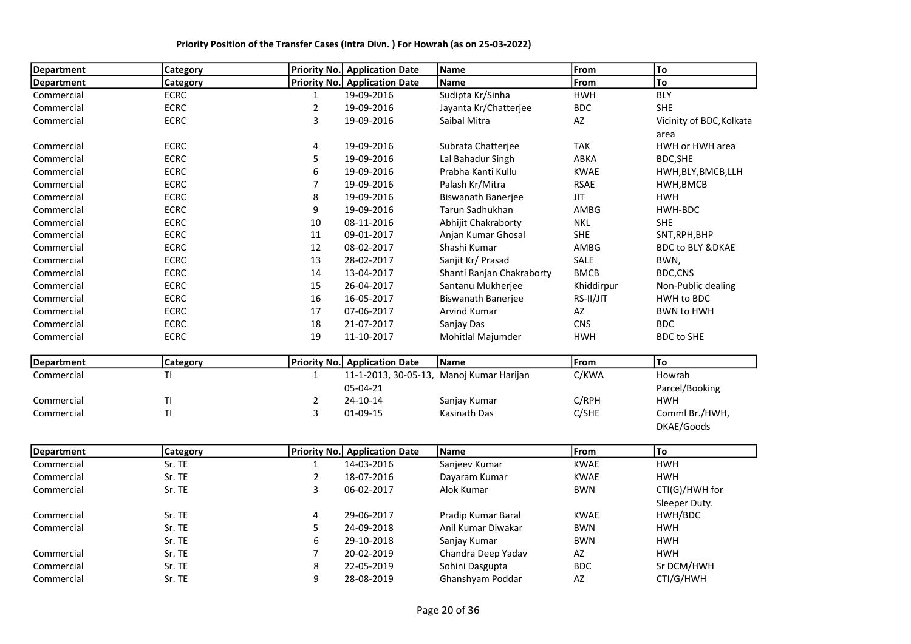| <b>Department</b> | Category             | <b>Priority No.</b> | <b>Application Date</b> | Name                                     | From                   | To                          |
|-------------------|----------------------|---------------------|-------------------------|------------------------------------------|------------------------|-----------------------------|
| <b>Department</b> | Category             | Priority No.        | <b>Application Date</b> | <b>Name</b>                              | From                   | To                          |
| Commercial        | <b>ECRC</b>          | $\mathbf{1}$        | 19-09-2016              | Sudipta Kr/Sinha                         | <b>HWH</b>             | <b>BLY</b>                  |
| Commercial        | <b>ECRC</b>          | $\overline{a}$      | 19-09-2016              | Jayanta Kr/Chatterjee                    | <b>BDC</b>             | <b>SHE</b>                  |
| Commercial        | <b>ECRC</b>          | 3                   | 19-09-2016              | Saibal Mitra                             | AZ                     | Vicinity of BDC, Kolkata    |
|                   |                      |                     |                         |                                          |                        | area                        |
| Commercial        | <b>ECRC</b>          | 4                   | 19-09-2016              | Subrata Chatterjee                       | <b>TAK</b>             | HWH or HWH area             |
| Commercial        | <b>ECRC</b>          | 5                   | 19-09-2016              | Lal Bahadur Singh                        | ABKA                   | BDC, SHE                    |
| Commercial        | <b>ECRC</b>          | 6                   | 19-09-2016              | Prabha Kanti Kullu                       | <b>KWAE</b>            | HWH, BLY, BMCB, LLH         |
| Commercial        | <b>ECRC</b>          | $\overline{7}$      | 19-09-2016              | Palash Kr/Mitra                          | <b>RSAE</b>            | HWH, BMCB                   |
| Commercial        | <b>ECRC</b>          | 8                   | 19-09-2016              | <b>Biswanath Banerjee</b>                | <b>JIT</b>             | <b>HWH</b>                  |
| Commercial        | <b>ECRC</b>          | 9                   | 19-09-2016              | Tarun Sadhukhan                          | AMBG                   | HWH-BDC                     |
| Commercial        | <b>ECRC</b>          | 10                  | 08-11-2016              | Abhijit Chakraborty                      | <b>NKL</b>             | <b>SHE</b>                  |
| Commercial        | <b>ECRC</b>          | 11                  | 09-01-2017              | Anjan Kumar Ghosal                       | <b>SHE</b>             | SNT, RPH, BHP               |
| Commercial        | <b>ECRC</b>          | 12                  | 08-02-2017              | Shashi Kumar                             | AMBG                   | <b>BDC to BLY &amp;DKAE</b> |
| Commercial        | <b>ECRC</b>          | 13                  | 28-02-2017              | Sanjit Kr/ Prasad                        | SALE                   | BWN,                        |
| Commercial        | <b>ECRC</b>          | 14                  | 13-04-2017              | Shanti Ranjan Chakraborty                | <b>BMCB</b>            | BDC,CNS                     |
| Commercial        | <b>ECRC</b>          | 15                  | 26-04-2017              | Santanu Mukherjee                        | Khiddirpur             | Non-Public dealing          |
| Commercial        | <b>ECRC</b>          | 16                  | 16-05-2017              | <b>Biswanath Banerjee</b>                | RS-II/JIT              | HWH to BDC                  |
| Commercial        | <b>ECRC</b>          | 17                  | 07-06-2017              | <b>Arvind Kumar</b>                      | AZ                     | <b>BWN to HWH</b>           |
| Commercial        | <b>ECRC</b>          | 18                  | 21-07-2017              | Sanjay Das                               | CNS                    | <b>BDC</b>                  |
| Commercial        | <b>ECRC</b>          | 19                  | 11-10-2017              | Mohitlal Majumder                        | <b>HWH</b>             | <b>BDC</b> to SHE           |
|                   |                      |                     |                         |                                          |                        |                             |
| <b>Department</b> | Category             | Priority No.        | <b>Application Date</b> | Name                                     | From                   | To                          |
| Commercial        | TI.                  | $\mathbf{1}$        |                         | 11-1-2013, 30-05-13, Manoj Kumar Harijan | C/KWA                  | Howrah                      |
|                   |                      |                     | 05-04-21                |                                          |                        | Parcel/Booking              |
| Commercial        | $\mathsf T\mathsf I$ | 2                   | $24 - 10 - 14$          | Sanjay Kumar                             | C/RPH                  | <b>HWH</b>                  |
| Commercial        | TI                   | 3                   | 01-09-15                | <b>Kasinath Das</b>                      | C/SHE                  | Comml Br./HWH,              |
|                   |                      |                     |                         |                                          |                        | DKAE/Goods                  |
|                   |                      |                     |                         |                                          |                        |                             |
| <b>Department</b> | Category             | <b>Priority No.</b> | <b>Application Date</b> | Name                                     | From                   | To                          |
| Commercial        | Sr. TE               | $\mathbf{1}$        | 14-03-2016              | Sanjeev Kumar                            | <b>KWAE</b>            | <b>HWH</b>                  |
| Commercial        | Sr. TE               | $\overline{2}$      | 18-07-2016              | Dayaram Kumar                            | <b>KWAE</b>            | <b>HWH</b>                  |
| Commercial        | Sr. TE               | 3                   | 06-02-2017              | Alok Kumar                               | <b>BWN</b>             | CTI(G)/HWH for              |
|                   |                      |                     |                         |                                          |                        | Sleeper Duty.               |
| Commercial        | Sr. TE               | 4                   | 29-06-2017              | Pradip Kumar Baral                       | <b>KWAE</b>            | HWH/BDC                     |
| Commercial        | Sr. TE               | 5                   | 24-09-2018              | Anil Kumar Diwakar                       | <b>BWN</b>             | <b>HWH</b>                  |
|                   | Sr. TE               | 6                   | 29-10-2018              | Sanjay Kumar                             | <b>BWN</b>             | <b>HWH</b>                  |
| Commercial        | Sr. TE               | 7                   | 20-02-2019              | Chandra Deep Yadav                       | $\mathsf{A}\mathsf{Z}$ | <b>HWH</b>                  |
| Commercial        | Sr. TE               | 8                   | 22-05-2019              | Sohini Dasgupta                          | <b>BDC</b>             | Sr DCM/HWH                  |
| Commercial        | Sr. TE               | 9                   | 28-08-2019              | Ghanshyam Poddar                         | AZ                     | CTI/G/HWH                   |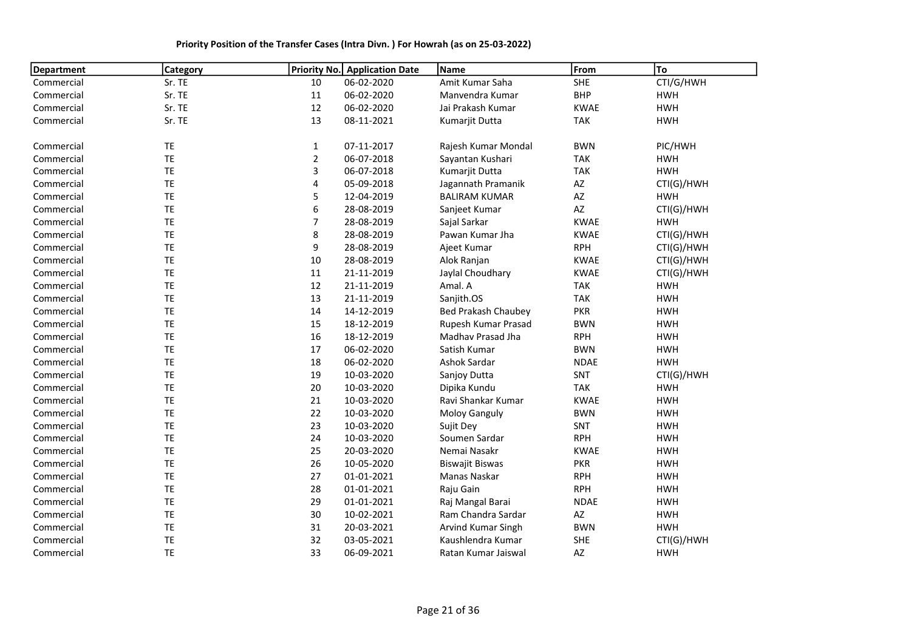#### Department Category **Priority No.** Application Date Name From From To Commercial Sr. TE 10 06-02-2020 Amit Kumar Saha SHE CTI/G/HWH Commercial Sr. TE 11 06-02-2020 Manvendra Kumar BHP HWH Commercial Sr. TE 12 06-02-2020 Jai Prakash Kumar KWAE HWH Commercial Sr. TE 13 08-11-2021 Kumarjit Dutta TAK HWH Commercial TE TE 1 07-11-2017 Rajesh Kumar Mondal BWN PIC/HWH Commercial TE 2 06-07-2018 Sayantan Kushari TAK HWH Commercial TE 3 06-07-2018 Kumarjit Dutta TAK HWH Commercial TE 4 05-09-2018 Jagannath Pramanik AZ CTI(G)/HWH Commercial TE 5 12-04-2019 BALIRAM KUMAR AZ HWH Commercial TE 6 28-08-2019 Sanjeet Kumar AZ CTI(G)/HWH Commercial TE 7 28-08-2019 Sajal Sarkar KWAE HWH Commercial TE 8 28-08-2019 Pawan Kumar Jha KWAE CTI(G)/HWH Commercial TE 9 28-08-2019 Ajeet Kumar RPH CTI(G)/HWH Commercial TE 10 28-08-2019 Alok Ranjan KWAE CTI(G)/HWH Commercial TE 11 21-11-2019 Jaylal Choudhary KWAE CTI(G)/HWH Commercial TE 12 21-11-2019 Amal. A TAK HWH Commercial TE 13 21-11-2019 Sanjith.OS TAK HWH Commercial TE TE 14 14-12-2019 Bed Prakash Chaubey PKR HWH Commercial TE TE 15 18-12-2019 Rupesh Kumar Prasad BWN HWH Commercial TE 16 18-12-2019 Madhav Prasad Jha RPH HWH Commercial TE 17 06-02-2020 Satish Kumar BWN HWH Commercial TE 18 06-02-2020 Ashok Sardar NDAE HWH Commercial TE 19 10-03-2020 Sanjoy Dutta SNT CTI(G)/HWH Commercial TE 20 10-03-2020 Dipika Kundu TAK HWH Commercial TE 21 10-03-2020 Ravi Shankar Kumar KWAE HWH Commercial TE 22 10-03-2020 Moloy Ganguly BWN HWH Commercial TE 23 10-03-2020 Sujit Dey SNT HWH Commercial TE 24 10-03-2020 Soumen Sardar RPH HWH Commercial TE 25 20-03-2020 Nemai Nasakr KWAE HWH Commercial TE 26 10-05-2020 Biswajit Biswas PKR HWH Commercial TE 27 01-01-2021 Manas Naskar RPH HWH Commercial TE 28 01-01-2021 Raju Gain RPH HWH Commercial TE 29 01-01-2021 Raj Mangal Barai NDAE HWH Commercial TE 30 10-02-2021 Ram Chandra Sardar AZ HWH Commercial TE 31 20-03-2021 Arvind Kumar Singh BWN HWH Commercial TE 32 03-05-2021 Kaushlendra Kumar SHE CTI(G)/HWH Commercial TE 33 06-09-2021 Ratan Kumar Jaiswal AZ HWH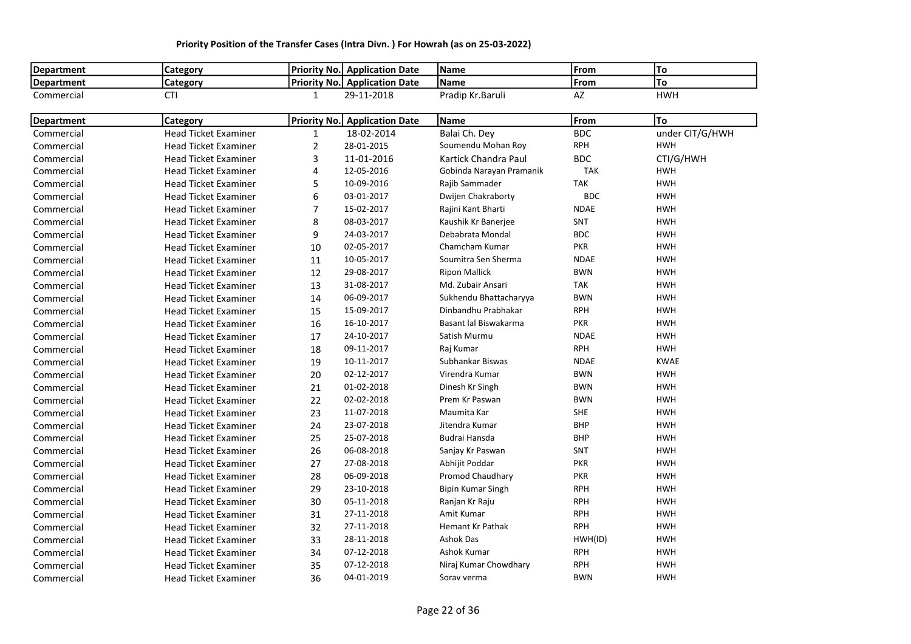| <b>Department</b> | <b>Category</b>             |                | <b>Priority No. Application Date</b> | Name                     | From        | To              |
|-------------------|-----------------------------|----------------|--------------------------------------|--------------------------|-------------|-----------------|
| <b>Department</b> | Category                    |                | Priority No. Application Date        | Name                     | From        | To              |
| Commercial        | <b>CTI</b>                  | 1              | 29-11-2018                           | Pradip Kr.Baruli         | AZ          | <b>HWH</b>      |
| <b>Department</b> | Category                    |                | <b>Priority No.</b> Application Date | Name                     | From        | To              |
| Commercial        | <b>Head Ticket Examiner</b> | 1              | 18-02-2014                           | Balai Ch. Dey            | <b>BDC</b>  | under CIT/G/HWH |
| Commercial        | <b>Head Ticket Examiner</b> | $\overline{2}$ | 28-01-2015                           | Soumendu Mohan Roy       | <b>RPH</b>  | <b>HWH</b>      |
| Commercial        | <b>Head Ticket Examiner</b> | 3              | 11-01-2016                           | Kartick Chandra Paul     | <b>BDC</b>  | CTI/G/HWH       |
| Commercial        | <b>Head Ticket Examiner</b> | 4              | 12-05-2016                           | Gobinda Narayan Pramanik | <b>TAK</b>  | <b>HWH</b>      |
| Commercial        | <b>Head Ticket Examiner</b> | 5              | 10-09-2016                           | Rajib Sammader           | <b>TAK</b>  | <b>HWH</b>      |
| Commercial        | <b>Head Ticket Examiner</b> | 6              | 03-01-2017                           | Dwijen Chakraborty       | <b>BDC</b>  | <b>HWH</b>      |
| Commercial        | <b>Head Ticket Examiner</b> | $\overline{7}$ | 15-02-2017                           | Rajini Kant Bharti       | <b>NDAE</b> | <b>HWH</b>      |
| Commercial        | <b>Head Ticket Examiner</b> | 8              | 08-03-2017                           | Kaushik Kr Banerjee      | SNT         | <b>HWH</b>      |
| Commercial        | <b>Head Ticket Examiner</b> | 9              | 24-03-2017                           | Debabrata Mondal         | <b>BDC</b>  | <b>HWH</b>      |
| Commercial        | <b>Head Ticket Examiner</b> | 10             | 02-05-2017                           | Chamcham Kumar           | <b>PKR</b>  | <b>HWH</b>      |
| Commercial        | <b>Head Ticket Examiner</b> | 11             | 10-05-2017                           | Soumitra Sen Sherma      | <b>NDAE</b> | <b>HWH</b>      |
| Commercial        | <b>Head Ticket Examiner</b> | 12             | 29-08-2017                           | <b>Ripon Mallick</b>     | <b>BWN</b>  | <b>HWH</b>      |
| Commercial        | <b>Head Ticket Examiner</b> | 13             | 31-08-2017                           | Md. Zubair Ansari        | <b>TAK</b>  | <b>HWH</b>      |
| Commercial        | <b>Head Ticket Examiner</b> | 14             | 06-09-2017                           | Sukhendu Bhattacharyya   | <b>BWN</b>  | <b>HWH</b>      |
| Commercial        | <b>Head Ticket Examiner</b> | 15             | 15-09-2017                           | Dinbandhu Prabhakar      | <b>RPH</b>  | <b>HWH</b>      |
| Commercial        | <b>Head Ticket Examiner</b> | 16             | 16-10-2017                           | Basant lal Biswakarma    | <b>PKR</b>  | <b>HWH</b>      |
| Commercial        | <b>Head Ticket Examiner</b> | 17             | 24-10-2017                           | Satish Murmu             | <b>NDAE</b> | <b>HWH</b>      |
| Commercial        | <b>Head Ticket Examiner</b> | 18             | 09-11-2017                           | Raj Kumar                | <b>RPH</b>  | <b>HWH</b>      |
| Commercial        | <b>Head Ticket Examiner</b> | 19             | 10-11-2017                           | Subhankar Biswas         | <b>NDAE</b> | <b>KWAE</b>     |
| Commercial        | <b>Head Ticket Examiner</b> | 20             | 02-12-2017                           | Virendra Kumar           | <b>BWN</b>  | <b>HWH</b>      |
| Commercial        | <b>Head Ticket Examiner</b> | 21             | 01-02-2018                           | Dinesh Kr Singh          | <b>BWN</b>  | <b>HWH</b>      |
| Commercial        | <b>Head Ticket Examiner</b> | 22             | 02-02-2018                           | Prem Kr Paswan           | <b>BWN</b>  | <b>HWH</b>      |
| Commercial        | <b>Head Ticket Examiner</b> | 23             | 11-07-2018                           | Maumita Kar              | <b>SHE</b>  | <b>HWH</b>      |
| Commercial        | <b>Head Ticket Examiner</b> | 24             | 23-07-2018                           | Jitendra Kumar           | <b>BHP</b>  | <b>HWH</b>      |
| Commercial        | <b>Head Ticket Examiner</b> | 25             | 25-07-2018                           | Budrai Hansda            | <b>BHP</b>  | <b>HWH</b>      |
| Commercial        | <b>Head Ticket Examiner</b> | 26             | 06-08-2018                           | Sanjay Kr Paswan         | SNT         | <b>HWH</b>      |
| Commercial        | <b>Head Ticket Examiner</b> | 27             | 27-08-2018                           | Abhijit Poddar           | <b>PKR</b>  | <b>HWH</b>      |
| Commercial        | <b>Head Ticket Examiner</b> | 28             | 06-09-2018                           | Promod Chaudhary         | <b>PKR</b>  | <b>HWH</b>      |
| Commercial        | <b>Head Ticket Examiner</b> | 29             | 23-10-2018                           | Bipin Kumar Singh        | <b>RPH</b>  | <b>HWH</b>      |
| Commercial        | <b>Head Ticket Examiner</b> | 30             | 05-11-2018                           | Ranjan Kr Raju           | <b>RPH</b>  | <b>HWH</b>      |
| Commercial        | <b>Head Ticket Examiner</b> | 31             | 27-11-2018                           | Amit Kumar               | <b>RPH</b>  | <b>HWH</b>      |
| Commercial        | <b>Head Ticket Examiner</b> | 32             | 27-11-2018                           | <b>Hemant Kr Pathak</b>  | <b>RPH</b>  | <b>HWH</b>      |
| Commercial        | <b>Head Ticket Examiner</b> | 33             | 28-11-2018                           | <b>Ashok Das</b>         | HWH(ID)     | <b>HWH</b>      |
| Commercial        | <b>Head Ticket Examiner</b> | 34             | 07-12-2018                           | Ashok Kumar              | <b>RPH</b>  | <b>HWH</b>      |
| Commercial        | <b>Head Ticket Examiner</b> | 35             | 07-12-2018                           | Niraj Kumar Chowdhary    | <b>RPH</b>  | <b>HWH</b>      |
| Commercial        | <b>Head Ticket Examiner</b> | 36             | 04-01-2019                           | Sorav verma              | <b>BWN</b>  | <b>HWH</b>      |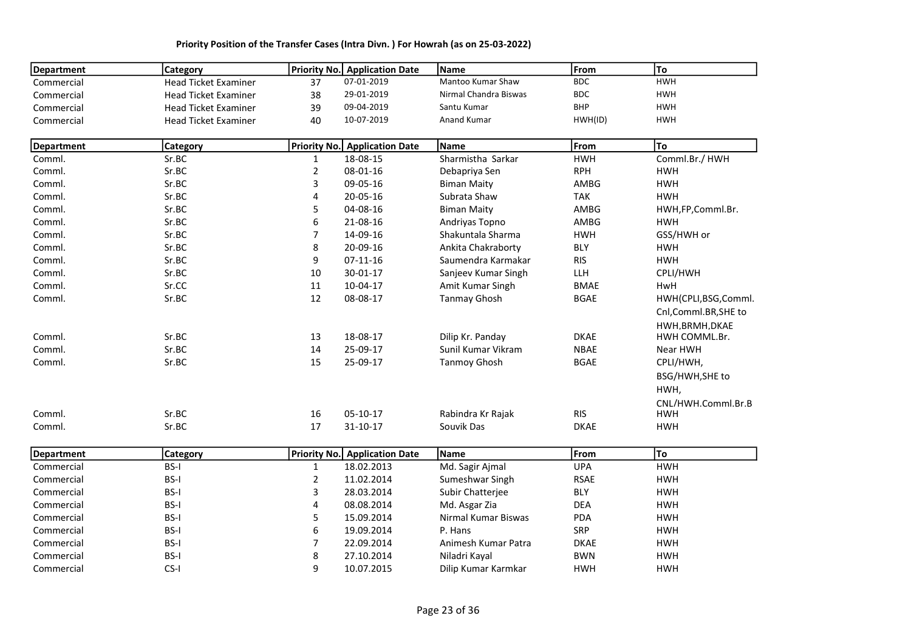| <b>Department</b> | Category                    |                | Priority No. Application Date        | Name                  | From        | To                           |
|-------------------|-----------------------------|----------------|--------------------------------------|-----------------------|-------------|------------------------------|
| Commercial        | <b>Head Ticket Examiner</b> | 37             | 07-01-2019                           | Mantoo Kumar Shaw     | <b>BDC</b>  | <b>HWH</b>                   |
| Commercial        | <b>Head Ticket Examiner</b> | 38             | 29-01-2019                           | Nirmal Chandra Biswas | <b>BDC</b>  | <b>HWH</b>                   |
| Commercial        | <b>Head Ticket Examiner</b> | 39             | 09-04-2019                           | Santu Kumar           | <b>BHP</b>  | <b>HWH</b>                   |
| Commercial        | <b>Head Ticket Examiner</b> | 40             | 10-07-2019                           | Anand Kumar           | HWH(ID)     | <b>HWH</b>                   |
| <b>Department</b> | <b>Category</b>             |                | <b>Priority No.</b> Application Date | Name                  | From        | To                           |
| Comml.            | Sr.BC                       | 1              | 18-08-15                             | Sharmistha Sarkar     | <b>HWH</b>  | Comml.Br./ HWH               |
| Comml.            | Sr.BC                       | $\overline{2}$ | 08-01-16                             | Debapriya Sen         | <b>RPH</b>  | <b>HWH</b>                   |
| Comml.            | Sr.BC                       | $\mathsf 3$    | 09-05-16                             | <b>Biman Maity</b>    | AMBG        | <b>HWH</b>                   |
| Comml.            | Sr.BC                       | 4              | 20-05-16                             | Subrata Shaw          | <b>TAK</b>  | <b>HWH</b>                   |
| Comml.            | Sr.BC                       | 5              | 04-08-16                             | <b>Biman Maity</b>    | AMBG        | HWH,FP,Comml.Br.             |
| Comml.            | Sr.BC                       | 6              | 21-08-16                             | Andriyas Topno        | AMBG        | <b>HWH</b>                   |
| Comml.            | Sr.BC                       | $\overline{7}$ | 14-09-16                             | Shakuntala Sharma     | <b>HWH</b>  | GSS/HWH or                   |
| Comml.            | Sr.BC                       | 8              | 20-09-16                             | Ankita Chakraborty    | <b>BLY</b>  | <b>HWH</b>                   |
| Comml.            | Sr.BC                       | 9              | $07 - 11 - 16$                       | Saumendra Karmakar    | <b>RIS</b>  | <b>HWH</b>                   |
| Comml.            | Sr.BC                       | 10             | 30-01-17                             | Sanjeev Kumar Singh   | LLH         | CPLI/HWH                     |
| Comml.            | Sr.CC                       | 11             | 10-04-17                             | Amit Kumar Singh      | <b>BMAE</b> | HwH                          |
| Comml.            | Sr.BC                       | 12             | 08-08-17                             | <b>Tanmay Ghosh</b>   | <b>BGAE</b> | HWH(CPLI,BSG,Comml.          |
|                   |                             |                |                                      |                       |             | Cnl,Comml.BR,SHE to          |
|                   |                             |                |                                      |                       |             | HWH, BRMH, DKAE              |
| Comml.            | Sr.BC                       | 13             | 18-08-17                             | Dilip Kr. Panday      | <b>DKAE</b> | HWH COMML.Br.                |
| Comml.            | Sr.BC                       | 14             | 25-09-17                             | Sunil Kumar Vikram    | <b>NBAE</b> | Near HWH                     |
| Comml.            | Sr.BC                       | 15             | 25-09-17                             | <b>Tanmoy Ghosh</b>   | <b>BGAE</b> | CPLI/HWH,<br>BSG/HWH, SHE to |
|                   |                             |                |                                      |                       |             |                              |
|                   |                             |                |                                      |                       |             | HWH,                         |
|                   | Sr.BC                       |                | $05 - 10 - 17$                       |                       | <b>RIS</b>  | CNL/HWH.Comml.Br.B           |
| Comml.            |                             | 16             |                                      | Rabindra Kr Rajak     |             | <b>HWH</b>                   |
| Comml.            | Sr.BC                       | 17             | 31-10-17                             | Souvik Das            | <b>DKAE</b> | <b>HWH</b>                   |
| <b>Department</b> | Category                    |                | <b>Priority No.</b> Application Date | Name                  | From        | To                           |
| Commercial        | BS-I                        | 1              | 18.02.2013                           | Md. Sagir Ajmal       | <b>UPA</b>  | <b>HWH</b>                   |
| Commercial        | BS-I                        | $\overline{2}$ | 11.02.2014                           | Sumeshwar Singh       | <b>RSAE</b> | <b>HWH</b>                   |
| Commercial        | BS-I                        | 3              | 28.03.2014                           | Subir Chatterjee      | <b>BLY</b>  | <b>HWH</b>                   |
| Commercial        | BS-I                        | 4              | 08.08.2014                           | Md. Asgar Zia         | <b>DEA</b>  | <b>HWH</b>                   |
| Commercial        | BS-I                        | 5              | 15.09.2014                           | Nirmal Kumar Biswas   | PDA         | <b>HWH</b>                   |
| Commercial        | BS-I                        | 6              | 19.09.2014                           | P. Hans               | SRP         | <b>HWH</b>                   |
| Commercial        | BS-I                        | $\overline{7}$ | 22.09.2014                           | Animesh Kumar Patra   | <b>DKAE</b> | <b>HWH</b>                   |
| Commercial        | BS-I                        | 8              | 27.10.2014                           | Niladri Kayal         | <b>BWN</b>  | <b>HWH</b>                   |
| Commercial        | $CS-I$                      | 9              | 10.07.2015                           | Dilip Kumar Karmkar   | <b>HWH</b>  | <b>HWH</b>                   |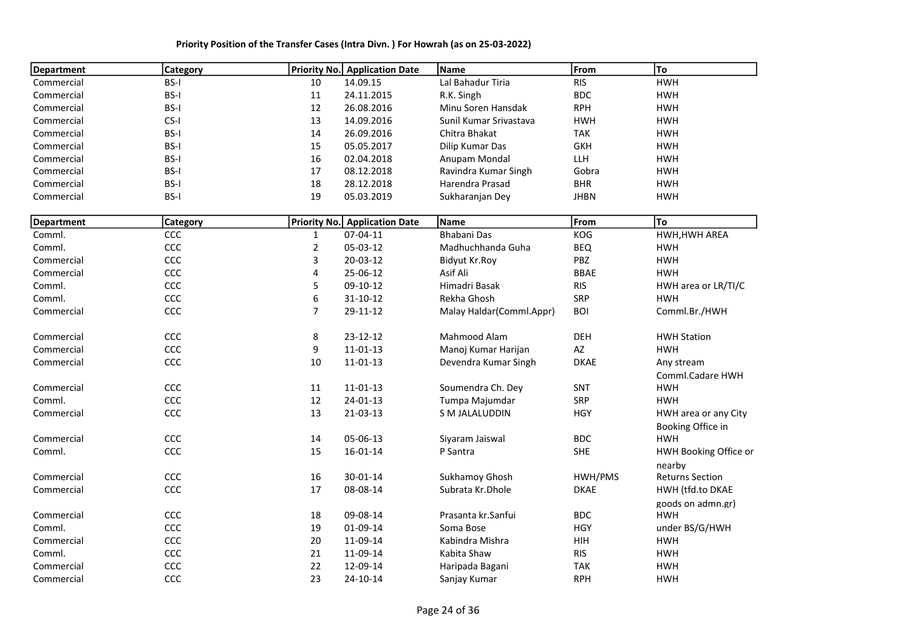| <b>Department</b> | <b>Category</b> |                | <b>Priority No.</b> Application Date | Name                     | From        | To                     |
|-------------------|-----------------|----------------|--------------------------------------|--------------------------|-------------|------------------------|
| Commercial        | BS-I            | 10             | 14.09.15                             | Lal Bahadur Tiria        | <b>RIS</b>  | <b>HWH</b>             |
| Commercial        | BS-I            | 11             | 24.11.2015                           | R.K. Singh               | <b>BDC</b>  | <b>HWH</b>             |
| Commercial        | BS-I            | 12             | 26.08.2016                           | Minu Soren Hansdak       | <b>RPH</b>  | <b>HWH</b>             |
| Commercial        | $CS-I$          | 13             | 14.09.2016                           | Sunil Kumar Srivastava   | <b>HWH</b>  | <b>HWH</b>             |
| Commercial        | BS-I            | 14             | 26.09.2016                           | Chitra Bhakat            | <b>TAK</b>  | <b>HWH</b>             |
| Commercial        | BS-I            | 15             | 05.05.2017                           | Dilip Kumar Das          | <b>GKH</b>  | <b>HWH</b>             |
| Commercial        | BS-I            | 16             | 02.04.2018                           | Anupam Mondal            | LLH         | <b>HWH</b>             |
| Commercial        | BS-I            | 17             | 08.12.2018                           | Ravindra Kumar Singh     | Gobra       | <b>HWH</b>             |
| Commercial        | BS-I            | 18             | 28.12.2018                           | Harendra Prasad          | <b>BHR</b>  | <b>HWH</b>             |
| Commercial        | BS-I            | 19             | 05.03.2019                           | Sukharanjan Dey          | <b>JHBN</b> | <b>HWH</b>             |
| <b>Department</b> | Category        |                | Priority No. Application Date        | Name                     | From        | To                     |
| Comml.            | CCC             | $\mathbf{1}$   | 07-04-11                             | <b>Bhabani Das</b>       | KOG         | HWH, HWH AREA          |
| Comml.            | CCC             | $\mathbf 2$    | 05-03-12                             | Madhuchhanda Guha        | <b>BEQ</b>  | <b>HWH</b>             |
| Commercial        | CCC             | 3              | 20-03-12                             | Bidyut Kr.Roy            | PBZ         | <b>HWH</b>             |
| Commercial        | CCC             | 4              | 25-06-12                             | Asif Ali                 | <b>BBAE</b> | <b>HWH</b>             |
| Comml.            | CCC             | 5              | 09-10-12                             | Himadri Basak            | <b>RIS</b>  | HWH area or LR/TI/C    |
| Comml.            | CCC             | 6              | $31 - 10 - 12$                       | Rekha Ghosh              | <b>SRP</b>  | <b>HWH</b>             |
| Commercial        | CCC             | $\overline{7}$ | 29-11-12                             | Malay Haldar(Comml.Appr) | <b>BOI</b>  | Comml.Br./HWH          |
| Commercial        | CCC             | 8              | 23-12-12                             | Mahmood Alam             | <b>DEH</b>  | <b>HWH Station</b>     |
| Commercial        | CCC             | 9              | 11-01-13                             | Manoj Kumar Harijan      | AZ          | <b>HWH</b>             |
| Commercial        | CCC             | 10             | 11-01-13                             | Devendra Kumar Singh     | <b>DKAE</b> | Any stream             |
|                   |                 |                |                                      |                          |             | Comml.Cadare HWH       |
| Commercial        | CCC             | 11             | 11-01-13                             | Soumendra Ch. Dey        | SNT         | <b>HWH</b>             |
| Comml.            | CCC             | 12             | $24 - 01 - 13$                       | Tumpa Majumdar           | <b>SRP</b>  | <b>HWH</b>             |
| Commercial        | CCC             | 13             | 21-03-13                             | S M JALALUDDIN           | <b>HGY</b>  | HWH area or any City   |
|                   |                 |                |                                      |                          |             | Booking Office in      |
| Commercial        | CCC             | 14             | 05-06-13                             | Siyaram Jaiswal          | <b>BDC</b>  | <b>HWH</b>             |
| Comml.            | CCC             | 15             | 16-01-14                             | P Santra                 | <b>SHE</b>  | HWH Booking Office or  |
|                   |                 |                |                                      |                          |             | nearby                 |
| Commercial        | CCC             | 16             | 30-01-14                             | Sukhamoy Ghosh           | HWH/PMS     | <b>Returns Section</b> |
| Commercial        | CCC             | 17             | 08-08-14                             | Subrata Kr.Dhole         | <b>DKAE</b> | HWH (tfd.to DKAE       |
|                   |                 |                |                                      |                          |             | goods on admn.gr)      |
| Commercial        | CCC             | 18             | 09-08-14                             | Prasanta kr. Sanfui      | <b>BDC</b>  | <b>HWH</b>             |
| Comml.            | CCC             | 19             | 01-09-14                             | Soma Bose                | <b>HGY</b>  | under BS/G/HWH         |
| Commercial        | CCC             | 20             | 11-09-14                             | Kabindra Mishra          | <b>HIH</b>  | <b>HWH</b>             |
| Comml.            | CCC             | 21             | 11-09-14                             | Kabita Shaw              | <b>RIS</b>  | <b>HWH</b>             |
| Commercial        | CCC             | 22             | 12-09-14                             | Haripada Bagani          | <b>TAK</b>  | <b>HWH</b>             |
| Commercial        | CCC             | 23             | 24-10-14                             | Sanjay Kumar             | <b>RPH</b>  | <b>HWH</b>             |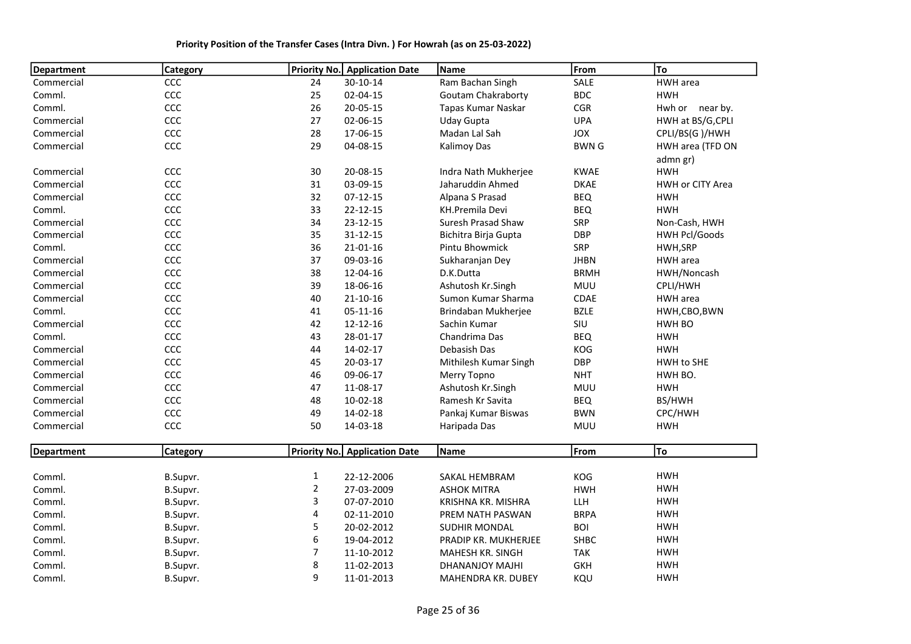| <b>Department</b> | <b>Category</b> |                | Priority No. Application Date | Name                      | From         | To                   |
|-------------------|-----------------|----------------|-------------------------------|---------------------------|--------------|----------------------|
| Commercial        | CCC             | 24             | 30-10-14                      | Ram Bachan Singh          | SALE         | HWH area             |
| Comml.            | CCC             | 25             | 02-04-15                      | <b>Goutam Chakraborty</b> | <b>BDC</b>   | <b>HWH</b>           |
| Comml.            | CCC             | 26             | 20-05-15                      | Tapas Kumar Naskar        | CGR          | Hwh or near by.      |
| Commercial        | CCC             | 27             | 02-06-15                      | Uday Gupta                | <b>UPA</b>   | HWH at BS/G, CPLI    |
| Commercial        | CCC             | 28             | 17-06-15                      | Madan Lal Sah             | <b>JOX</b>   | CPLI/BS(G)/HWH       |
| Commercial        | CCC             | 29             | 04-08-15                      | <b>Kalimoy Das</b>        | <b>BWN G</b> | HWH area (TFD ON     |
|                   |                 |                |                               |                           |              | admn gr)             |
| Commercial        | CCC             | 30             | 20-08-15                      | Indra Nath Mukherjee      | <b>KWAE</b>  | <b>HWH</b>           |
| Commercial        | CCC             | 31             | 03-09-15                      | Jaharuddin Ahmed          | <b>DKAE</b>  | HWH or CITY Area     |
| Commercial        | CCC             | 32             | $07-12-15$                    | Alpana S Prasad           | <b>BEQ</b>   | <b>HWH</b>           |
| Comml.            | CCC             | 33             | $22 - 12 - 15$                | <b>KH.Premila Devi</b>    | <b>BEQ</b>   | <b>HWH</b>           |
| Commercial        | CCC             | 34             | $23 - 12 - 15$                | Suresh Prasad Shaw        | SRP          | Non-Cash, HWH        |
| Commercial        | CCC             | 35             | $31 - 12 - 15$                | Bichitra Birja Gupta      | <b>DBP</b>   | <b>HWH Pcl/Goods</b> |
| Comml.            | CCC             | 36             | $21 - 01 - 16$                | Pintu Bhowmick            | SRP          | HWH, SRP             |
| Commercial        | CCC             | 37             | 09-03-16                      | Sukharanjan Dey           | <b>JHBN</b>  | HWH area             |
| Commercial        | CCC             | 38             | 12-04-16                      | D.K.Dutta                 | <b>BRMH</b>  | HWH/Noncash          |
| Commercial        | CCC             | 39             | 18-06-16                      | Ashutosh Kr.Singh         | MUU          | CPLI/HWH             |
| Commercial        | CCC             | 40             | $21 - 10 - 16$                | Sumon Kumar Sharma        | CDAE         | HWH area             |
| Comml.            | CCC             | 41             | $05 - 11 - 16$                | Brindaban Mukherjee       | <b>BZLE</b>  | HWH,CBO,BWN          |
| Commercial        | CCC             | 42             | 12-12-16                      | Sachin Kumar              | SIU          | HWH BO               |
| Comml.            | CCC             | 43             | 28-01-17                      | Chandrima Das             | <b>BEQ</b>   | <b>HWH</b>           |
| Commercial        | CCC             | 44             | 14-02-17                      | Debasish Das              | KOG          | <b>HWH</b>           |
| Commercial        | CCC             | 45             | 20-03-17                      | Mithilesh Kumar Singh     | <b>DBP</b>   | HWH to SHE           |
| Commercial        | CCC             | 46             | 09-06-17                      | Merry Topno               | <b>NHT</b>   | HWH BO.              |
| Commercial        | CCC             | 47             | 11-08-17                      | Ashutosh Kr.Singh         | <b>MUU</b>   | <b>HWH</b>           |
| Commercial        | CCC             | 48             | $10 - 02 - 18$                | Ramesh Kr Savita          | <b>BEQ</b>   | BS/HWH               |
| Commercial        | CCC             | 49             | 14-02-18                      | Pankaj Kumar Biswas       | <b>BWN</b>   | CPC/HWH              |
| Commercial        | CCC             | 50             | 14-03-18                      | Haripada Das              | <b>MUU</b>   | <b>HWH</b>           |
| <b>Department</b> | <b>Category</b> |                | Priority No. Application Date | Name                      | From         | To                   |
|                   |                 |                |                               |                           |              |                      |
| Comml.            | B.Supvr.        | $\mathbf{1}$   | 22-12-2006                    | SAKAL HEMBRAM             | KOG          | <b>HWH</b>           |
| Comml.            | B.Supvr.        | $\overline{2}$ | 27-03-2009                    | <b>ASHOK MITRA</b>        | <b>HWH</b>   | <b>HWH</b>           |
| Comml.            | B.Supvr.        | 3              | 07-07-2010                    | KRISHNA KR. MISHRA        | LLH          | <b>HWH</b>           |
| Comml.            | B.Supvr.        | 4              | 02-11-2010                    | PREM NATH PASWAN          | <b>BRPA</b>  | <b>HWH</b>           |
| Comml.            | B.Supvr.        | 5              | 20-02-2012                    | <b>SUDHIR MONDAL</b>      | <b>BOI</b>   | <b>HWH</b>           |
| Comml.            | B.Supvr.        | 6              | 19-04-2012                    | PRADIP KR. MUKHERJEE      | <b>SHBC</b>  | <b>HWH</b>           |
| Comml.            | B.Supvr.        | 7              | 11-10-2012                    | MAHESH KR. SINGH          | <b>TAK</b>   | <b>HWH</b>           |
| Comml.            | B.Supvr.        | 8              | 11-02-2013                    | DHANANJOY MAJHI           | <b>GKH</b>   | <b>HWH</b>           |
| Comml.            | B.Supvr.        | 9              | 11-01-2013                    | <b>MAHENDRA KR. DUBEY</b> | KQU          | <b>HWH</b>           |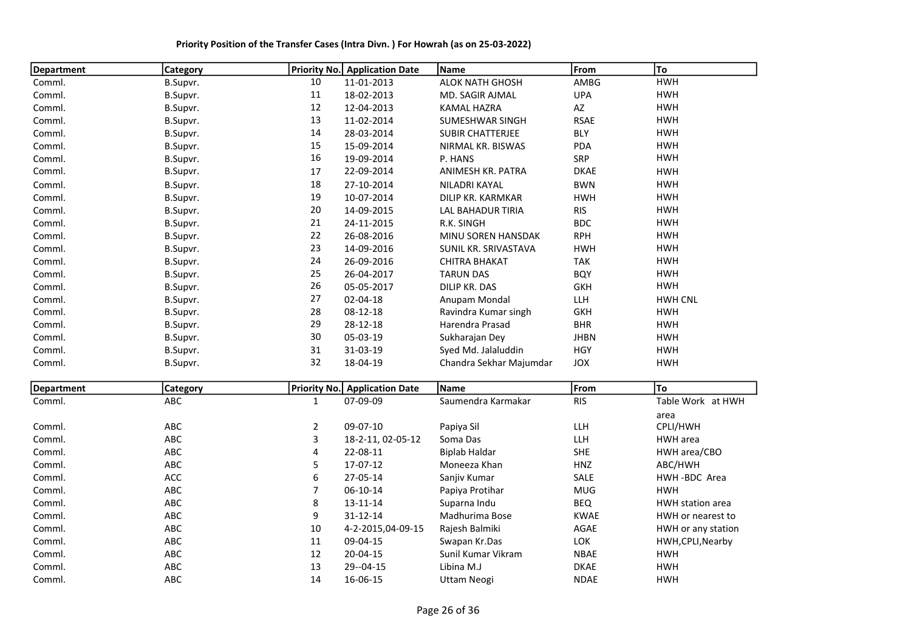| <b>Department</b> | <b>Category</b> |                | <b>Priority No.</b> Application Date | Name                    | From                   | To                 |
|-------------------|-----------------|----------------|--------------------------------------|-------------------------|------------------------|--------------------|
| Comml.            | B.Supvr.        | 10             | 11-01-2013                           | <b>ALOK NATH GHOSH</b>  | AMBG                   | <b>HWH</b>         |
| Comml.            | B.Supvr.        | 11             | 18-02-2013                           | MD. SAGIR AJMAL         | <b>UPA</b>             | <b>HWH</b>         |
| Comml.            | B.Supvr.        | 12             | 12-04-2013                           | <b>KAMAL HAZRA</b>      | $\mathsf{A}\mathsf{Z}$ | <b>HWH</b>         |
| Comml.            | B.Supvr.        | 13             | 11-02-2014                           | SUMESHWAR SINGH         | <b>RSAE</b>            | <b>HWH</b>         |
| Comml.            | B.Supvr.        | 14             | 28-03-2014                           | SUBIR CHATTERJEE        | <b>BLY</b>             | <b>HWH</b>         |
| Comml.            | B.Supvr.        | 15             | 15-09-2014                           | NIRMAL KR. BISWAS       | PDA                    | <b>HWH</b>         |
| Comml.            | B.Supvr.        | 16             | 19-09-2014                           | P. HANS                 | SRP                    | <b>HWH</b>         |
| Comml.            | B.Supvr.        | 17             | 22-09-2014                           | ANIMESH KR. PATRA       | <b>DKAE</b>            | <b>HWH</b>         |
| Comml.            | B.Supvr.        | 18             | 27-10-2014                           | NILADRI KAYAL           | <b>BWN</b>             | <b>HWH</b>         |
| Comml.            | B.Supvr.        | 19             | 10-07-2014                           | DILIP KR. KARMKAR       | <b>HWH</b>             | <b>HWH</b>         |
| Comml.            | B.Supvr.        | 20             | 14-09-2015                           | LAL BAHADUR TIRIA       | <b>RIS</b>             | <b>HWH</b>         |
| Comml.            | B.Supvr.        | 21             | 24-11-2015                           | R.K. SINGH              | <b>BDC</b>             | <b>HWH</b>         |
| Comml.            | B.Supvr.        | 22             | 26-08-2016                           | MINU SOREN HANSDAK      | <b>RPH</b>             | <b>HWH</b>         |
| Comml.            | B.Supvr.        | 23             | 14-09-2016                           | SUNIL KR. SRIVASTAVA    | <b>HWH</b>             | <b>HWH</b>         |
| Comml.            | B.Supvr.        | 24             | 26-09-2016                           | <b>CHITRA BHAKAT</b>    | <b>TAK</b>             | <b>HWH</b>         |
| Comml.            | B.Supvr.        | 25             | 26-04-2017                           | <b>TARUN DAS</b>        | <b>BQY</b>             | <b>HWH</b>         |
| Comml.            | B.Supvr.        | 26             | 05-05-2017                           | DILIP KR. DAS           | <b>GKH</b>             | <b>HWH</b>         |
| Comml.            | B.Supvr.        | 27             | 02-04-18                             | Anupam Mondal           | LLH                    | <b>HWH CNL</b>     |
| Comml.            | B.Supvr.        | 28             | $08 - 12 - 18$                       | Ravindra Kumar singh    | <b>GKH</b>             | <b>HWH</b>         |
| Comml.            | B.Supvr.        | 29             | 28-12-18                             | Harendra Prasad         | <b>BHR</b>             | <b>HWH</b>         |
| Comml.            | B.Supvr.        | 30             | 05-03-19                             | Sukharajan Dey          | <b>JHBN</b>            | <b>HWH</b>         |
| Comml.            | B.Supvr.        | 31             | 31-03-19                             | Syed Md. Jalaluddin     | <b>HGY</b>             | <b>HWH</b>         |
| Comml.            | B.Supvr.        | 32             | 18-04-19                             | Chandra Sekhar Majumdar | JOX                    | <b>HWH</b>         |
| <b>Department</b> | <b>Category</b> |                | Priority No. Application Date        | Name                    | From                   | To                 |
| Comml.            | ABC             | $\mathbf{1}$   | 07-09-09                             | Saumendra Karmakar      | <b>RIS</b>             | Table Work at HWH  |
|                   |                 |                |                                      |                         |                        | area               |
| Comml.            | ABC             | $\overline{2}$ | 09-07-10                             | Papiya Sil              | LLH                    | CPLI/HWH           |
| Comml.            | ABC             | 3              | 18-2-11, 02-05-12                    | Soma Das                | LLH                    | HWH area           |
| Comml.            | ABC             | 4              | 22-08-11                             | <b>Biplab Haldar</b>    | <b>SHE</b>             | HWH area/CBO       |
| Comml.            | ABC             | 5              | 17-07-12                             | Moneeza Khan            | HNZ                    | ABC/HWH            |
| Comml.            | ACC             | 6              | 27-05-14                             | Sanjiv Kumar            | SALE                   | HWH-BDC Area       |
| Comml.            | ABC             | $\overline{7}$ | 06-10-14                             | Papiya Protihar         | <b>MUG</b>             | <b>HWH</b>         |
| Comml.            | ABC             | 8              | 13-11-14                             | Suparna Indu            | <b>BEQ</b>             | HWH station area   |
| Comml.            | ABC             | 9              | 31-12-14                             | Madhurima Bose          | <b>KWAE</b>            | HWH or nearest to  |
| Comml.            | ABC             | 10             | 4-2-2015,04-09-15                    | Rajesh Balmiki          | AGAE                   | HWH or any station |
| Comml.            | ABC             | 11             | 09-04-15                             | Swapan Kr.Das           | LOK                    | HWH, CPLI, Nearby  |
| Comml.            | ABC             | 12             | 20-04-15                             | Sunil Kumar Vikram      | <b>NBAE</b>            | <b>HWH</b>         |
| Comml.            | ABC             | 13             | 29 -- 04 - 15                        | Libina M.J              | <b>DKAE</b>            | <b>HWH</b>         |
| Comml.            | ABC             | 14             | 16-06-15                             | <b>Uttam Neogi</b>      | <b>NDAE</b>            | <b>HWH</b>         |

Priority Position of the Transfer Cases (Intra Divn. ) For Howrah (as on 25-03-2022)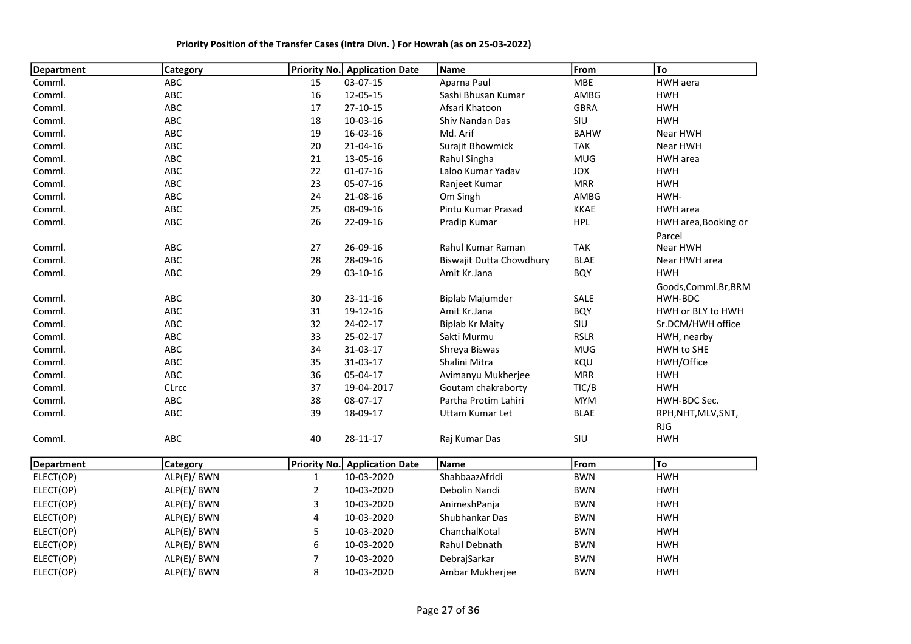| <b>Department</b> | Category        |    | <b>Priority No.</b> Application Date | Name                     | From        | To                   |
|-------------------|-----------------|----|--------------------------------------|--------------------------|-------------|----------------------|
| Comml.            | ABC             | 15 | 03-07-15                             | Aparna Paul              | <b>MBE</b>  | HWH aera             |
| Comml.            | ABC             | 16 | 12-05-15                             | Sashi Bhusan Kumar       | AMBG        | <b>HWH</b>           |
| Comml.            | ABC             | 17 | 27-10-15                             | Afsari Khatoon           | <b>GBRA</b> | <b>HWH</b>           |
| Comml.            | ABC             | 18 | 10-03-16                             | Shiv Nandan Das          | SIU         | <b>HWH</b>           |
| Comml.            | ABC             | 19 | 16-03-16                             | Md. Arif                 | <b>BAHW</b> | Near HWH             |
| Comml.            | ABC             | 20 | 21-04-16                             | Surajit Bhowmick         | <b>TAK</b>  | Near HWH             |
| Comml.            | ABC             | 21 | 13-05-16                             | Rahul Singha             | <b>MUG</b>  | <b>HWH</b> area      |
| Comml.            | ABC             | 22 | 01-07-16                             | Laloo Kumar Yadav        | JOX         | <b>HWH</b>           |
| Comml.            | ABC             | 23 | 05-07-16                             | Ranjeet Kumar            | <b>MRR</b>  | <b>HWH</b>           |
| Comml.            | ABC             | 24 | 21-08-16                             | Om Singh                 | AMBG        | HWH-                 |
| Comml.            | ABC             | 25 | 08-09-16                             | Pintu Kumar Prasad       | <b>KKAE</b> | HWH area             |
| Comml.            | ABC             | 26 | 22-09-16                             | Pradip Kumar             | <b>HPL</b>  | HWH area, Booking or |
|                   |                 |    |                                      |                          |             | Parcel               |
| Comml.            | ABC             | 27 | 26-09-16                             | Rahul Kumar Raman        | <b>TAK</b>  | Near HWH             |
| Comml.            | ABC             | 28 | 28-09-16                             | Biswajit Dutta Chowdhury | <b>BLAE</b> | Near HWH area        |
| Comml.            | ABC             | 29 | $03-10-16$                           | Amit Kr.Jana             | <b>BQY</b>  | <b>HWH</b>           |
|                   |                 |    |                                      |                          |             | Goods, Comml.Br, BRM |
| Comml.            | ABC             | 30 | $23 - 11 - 16$                       | <b>Biplab Majumder</b>   | SALE        | HWH-BDC              |
| Comml.            | ABC             | 31 | 19-12-16                             | Amit Kr.Jana             | <b>BQY</b>  | HWH or BLY to HWH    |
| Comml.            | ABC             | 32 | 24-02-17                             | <b>Biplab Kr Maity</b>   | SIU         | Sr.DCM/HWH office    |
| Comml.            | <b>ABC</b>      | 33 | 25-02-17                             | Sakti Murmu              | <b>RSLR</b> | HWH, nearby          |
| Comml.            | ABC             | 34 | 31-03-17                             | Shreya Biswas            | <b>MUG</b>  | HWH to SHE           |
| Comml.            | <b>ABC</b>      | 35 | 31-03-17                             | Shalini Mitra            | KQU         | HWH/Office           |
| Comml.            | ABC             | 36 | 05-04-17                             | Avimanyu Mukherjee       | <b>MRR</b>  | <b>HWH</b>           |
| Comml.            | CLrcc           | 37 | 19-04-2017                           | Goutam chakraborty       | TIC/B       | <b>HWH</b>           |
| Comml.            | ABC             | 38 | 08-07-17                             | Partha Protim Lahiri     | <b>MYM</b>  | HWH-BDC Sec.         |
| Comml.            | ABC             | 39 | 18-09-17                             | <b>Uttam Kumar Let</b>   | <b>BLAE</b> | RPH, NHT, MLV, SNT,  |
|                   |                 |    |                                      |                          |             | <b>RJG</b>           |
| Comml.            | ABC             | 40 | 28-11-17                             | Raj Kumar Das            | SIU         | <b>HWH</b>           |
| <b>Department</b> | <b>Category</b> |    | <b>Priority No. Application Date</b> | Name                     | From        | To                   |
| ELECT(OP)         | ALP(E)/ BWN     | 1  | 10-03-2020                           | ShahbaazAfridi           | <b>BWN</b>  | <b>HWH</b>           |
| ELECT(OP)         | ALP(E)/ BWN     | 2  | 10-03-2020                           | Debolin Nandi            | <b>BWN</b>  | <b>HWH</b>           |
| ELECT(OP)         | ALP(E)/ BWN     | 3  | 10-03-2020                           | AnimeshPanja             | <b>BWN</b>  | <b>HWH</b>           |

ELECT(OP) ALP(E)/ BWN 4 10-03-2020 Shubhankar Das BWN HWH ELECT(OP) ALP(E)/ BWN 5 10-03-2020 ChanchalKotal BWN HWH ELECT(OP) ALP(E)/ BWN 6 10-03-2020 Rahul Debnath BWN HWH ELECT(OP) ALP(E)/ BWN 7 10-03-2020 DebrajSarkar BWN HWH ELECT(OP) ALP(E)/ BWN 8 10-03-2020 Ambar Mukherjee BWN HWH

Priority Position of the Transfer Cases (Intra Divn. ) For Howrah (as on 25-03-2022)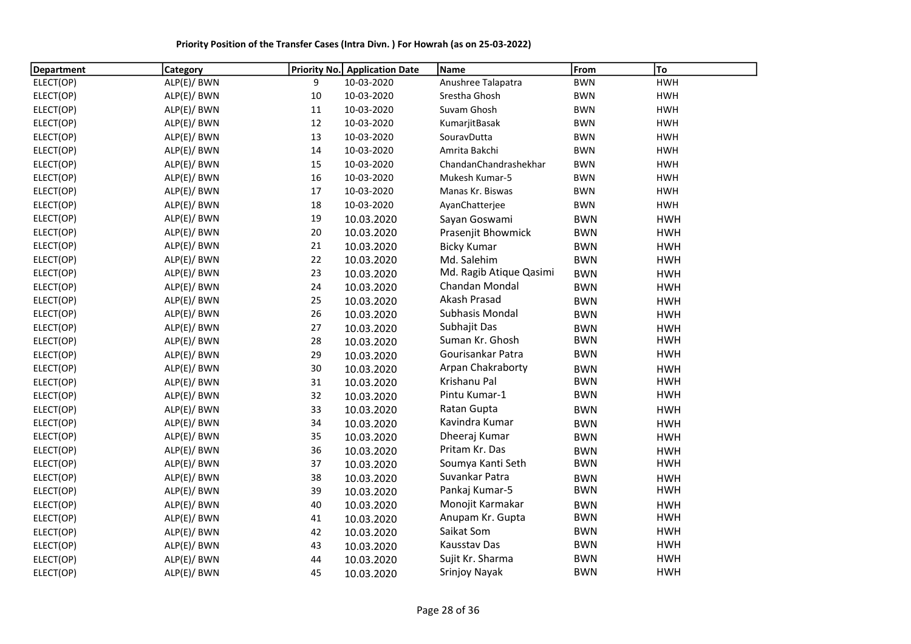Priority Position of the Transfer Cases (Intra Divn. ) For Howrah (as on 25-03-2022)

| <b>Department</b> | Category    | Priority No. | <b>Application Date</b> | Name                    | From       | To         |
|-------------------|-------------|--------------|-------------------------|-------------------------|------------|------------|
| ELECT(OP)         | ALP(E)/ BWN | 9            | 10-03-2020              | Anushree Talapatra      | <b>BWN</b> | <b>HWH</b> |
| ELECT(OP)         | ALP(E)/ BWN | $10\,$       | 10-03-2020              | Srestha Ghosh           | <b>BWN</b> | <b>HWH</b> |
| ELECT(OP)         | ALP(E)/ BWN | 11           | 10-03-2020              | Suvam Ghosh             | <b>BWN</b> | <b>HWH</b> |
| ELECT(OP)         | ALP(E)/ BWN | 12           | 10-03-2020              | KumarjitBasak           | <b>BWN</b> | <b>HWH</b> |
| ELECT(OP)         | ALP(E)/ BWN | 13           | 10-03-2020              | SouravDutta             | <b>BWN</b> | <b>HWH</b> |
| ELECT(OP)         | ALP(E)/ BWN | 14           | 10-03-2020              | Amrita Bakchi           | <b>BWN</b> | <b>HWH</b> |
| ELECT(OP)         | ALP(E)/ BWN | 15           | 10-03-2020              | ChandanChandrashekhar   | <b>BWN</b> | <b>HWH</b> |
| ELECT(OP)         | ALP(E)/ BWN | 16           | 10-03-2020              | Mukesh Kumar-5          | <b>BWN</b> | <b>HWH</b> |
| ELECT(OP)         | ALP(E)/ BWN | 17           | 10-03-2020              | Manas Kr. Biswas        | <b>BWN</b> | <b>HWH</b> |
| ELECT(OP)         | ALP(E)/ BWN | 18           | 10-03-2020              | AyanChatterjee          | <b>BWN</b> | <b>HWH</b> |
| ELECT(OP)         | ALP(E)/ BWN | 19           | 10.03.2020              | Sayan Goswami           | <b>BWN</b> | <b>HWH</b> |
| ELECT(OP)         | ALP(E)/ BWN | 20           | 10.03.2020              | Prasenjit Bhowmick      | <b>BWN</b> | <b>HWH</b> |
| ELECT(OP)         | ALP(E)/ BWN | 21           | 10.03.2020              | <b>Bicky Kumar</b>      | <b>BWN</b> | <b>HWH</b> |
| ELECT(OP)         | ALP(E)/ BWN | 22           | 10.03.2020              | Md. Salehim             | <b>BWN</b> | <b>HWH</b> |
| ELECT(OP)         | ALP(E)/ BWN | 23           | 10.03.2020              | Md. Ragib Atique Qasimi | <b>BWN</b> | <b>HWH</b> |
| ELECT(OP)         | ALP(E)/ BWN | 24           | 10.03.2020              | Chandan Mondal          | <b>BWN</b> | <b>HWH</b> |
| ELECT(OP)         | ALP(E)/ BWN | 25           | 10.03.2020              | Akash Prasad            | <b>BWN</b> | <b>HWH</b> |
| ELECT(OP)         | ALP(E)/ BWN | 26           | 10.03.2020              | Subhasis Mondal         | <b>BWN</b> | <b>HWH</b> |
| ELECT(OP)         | ALP(E)/ BWN | 27           | 10.03.2020              | Subhajit Das            | <b>BWN</b> | <b>HWH</b> |
| ELECT(OP)         | ALP(E)/ BWN | 28           | 10.03.2020              | Suman Kr. Ghosh         | <b>BWN</b> | <b>HWH</b> |
| ELECT(OP)         | ALP(E)/ BWN | 29           | 10.03.2020              | Gourisankar Patra       | <b>BWN</b> | <b>HWH</b> |
| ELECT(OP)         | ALP(E)/ BWN | 30           | 10.03.2020              | Arpan Chakraborty       | <b>BWN</b> | <b>HWH</b> |
| ELECT(OP)         | ALP(E)/ BWN | 31           | 10.03.2020              | Krishanu Pal            | <b>BWN</b> | <b>HWH</b> |
| ELECT(OP)         | ALP(E)/ BWN | 32           | 10.03.2020              | Pintu Kumar-1           | <b>BWN</b> | <b>HWH</b> |
| ELECT(OP)         | ALP(E)/ BWN | 33           | 10.03.2020              | Ratan Gupta             | <b>BWN</b> | <b>HWH</b> |
| ELECT(OP)         | ALP(E)/ BWN | 34           | 10.03.2020              | Kavindra Kumar          | <b>BWN</b> | <b>HWH</b> |
| ELECT(OP)         | ALP(E)/ BWN | 35           | 10.03.2020              | Dheeraj Kumar           | <b>BWN</b> | <b>HWH</b> |
| ELECT(OP)         | ALP(E)/ BWN | 36           | 10.03.2020              | Pritam Kr. Das          | <b>BWN</b> | <b>HWH</b> |
| ELECT(OP)         | ALP(E)/ BWN | 37           | 10.03.2020              | Soumya Kanti Seth       | <b>BWN</b> | <b>HWH</b> |
| ELECT(OP)         | ALP(E)/ BWN | 38           | 10.03.2020              | Suvankar Patra          | <b>BWN</b> | <b>HWH</b> |
| ELECT(OP)         | ALP(E)/ BWN | 39           | 10.03.2020              | Pankaj Kumar-5          | <b>BWN</b> | <b>HWH</b> |
| ELECT(OP)         | ALP(E)/ BWN | 40           | 10.03.2020              | Monojit Karmakar        | <b>BWN</b> | <b>HWH</b> |
| ELECT(OP)         | ALP(E)/ BWN | 41           | 10.03.2020              | Anupam Kr. Gupta        | <b>BWN</b> | <b>HWH</b> |
| ELECT(OP)         | ALP(E)/ BWN | 42           | 10.03.2020              | Saikat Som              | <b>BWN</b> | <b>HWH</b> |
| ELECT(OP)         | ALP(E)/ BWN | 43           | 10.03.2020              | Kausstav Das            | <b>BWN</b> | <b>HWH</b> |
| ELECT(OP)         | ALP(E)/ BWN | 44           | 10.03.2020              | Sujit Kr. Sharma        | <b>BWN</b> | <b>HWH</b> |
| ELECT(OP)         | ALP(E)/ BWN | 45           | 10.03.2020              | Srinjoy Nayak           | <b>BWN</b> | <b>HWH</b> |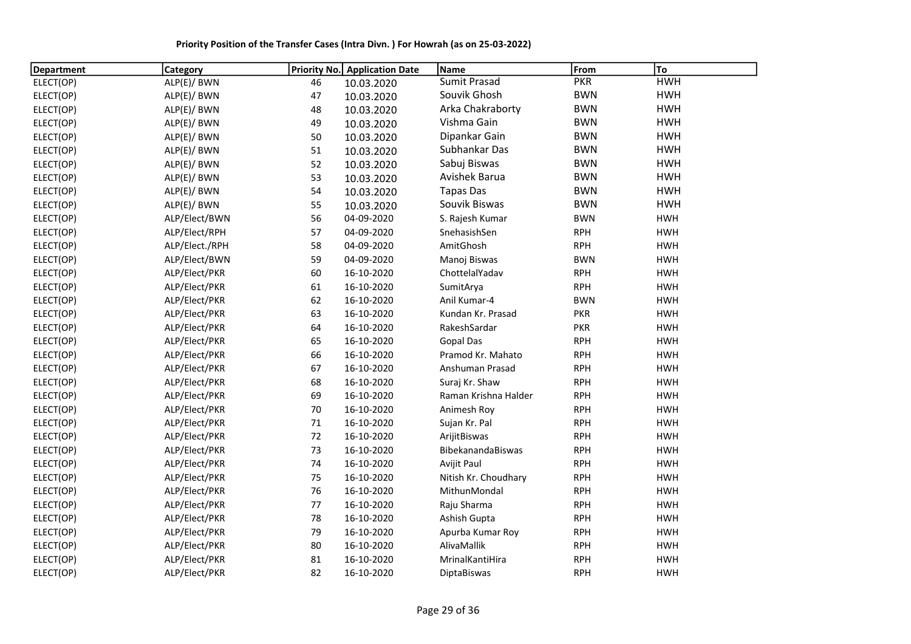Priority Position of the Transfer Cases (Intra Divn. ) For Howrah (as on 25-03-2022)

| Department | <b>Category</b> | <b>Priority No.</b> | <b>Application Date</b> | Name                 | From       | To         |
|------------|-----------------|---------------------|-------------------------|----------------------|------------|------------|
| ELECT(OP)  | ALP(E)/ BWN     | 46                  | 10.03.2020              | <b>Sumit Prasad</b>  | <b>PKR</b> | <b>HWH</b> |
| ELECT(OP)  | ALP(E)/ BWN     | 47                  | 10.03.2020              | Souvik Ghosh         | <b>BWN</b> | <b>HWH</b> |
| ELECT(OP)  | ALP(E)/ BWN     | 48                  | 10.03.2020              | Arka Chakraborty     | <b>BWN</b> | <b>HWH</b> |
| ELECT(OP)  | ALP(E)/ BWN     | 49                  | 10.03.2020              | Vishma Gain          | <b>BWN</b> | <b>HWH</b> |
| ELECT(OP)  | ALP(E)/ BWN     | 50                  | 10.03.2020              | Dipankar Gain        | <b>BWN</b> | <b>HWH</b> |
| ELECT(OP)  | ALP(E)/ BWN     | 51                  | 10.03.2020              | Subhankar Das        | <b>BWN</b> | <b>HWH</b> |
| ELECT(OP)  | ALP(E)/ BWN     | 52                  | 10.03.2020              | Sabuj Biswas         | <b>BWN</b> | <b>HWH</b> |
| ELECT(OP)  | ALP(E)/ BWN     | 53                  | 10.03.2020              | Avishek Barua        | <b>BWN</b> | <b>HWH</b> |
| ELECT(OP)  | ALP(E)/ BWN     | 54                  | 10.03.2020              | <b>Tapas Das</b>     | <b>BWN</b> | <b>HWH</b> |
| ELECT(OP)  | ALP(E)/ BWN     | 55                  | 10.03.2020              | Souvik Biswas        | <b>BWN</b> | <b>HWH</b> |
| ELECT(OP)  | ALP/Elect/BWN   | 56                  | 04-09-2020              | S. Rajesh Kumar      | <b>BWN</b> | <b>HWH</b> |
| ELECT(OP)  | ALP/Elect/RPH   | 57                  | 04-09-2020              | SnehasishSen         | <b>RPH</b> | <b>HWH</b> |
| ELECT(OP)  | ALP/Elect./RPH  | 58                  | 04-09-2020              | AmitGhosh            | <b>RPH</b> | <b>HWH</b> |
| ELECT(OP)  | ALP/Elect/BWN   | 59                  | 04-09-2020              | Manoj Biswas         | <b>BWN</b> | <b>HWH</b> |
| ELECT(OP)  | ALP/Elect/PKR   | 60                  | 16-10-2020              | ChottelalYadav       | <b>RPH</b> | <b>HWH</b> |
| ELECT(OP)  | ALP/Elect/PKR   | 61                  | 16-10-2020              | SumitArya            | <b>RPH</b> | <b>HWH</b> |
| ELECT(OP)  | ALP/Elect/PKR   | 62                  | 16-10-2020              | Anil Kumar-4         | <b>BWN</b> | <b>HWH</b> |
| ELECT(OP)  | ALP/Elect/PKR   | 63                  | 16-10-2020              | Kundan Kr. Prasad    | <b>PKR</b> | <b>HWH</b> |
| ELECT(OP)  | ALP/Elect/PKR   | 64                  | 16-10-2020              | RakeshSardar         | <b>PKR</b> | <b>HWH</b> |
| ELECT(OP)  | ALP/Elect/PKR   | 65                  | 16-10-2020              | <b>Gopal Das</b>     | <b>RPH</b> | <b>HWH</b> |
| ELECT(OP)  | ALP/Elect/PKR   | 66                  | 16-10-2020              | Pramod Kr. Mahato    | <b>RPH</b> | <b>HWH</b> |
| ELECT(OP)  | ALP/Elect/PKR   | 67                  | 16-10-2020              | Anshuman Prasad      | <b>RPH</b> | <b>HWH</b> |
| ELECT(OP)  | ALP/Elect/PKR   | 68                  | 16-10-2020              | Suraj Kr. Shaw       | <b>RPH</b> | <b>HWH</b> |
| ELECT(OP)  | ALP/Elect/PKR   | 69                  | 16-10-2020              | Raman Krishna Halder | <b>RPH</b> | <b>HWH</b> |
| ELECT(OP)  | ALP/Elect/PKR   | 70                  | 16-10-2020              | Animesh Roy          | <b>RPH</b> | <b>HWH</b> |
| ELECT(OP)  | ALP/Elect/PKR   | 71                  | 16-10-2020              | Sujan Kr. Pal        | <b>RPH</b> | <b>HWH</b> |
| ELECT(OP)  | ALP/Elect/PKR   | 72                  | 16-10-2020              | ArijitBiswas         | <b>RPH</b> | <b>HWH</b> |
| ELECT(OP)  | ALP/Elect/PKR   | 73                  | 16-10-2020              | BibekanandaBiswas    | <b>RPH</b> | <b>HWH</b> |
| ELECT(OP)  | ALP/Elect/PKR   | 74                  | 16-10-2020              | Avijit Paul          | <b>RPH</b> | <b>HWH</b> |
| ELECT(OP)  | ALP/Elect/PKR   | 75                  | 16-10-2020              | Nitish Kr. Choudhary | <b>RPH</b> | <b>HWH</b> |
| ELECT(OP)  | ALP/Elect/PKR   | 76                  | 16-10-2020              | MithunMondal         | <b>RPH</b> | <b>HWH</b> |
| ELECT(OP)  | ALP/Elect/PKR   | 77                  | 16-10-2020              | Raju Sharma          | <b>RPH</b> | <b>HWH</b> |
| ELECT(OP)  | ALP/Elect/PKR   | 78                  | 16-10-2020              | Ashish Gupta         | <b>RPH</b> | <b>HWH</b> |
| ELECT(OP)  | ALP/Elect/PKR   | 79                  | 16-10-2020              | Apurba Kumar Roy     | <b>RPH</b> | <b>HWH</b> |
| ELECT(OP)  | ALP/Elect/PKR   | 80                  | 16-10-2020              | AlivaMallik          | <b>RPH</b> | <b>HWH</b> |
| ELECT(OP)  | ALP/Elect/PKR   | 81                  | 16-10-2020              | MrinalKantiHira      | <b>RPH</b> | <b>HWH</b> |
| ELECT(OP)  | ALP/Elect/PKR   | 82                  | 16-10-2020              | DiptaBiswas          | <b>RPH</b> | <b>HWH</b> |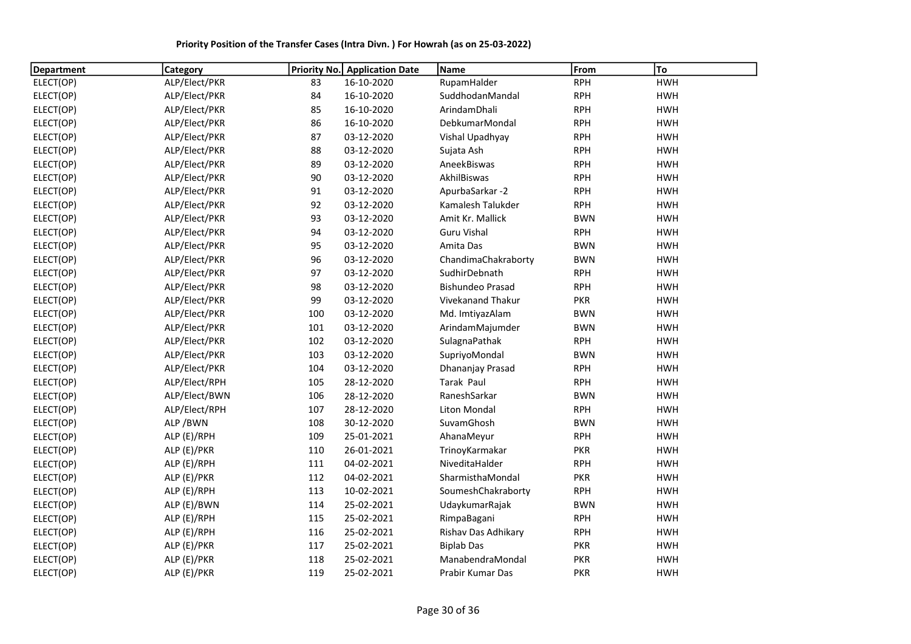| <b>Department</b> | Category      | Priority No. | <b>Application Date</b> | Name                    | From       | To         |
|-------------------|---------------|--------------|-------------------------|-------------------------|------------|------------|
| ELECT(OP)         | ALP/Elect/PKR | 83           | 16-10-2020              | RupamHalder             | <b>RPH</b> | <b>HWH</b> |
| ELECT(OP)         | ALP/Elect/PKR | 84           | 16-10-2020              | SuddhodanMandal         | <b>RPH</b> | <b>HWH</b> |
| ELECT(OP)         | ALP/Elect/PKR | 85           | 16-10-2020              | ArindamDhali            | <b>RPH</b> | <b>HWH</b> |
| ELECT(OP)         | ALP/Elect/PKR | 86           | 16-10-2020              | DebkumarMondal          | <b>RPH</b> | <b>HWH</b> |
| ELECT(OP)         | ALP/Elect/PKR | 87           | 03-12-2020              | Vishal Upadhyay         | <b>RPH</b> | <b>HWH</b> |
| ELECT(OP)         | ALP/Elect/PKR | 88           | 03-12-2020              | Sujata Ash              | <b>RPH</b> | <b>HWH</b> |
| ELECT(OP)         | ALP/Elect/PKR | 89           | 03-12-2020              | AneekBiswas             | <b>RPH</b> | <b>HWH</b> |
| ELECT(OP)         | ALP/Elect/PKR | 90           | 03-12-2020              | AkhilBiswas             | <b>RPH</b> | <b>HWH</b> |
| ELECT(OP)         | ALP/Elect/PKR | 91           | 03-12-2020              | ApurbaSarkar-2          | <b>RPH</b> | <b>HWH</b> |
| ELECT(OP)         | ALP/Elect/PKR | 92           | 03-12-2020              | Kamalesh Talukder       | <b>RPH</b> | <b>HWH</b> |
| ELECT(OP)         | ALP/Elect/PKR | 93           | 03-12-2020              | Amit Kr. Mallick        | <b>BWN</b> | <b>HWH</b> |
| ELECT(OP)         | ALP/Elect/PKR | 94           | 03-12-2020              | <b>Guru Vishal</b>      | <b>RPH</b> | <b>HWH</b> |
| ELECT(OP)         | ALP/Elect/PKR | 95           | 03-12-2020              | Amita Das               | <b>BWN</b> | <b>HWH</b> |
| ELECT(OP)         | ALP/Elect/PKR | 96           | 03-12-2020              | ChandimaChakraborty     | <b>BWN</b> | <b>HWH</b> |
| ELECT(OP)         | ALP/Elect/PKR | 97           | 03-12-2020              | SudhirDebnath           | <b>RPH</b> | <b>HWH</b> |
| ELECT(OP)         | ALP/Elect/PKR | 98           | 03-12-2020              | <b>Bishundeo Prasad</b> | <b>RPH</b> | <b>HWH</b> |
| ELECT(OP)         | ALP/Elect/PKR | 99           | 03-12-2020              | Vivekanand Thakur       | <b>PKR</b> | <b>HWH</b> |
| ELECT(OP)         | ALP/Elect/PKR | 100          | 03-12-2020              | Md. ImtiyazAlam         | <b>BWN</b> | <b>HWH</b> |
| ELECT(OP)         | ALP/Elect/PKR | 101          | 03-12-2020              | ArindamMajumder         | <b>BWN</b> | <b>HWH</b> |
| ELECT(OP)         | ALP/Elect/PKR | 102          | 03-12-2020              | SulagnaPathak           | <b>RPH</b> | <b>HWH</b> |
| ELECT(OP)         | ALP/Elect/PKR | 103          | 03-12-2020              | SupriyoMondal           | <b>BWN</b> | <b>HWH</b> |
| ELECT(OP)         | ALP/Elect/PKR | 104          | 03-12-2020              | Dhananjay Prasad        | <b>RPH</b> | <b>HWH</b> |
| ELECT(OP)         | ALP/Elect/RPH | 105          | 28-12-2020              | Tarak Paul              | <b>RPH</b> | <b>HWH</b> |
| ELECT(OP)         | ALP/Elect/BWN | 106          | 28-12-2020              | RaneshSarkar            | <b>BWN</b> | <b>HWH</b> |
| ELECT(OP)         | ALP/Elect/RPH | 107          | 28-12-2020              | Liton Mondal            | <b>RPH</b> | <b>HWH</b> |
| ELECT(OP)         | ALP/BWN       | 108          | 30-12-2020              | SuvamGhosh              | <b>BWN</b> | <b>HWH</b> |
| ELECT(OP)         | ALP (E)/RPH   | 109          | 25-01-2021              | AhanaMeyur              | <b>RPH</b> | <b>HWH</b> |
| ELECT(OP)         | ALP (E)/PKR   | 110          | 26-01-2021              | TrinoyKarmakar          | <b>PKR</b> | <b>HWH</b> |
| ELECT(OP)         | ALP (E)/RPH   | 111          | 04-02-2021              | NiveditaHalder          | <b>RPH</b> | <b>HWH</b> |
| ELECT(OP)         | ALP (E)/PKR   | 112          | 04-02-2021              | SharmisthaMondal        | <b>PKR</b> | <b>HWH</b> |
| ELECT(OP)         | ALP (E)/RPH   | 113          | 10-02-2021              | SoumeshChakraborty      | <b>RPH</b> | <b>HWH</b> |
| ELECT(OP)         | ALP (E)/BWN   | 114          | 25-02-2021              | UdaykumarRajak          | <b>BWN</b> | <b>HWH</b> |
| ELECT(OP)         | ALP (E)/RPH   | 115          | 25-02-2021              | RimpaBagani             | <b>RPH</b> | <b>HWH</b> |
| ELECT(OP)         | ALP (E)/RPH   | 116          | 25-02-2021              | Rishav Das Adhikary     | <b>RPH</b> | <b>HWH</b> |
| ELECT(OP)         | ALP (E)/PKR   | 117          | 25-02-2021              | <b>Biplab Das</b>       | <b>PKR</b> | <b>HWH</b> |
| ELECT(OP)         | ALP (E)/PKR   | 118          | 25-02-2021              | ManabendraMondal        | <b>PKR</b> | <b>HWH</b> |
| ELECT(OP)         | ALP (E)/PKR   | 119          | 25-02-2021              | Prabir Kumar Das        | <b>PKR</b> | <b>HWH</b> |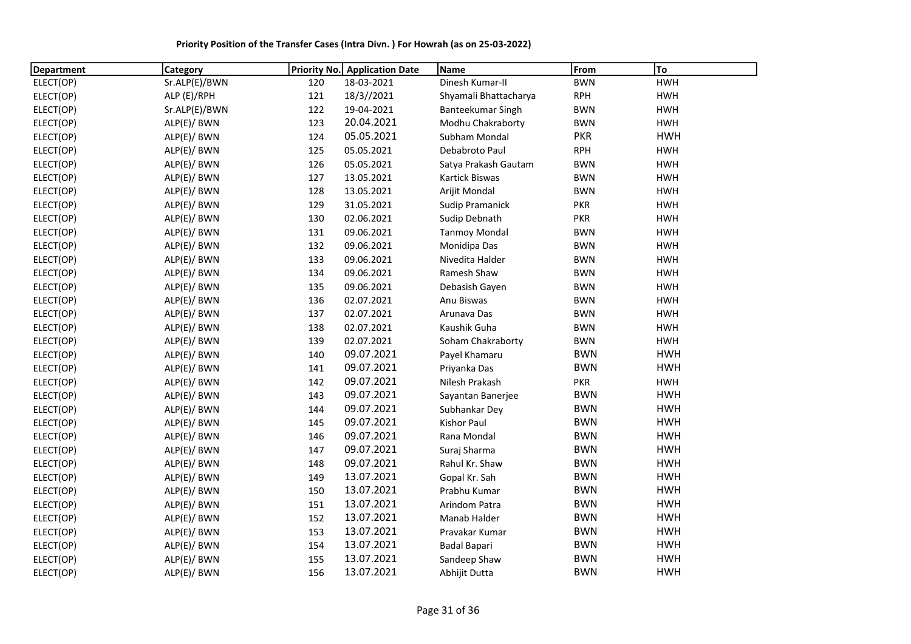Priority Position of the Transfer Cases (Intra Divn. ) For Howrah (as on 25-03-2022)

| Department | Category      | <b>Priority No.</b> | <b>Application Date</b> | <b>Name</b>            | From       | To         |
|------------|---------------|---------------------|-------------------------|------------------------|------------|------------|
| ELECT(OP)  | Sr.ALP(E)/BWN | 120                 | 18-03-2021              | Dinesh Kumar-II        | <b>BWN</b> | <b>HWH</b> |
| ELECT(OP)  | ALP (E)/RPH   | 121                 | 18/3//2021              | Shyamali Bhattacharya  | <b>RPH</b> | <b>HWH</b> |
| ELECT(OP)  | Sr.ALP(E)/BWN | 122                 | 19-04-2021              | Banteekumar Singh      | <b>BWN</b> | <b>HWH</b> |
| ELECT(OP)  | ALP(E)/ BWN   | 123                 | 20.04.2021              | Modhu Chakraborty      | <b>BWN</b> | <b>HWH</b> |
| ELECT(OP)  | ALP(E)/ BWN   | 124                 | 05.05.2021              | Subham Mondal          | <b>PKR</b> | <b>HWH</b> |
| ELECT(OP)  | ALP(E)/ BWN   | 125                 | 05.05.2021              | Debabroto Paul         | <b>RPH</b> | <b>HWH</b> |
| ELECT(OP)  | ALP(E)/ BWN   | 126                 | 05.05.2021              | Satya Prakash Gautam   | <b>BWN</b> | <b>HWH</b> |
| ELECT(OP)  | ALP(E)/ BWN   | 127                 | 13.05.2021              | Kartick Biswas         | <b>BWN</b> | <b>HWH</b> |
| ELECT(OP)  | ALP(E)/ BWN   | 128                 | 13.05.2021              | Arijit Mondal          | <b>BWN</b> | <b>HWH</b> |
| ELECT(OP)  | ALP(E)/ BWN   | 129                 | 31.05.2021              | <b>Sudip Pramanick</b> | <b>PKR</b> | <b>HWH</b> |
| ELECT(OP)  | ALP(E)/ BWN   | 130                 | 02.06.2021              | Sudip Debnath          | <b>PKR</b> | <b>HWH</b> |
| ELECT(OP)  | ALP(E)/ BWN   | 131                 | 09.06.2021              | <b>Tanmoy Mondal</b>   | <b>BWN</b> | <b>HWH</b> |
| ELECT(OP)  | ALP(E)/ BWN   | 132                 | 09.06.2021              | Monidipa Das           | <b>BWN</b> | <b>HWH</b> |
| ELECT(OP)  | ALP(E)/ BWN   | 133                 | 09.06.2021              | Nivedita Halder        | <b>BWN</b> | <b>HWH</b> |
| ELECT(OP)  | ALP(E)/ BWN   | 134                 | 09.06.2021              | Ramesh Shaw            | <b>BWN</b> | <b>HWH</b> |
| ELECT(OP)  | ALP(E)/ BWN   | 135                 | 09.06.2021              | Debasish Gayen         | <b>BWN</b> | <b>HWH</b> |
| ELECT(OP)  | ALP(E)/ BWN   | 136                 | 02.07.2021              | Anu Biswas             | <b>BWN</b> | <b>HWH</b> |
| ELECT(OP)  | ALP(E)/ BWN   | 137                 | 02.07.2021              | Arunava Das            | <b>BWN</b> | <b>HWH</b> |
| ELECT(OP)  | ALP(E)/ BWN   | 138                 | 02.07.2021              | Kaushik Guha           | <b>BWN</b> | <b>HWH</b> |
| ELECT(OP)  | ALP(E)/ BWN   | 139                 | 02.07.2021              | Soham Chakraborty      | <b>BWN</b> | <b>HWH</b> |
| ELECT(OP)  | ALP(E)/ BWN   | 140                 | 09.07.2021              | Payel Khamaru          | <b>BWN</b> | <b>HWH</b> |
| ELECT(OP)  | ALP(E)/ BWN   | 141                 | 09.07.2021              | Priyanka Das           | <b>BWN</b> | <b>HWH</b> |
| ELECT(OP)  | ALP(E)/ BWN   | 142                 | 09.07.2021              | Nilesh Prakash         | <b>PKR</b> | <b>HWH</b> |
| ELECT(OP)  | ALP(E)/ BWN   | 143                 | 09.07.2021              | Sayantan Banerjee      | <b>BWN</b> | <b>HWH</b> |
| ELECT(OP)  | ALP(E)/ BWN   | 144                 | 09.07.2021              | Subhankar Dey          | <b>BWN</b> | <b>HWH</b> |
| ELECT(OP)  | ALP(E)/ BWN   | 145                 | 09.07.2021              | Kishor Paul            | <b>BWN</b> | <b>HWH</b> |
| ELECT(OP)  | ALP(E)/ BWN   | 146                 | 09.07.2021              | Rana Mondal            | <b>BWN</b> | <b>HWH</b> |
| ELECT(OP)  | ALP(E)/ BWN   | 147                 | 09.07.2021              | Suraj Sharma           | <b>BWN</b> | <b>HWH</b> |
| ELECT(OP)  | ALP(E)/ BWN   | 148                 | 09.07.2021              | Rahul Kr. Shaw         | <b>BWN</b> | <b>HWH</b> |
| ELECT(OP)  | ALP(E)/ BWN   | 149                 | 13.07.2021              | Gopal Kr. Sah          | <b>BWN</b> | <b>HWH</b> |
| ELECT(OP)  | ALP(E)/ BWN   | 150                 | 13.07.2021              | Prabhu Kumar           | <b>BWN</b> | <b>HWH</b> |
| ELECT(OP)  | ALP(E)/ BWN   | 151                 | 13.07.2021              | Arindom Patra          | <b>BWN</b> | <b>HWH</b> |
| ELECT(OP)  | ALP(E)/ BWN   | 152                 | 13.07.2021              | Manab Halder           | <b>BWN</b> | <b>HWH</b> |
| ELECT(OP)  | ALP(E)/ BWN   | 153                 | 13.07.2021              | Pravakar Kumar         | <b>BWN</b> | <b>HWH</b> |
| ELECT(OP)  | ALP(E)/ BWN   | 154                 | 13.07.2021              | <b>Badal Bapari</b>    | <b>BWN</b> | <b>HWH</b> |
| ELECT(OP)  | ALP(E)/ BWN   | 155                 | 13.07.2021              | Sandeep Shaw           | <b>BWN</b> | <b>HWH</b> |
| ELECT(OP)  | ALP(E)/ BWN   | 156                 | 13.07.2021              | Abhijit Dutta          | <b>BWN</b> | <b>HWH</b> |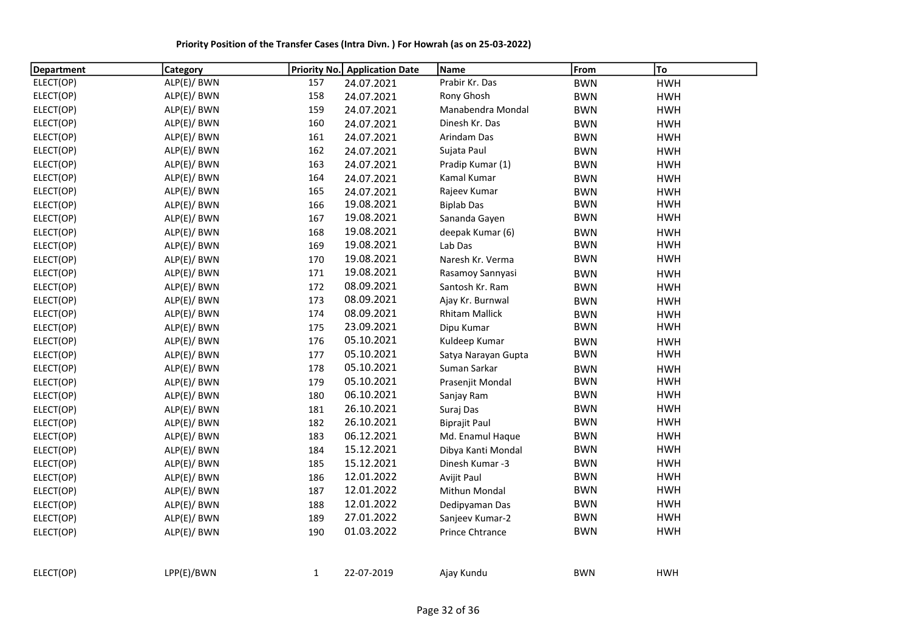Priority Position of the Transfer Cases (Intra Divn. ) For Howrah (as on 25-03-2022)

| <b>Department</b> | <b>Category</b> |              | Priority No. Application Date | Name                  | From       | To         |
|-------------------|-----------------|--------------|-------------------------------|-----------------------|------------|------------|
| ELECT(OP)         | ALP(E)/ BWN     | 157          | 24.07.2021                    | Prabir Kr. Das        | <b>BWN</b> | <b>HWH</b> |
| ELECT(OP)         | ALP(E)/ BWN     | 158          | 24.07.2021                    | Rony Ghosh            | <b>BWN</b> | <b>HWH</b> |
| ELECT(OP)         | ALP(E)/ BWN     | 159          | 24.07.2021                    | Manabendra Mondal     | <b>BWN</b> | <b>HWH</b> |
| ELECT(OP)         | ALP(E)/ BWN     | 160          | 24.07.2021                    | Dinesh Kr. Das        | <b>BWN</b> | <b>HWH</b> |
| ELECT(OP)         | ALP(E)/ BWN     | 161          | 24.07.2021                    | Arindam Das           | <b>BWN</b> | <b>HWH</b> |
| ELECT(OP)         | ALP(E)/ BWN     | 162          | 24.07.2021                    | Sujata Paul           | <b>BWN</b> | <b>HWH</b> |
| ELECT(OP)         | ALP(E)/ BWN     | 163          | 24.07.2021                    | Pradip Kumar (1)      | <b>BWN</b> | <b>HWH</b> |
| ELECT(OP)         | ALP(E)/ BWN     | 164          | 24.07.2021                    | Kamal Kumar           | <b>BWN</b> | <b>HWH</b> |
| ELECT(OP)         | ALP(E)/ BWN     | 165          | 24.07.2021                    | Rajeev Kumar          | <b>BWN</b> | <b>HWH</b> |
| ELECT(OP)         | ALP(E)/ BWN     | 166          | 19.08.2021                    | <b>Biplab Das</b>     | <b>BWN</b> | <b>HWH</b> |
| ELECT(OP)         | ALP(E)/ BWN     | 167          | 19.08.2021                    | Sananda Gayen         | <b>BWN</b> | <b>HWH</b> |
| ELECT(OP)         | ALP(E)/ BWN     | 168          | 19.08.2021                    | deepak Kumar (6)      | <b>BWN</b> | <b>HWH</b> |
| ELECT(OP)         | ALP(E)/ BWN     | 169          | 19.08.2021                    | Lab Das               | <b>BWN</b> | <b>HWH</b> |
| ELECT(OP)         | ALP(E)/ BWN     | 170          | 19.08.2021                    | Naresh Kr. Verma      | <b>BWN</b> | <b>HWH</b> |
| ELECT(OP)         | ALP(E)/ BWN     | 171          | 19.08.2021                    | Rasamoy Sannyasi      | <b>BWN</b> | <b>HWH</b> |
| ELECT(OP)         | ALP(E)/ BWN     | 172          | 08.09.2021                    | Santosh Kr. Ram       | <b>BWN</b> | <b>HWH</b> |
| ELECT(OP)         | ALP(E)/ BWN     | 173          | 08.09.2021                    | Ajay Kr. Burnwal      | <b>BWN</b> | <b>HWH</b> |
| ELECT(OP)         | ALP(E)/ BWN     | 174          | 08.09.2021                    | <b>Rhitam Mallick</b> | <b>BWN</b> | <b>HWH</b> |
| ELECT(OP)         | ALP(E)/ BWN     | 175          | 23.09.2021                    | Dipu Kumar            | <b>BWN</b> | <b>HWH</b> |
| ELECT(OP)         | ALP(E)/ BWN     | 176          | 05.10.2021                    | Kuldeep Kumar         | <b>BWN</b> | <b>HWH</b> |
| ELECT(OP)         | ALP(E)/ BWN     | 177          | 05.10.2021                    | Satya Narayan Gupta   | <b>BWN</b> | <b>HWH</b> |
| ELECT(OP)         | ALP(E)/ BWN     | 178          | 05.10.2021                    | Suman Sarkar          | <b>BWN</b> | <b>HWH</b> |
| ELECT(OP)         | ALP(E)/ BWN     | 179          | 05.10.2021                    | Prasenjit Mondal      | <b>BWN</b> | <b>HWH</b> |
| ELECT(OP)         | ALP(E)/ BWN     | 180          | 06.10.2021                    | Sanjay Ram            | <b>BWN</b> | <b>HWH</b> |
| ELECT(OP)         | ALP(E)/ BWN     | 181          | 26.10.2021                    | Suraj Das             | <b>BWN</b> | <b>HWH</b> |
| ELECT(OP)         | ALP(E)/ BWN     | 182          | 26.10.2021                    | <b>Biprajit Paul</b>  | <b>BWN</b> | <b>HWH</b> |
| ELECT(OP)         | ALP(E)/ BWN     | 183          | 06.12.2021                    | Md. Enamul Haque      | <b>BWN</b> | <b>HWH</b> |
| ELECT(OP)         | ALP(E)/ BWN     | 184          | 15.12.2021                    | Dibya Kanti Mondal    | <b>BWN</b> | <b>HWH</b> |
| ELECT(OP)         | ALP(E)/ BWN     | 185          | 15.12.2021                    | Dinesh Kumar -3       | <b>BWN</b> | <b>HWH</b> |
| ELECT(OP)         | ALP(E)/ BWN     | 186          | 12.01.2022                    | Avijit Paul           | <b>BWN</b> | <b>HWH</b> |
| ELECT(OP)         | ALP(E)/ BWN     | 187          | 12.01.2022                    | Mithun Mondal         | <b>BWN</b> | <b>HWH</b> |
| ELECT(OP)         | ALP(E)/ BWN     | 188          | 12.01.2022                    | Dedipyaman Das        | <b>BWN</b> | <b>HWH</b> |
| ELECT(OP)         | ALP(E)/ BWN     | 189          | 27.01.2022                    | Sanjeev Kumar-2       | <b>BWN</b> | <b>HWH</b> |
| ELECT(OP)         | ALP(E)/ BWN     | 190          | 01.03.2022                    | Prince Chtrance       | <b>BWN</b> | <b>HWH</b> |
|                   |                 |              |                               |                       |            |            |
| ELECT(OP)         | LPP(E)/BWN      | $\mathbf{1}$ | 22-07-2019                    | Ajay Kundu            | <b>BWN</b> | <b>HWH</b> |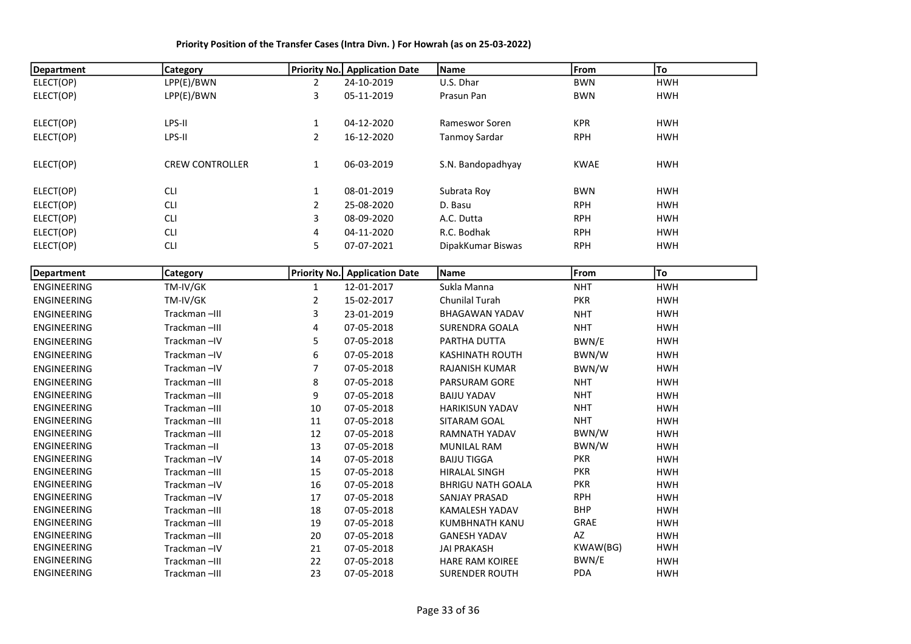| <b>Department</b>  | Category               |                | <b>Priority No.</b> Application Date | Name                     | From        | To         |
|--------------------|------------------------|----------------|--------------------------------------|--------------------------|-------------|------------|
| ELECT(OP)          | LPP(E)/BWN             | $\overline{2}$ | 24-10-2019                           | U.S. Dhar                | <b>BWN</b>  | <b>HWH</b> |
| ELECT(OP)          | LPP(E)/BWN             | 3              | 05-11-2019                           | Prasun Pan               | <b>BWN</b>  | <b>HWH</b> |
| ELECT(OP)          | LPS-II                 | $\mathbf{1}$   | 04-12-2020                           | Rameswor Soren           | <b>KPR</b>  | <b>HWH</b> |
| ELECT(OP)          | LPS-II                 | $\overline{2}$ | 16-12-2020                           | <b>Tanmoy Sardar</b>     | <b>RPH</b>  | <b>HWH</b> |
| ELECT(OP)          | <b>CREW CONTROLLER</b> | $\mathbf{1}$   | 06-03-2019                           | S.N. Bandopadhyay        | <b>KWAE</b> | <b>HWH</b> |
| ELECT(OP)          | <b>CLI</b>             | $\mathbf{1}$   | 08-01-2019                           | Subrata Roy              | <b>BWN</b>  | <b>HWH</b> |
| ELECT(OP)          | <b>CLI</b>             | $\overline{2}$ | 25-08-2020                           | D. Basu                  | <b>RPH</b>  | <b>HWH</b> |
| ELECT(OP)          | <b>CLI</b>             | 3              | 08-09-2020                           | A.C. Dutta               | <b>RPH</b>  | <b>HWH</b> |
| ELECT(OP)          | <b>CLI</b>             | $\pmb{4}$      | 04-11-2020                           | R.C. Bodhak              | <b>RPH</b>  | <b>HWH</b> |
| ELECT(OP)          | <b>CLI</b>             | 5              | 07-07-2021                           | DipakKumar Biswas        | <b>RPH</b>  | <b>HWH</b> |
| <b>Department</b>  | Category               |                | <b>Priority No.</b> Application Date | Name                     | From        | To         |
| <b>ENGINEERING</b> | TM-IV/GK               | $\mathbf{1}$   | 12-01-2017                           | Sukla Manna              | <b>NHT</b>  | <b>HWH</b> |
| <b>ENGINEERING</b> | TM-IV/GK               | $\overline{2}$ | 15-02-2017                           | Chunilal Turah           | <b>PKR</b>  | <b>HWH</b> |
| <b>ENGINEERING</b> | Trackman-III           | 3              | 23-01-2019                           | <b>BHAGAWAN YADAV</b>    | <b>NHT</b>  | <b>HWH</b> |
| <b>ENGINEERING</b> | Trackman-III           | 4              | 07-05-2018                           | <b>SURENDRA GOALA</b>    | <b>NHT</b>  | <b>HWH</b> |
| <b>ENGINEERING</b> | Trackman-IV            | 5              | 07-05-2018                           | PARTHA DUTTA             | BWN/E       | <b>HWH</b> |
| <b>ENGINEERING</b> | Trackman-IV            | 6              | 07-05-2018                           | <b>KASHINATH ROUTH</b>   | BWN/W       | <b>HWH</b> |
| <b>ENGINEERING</b> | Trackman-IV            | $\overline{7}$ | 07-05-2018                           | <b>RAJANISH KUMAR</b>    | BWN/W       | <b>HWH</b> |
| <b>ENGINEERING</b> | Trackman-III           | 8              | 07-05-2018                           | PARSURAM GORE            | <b>NHT</b>  | <b>HWH</b> |
| ENGINEERING        | Trackman-III           | 9              | 07-05-2018                           | <b>BAIJU YADAV</b>       | <b>NHT</b>  | <b>HWH</b> |
| ENGINEERING        | Trackman-III           | 10             | 07-05-2018                           | <b>HARIKISUN YADAV</b>   | <b>NHT</b>  | <b>HWH</b> |
| ENGINEERING        | Trackman-III           | 11             | 07-05-2018                           | SITARAM GOAL             | <b>NHT</b>  | <b>HWH</b> |
| <b>ENGINEERING</b> | Trackman-III           | 12             | 07-05-2018                           | RAMNATH YADAV            | BWN/W       | <b>HWH</b> |
| <b>ENGINEERING</b> | Trackman-II            | 13             | 07-05-2018                           | <b>MUNILAL RAM</b>       | BWN/W       | <b>HWH</b> |
| ENGINEERING        | Trackman-IV            | 14             | 07-05-2018                           | <b>BAIJU TIGGA</b>       | <b>PKR</b>  | <b>HWH</b> |
| ENGINEERING        | Trackman-III           | 15             | 07-05-2018                           | <b>HIRALAL SINGH</b>     | <b>PKR</b>  | <b>HWH</b> |
| <b>ENGINEERING</b> | Trackman-IV            | 16             | 07-05-2018                           | <b>BHRIGU NATH GOALA</b> | <b>PKR</b>  | <b>HWH</b> |
| ENGINEERING        | Trackman-IV            | $17\,$         | 07-05-2018                           | SANJAY PRASAD            | <b>RPH</b>  | <b>HWH</b> |
| ENGINEERING        | Trackman-III           | 18             | 07-05-2018                           | KAMALESH YADAV           | <b>BHP</b>  | <b>HWH</b> |
| ENGINEERING        | Trackman-III           | 19             | 07-05-2018                           | KUMBHNATH KANU           | GRAE        | <b>HWH</b> |
| ENGINEERING        | Trackman-III           | 20             | 07-05-2018                           | <b>GANESH YADAV</b>      | AZ          | <b>HWH</b> |
| ENGINEERING        | Trackman-IV            | 21             | 07-05-2018                           | <b>JAI PRAKASH</b>       | KWAW(BG)    | <b>HWH</b> |
| ENGINEERING        | Trackman-III           | 22             | 07-05-2018                           | <b>HARE RAM KOIREE</b>   | BWN/E       | <b>HWH</b> |
| ENGINEERING        | Trackman-III           | 23             | 07-05-2018                           | <b>SURENDER ROUTH</b>    | PDA         | <b>HWH</b> |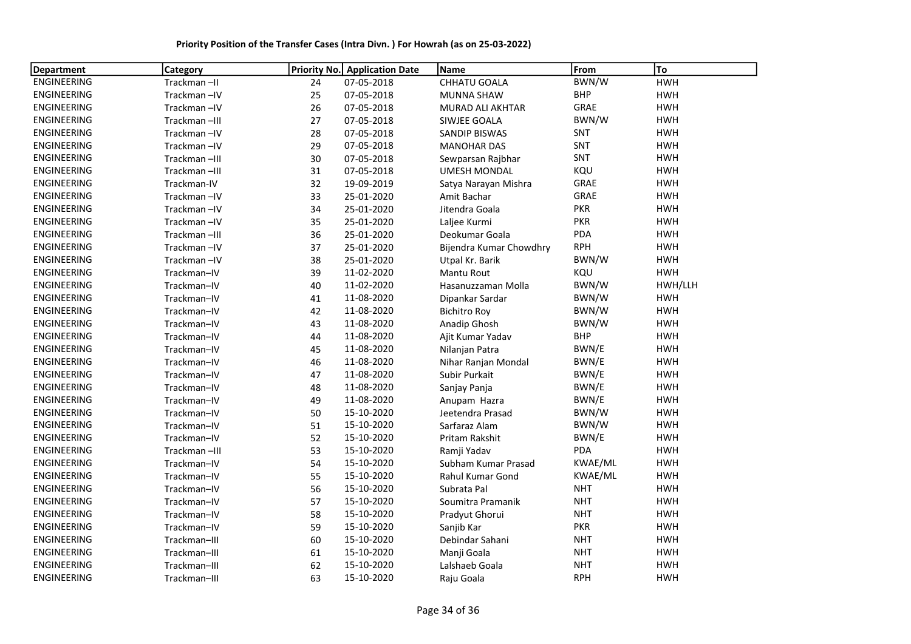| <b>Department</b>  | <b>Category</b> | Priority No. | <b>Application Date</b> | <b>Name</b>             | From        | To         |
|--------------------|-----------------|--------------|-------------------------|-------------------------|-------------|------------|
| ENGINEERING        | Trackman-II     | 24           | 07-05-2018              | CHHATU GOALA            | BWN/W       | <b>HWH</b> |
| ENGINEERING        | Trackman-IV     | 25           | 07-05-2018              | <b>MUNNA SHAW</b>       | <b>BHP</b>  | <b>HWH</b> |
| <b>ENGINEERING</b> | Trackman-IV     | 26           | 07-05-2018              | MURAD ALI AKHTAR        | GRAE        | <b>HWH</b> |
| ENGINEERING        | Trackman-III    | 27           | 07-05-2018              | SIWJEE GOALA            | BWN/W       | <b>HWH</b> |
| ENGINEERING        | Trackman-IV     | 28           | 07-05-2018              | <b>SANDIP BISWAS</b>    | SNT         | <b>HWH</b> |
| ENGINEERING        | Trackman-IV     | 29           | 07-05-2018              | <b>MANOHAR DAS</b>      | <b>SNT</b>  | <b>HWH</b> |
| <b>ENGINEERING</b> | Trackman-III    | 30           | 07-05-2018              | Sewparsan Rajbhar       | SNT         | <b>HWH</b> |
| ENGINEERING        | Trackman-III    | 31           | 07-05-2018              | <b>UMESH MONDAL</b>     | KQU         | <b>HWH</b> |
| ENGINEERING        | Trackman-IV     | 32           | 19-09-2019              | Satya Narayan Mishra    | <b>GRAE</b> | <b>HWH</b> |
| ENGINEERING        | Trackman-IV     | 33           | 25-01-2020              | Amit Bachar             | GRAE        | <b>HWH</b> |
| ENGINEERING        | Trackman-IV     | 34           | 25-01-2020              | Jitendra Goala          | <b>PKR</b>  | <b>HWH</b> |
| ENGINEERING        | Trackman-IV     | 35           | 25-01-2020              | Laljee Kurmi            | <b>PKR</b>  | <b>HWH</b> |
| <b>ENGINEERING</b> | Trackman-III    | 36           | 25-01-2020              | Deokumar Goala          | PDA         | <b>HWH</b> |
| ENGINEERING        | Trackman-IV     | 37           | 25-01-2020              | Bijendra Kumar Chowdhry | <b>RPH</b>  | <b>HWH</b> |
| <b>ENGINEERING</b> | Trackman-IV     | 38           | 25-01-2020              | Utpal Kr. Barik         | BWN/W       | <b>HWH</b> |
| ENGINEERING        | Trackman-IV     | 39           | 11-02-2020              | <b>Mantu Rout</b>       | KQU         | <b>HWH</b> |
| ENGINEERING        | Trackman-IV     | 40           | 11-02-2020              | Hasanuzzaman Molla      | BWN/W       | HWH/LLH    |
| <b>ENGINEERING</b> | Trackman-IV     | 41           | 11-08-2020              | Dipankar Sardar         | BWN/W       | <b>HWH</b> |
| ENGINEERING        | Trackman-IV     | 42           | 11-08-2020              | <b>Bichitro Roy</b>     | BWN/W       | <b>HWH</b> |
| ENGINEERING        | Trackman-IV     | 43           | 11-08-2020              | Anadip Ghosh            | BWN/W       | <b>HWH</b> |
| <b>ENGINEERING</b> | Trackman-IV     | 44           | 11-08-2020              | Ajit Kumar Yadav        | <b>BHP</b>  | <b>HWH</b> |
| ENGINEERING        | Trackman-IV     | 45           | 11-08-2020              | Nilanjan Patra          | BWN/E       | <b>HWH</b> |
| ENGINEERING        | Trackman-IV     | 46           | 11-08-2020              | Nihar Ranjan Mondal     | BWN/E       | <b>HWH</b> |
| ENGINEERING        | Trackman-IV     | 47           | 11-08-2020              | Subir Purkait           | BWN/E       | <b>HWH</b> |
| ENGINEERING        | Trackman-IV     | 48           | 11-08-2020              | Sanjay Panja            | BWN/E       | <b>HWH</b> |
| ENGINEERING        | Trackman-IV     | 49           | 11-08-2020              | Anupam Hazra            | BWN/E       | <b>HWH</b> |
| ENGINEERING        | Trackman-IV     | 50           | 15-10-2020              | Jeetendra Prasad        | BWN/W       | <b>HWH</b> |
| ENGINEERING        | Trackman-IV     | 51           | 15-10-2020              | Sarfaraz Alam           | BWN/W       | <b>HWH</b> |
| <b>ENGINEERING</b> | Trackman-IV     | 52           | 15-10-2020              | Pritam Rakshit          | BWN/E       | <b>HWH</b> |
| ENGINEERING        | Trackman-III    | 53           | 15-10-2020              | Ramji Yadav             | PDA         | <b>HWH</b> |
| ENGINEERING        | Trackman-IV     | 54           | 15-10-2020              | Subham Kumar Prasad     | KWAE/ML     | <b>HWH</b> |
| ENGINEERING        | Trackman-IV     | 55           | 15-10-2020              | <b>Rahul Kumar Gond</b> | KWAE/ML     | <b>HWH</b> |
| ENGINEERING        | Trackman-IV     | 56           | 15-10-2020              | Subrata Pal             | <b>NHT</b>  | <b>HWH</b> |
| <b>ENGINEERING</b> | Trackman-IV     | 57           | 15-10-2020              | Soumitra Pramanik       | <b>NHT</b>  | <b>HWH</b> |
| <b>ENGINEERING</b> | Trackman-IV     | 58           | 15-10-2020              | Pradyut Ghorui          | <b>NHT</b>  | <b>HWH</b> |
| ENGINEERING        | Trackman-IV     | 59           | 15-10-2020              | Sanjib Kar              | <b>PKR</b>  | <b>HWH</b> |
| ENGINEERING        | Trackman-III    | 60           | 15-10-2020              | Debindar Sahani         | <b>NHT</b>  | <b>HWH</b> |
| <b>ENGINEERING</b> | Trackman-III    | 61           | 15-10-2020              | Manji Goala             | <b>NHT</b>  | <b>HWH</b> |
| ENGINEERING        | Trackman-III    | 62           | 15-10-2020              | Lalshaeb Goala          | <b>NHT</b>  | <b>HWH</b> |
| <b>ENGINEERING</b> | Trackman-III    | 63           | 15-10-2020              | Raju Goala              | <b>RPH</b>  | <b>HWH</b> |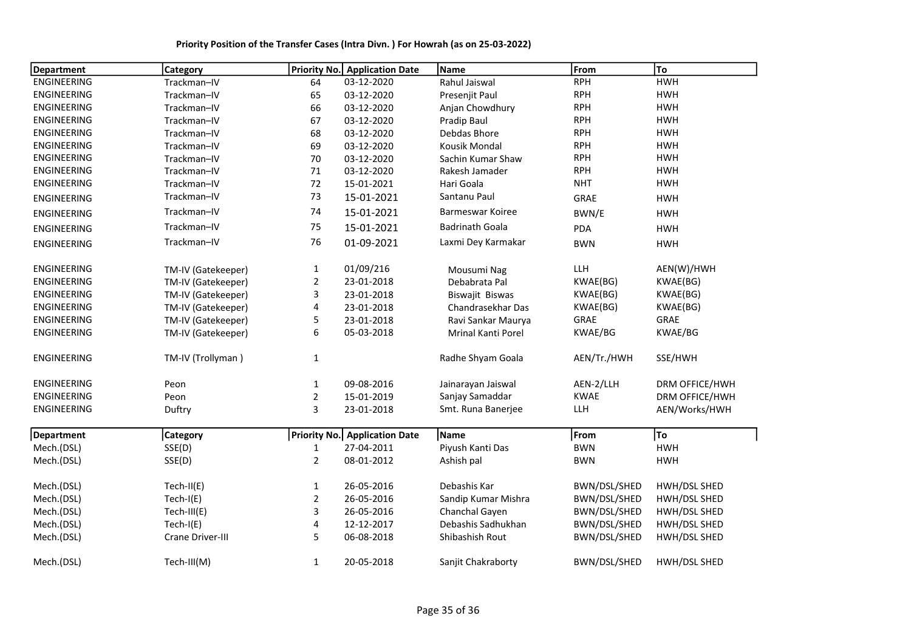| <b>Department</b>  | <b>Category</b>    | <b>Priority No.</b> | <b>Application Date</b>              | Name                   | From         | To             |
|--------------------|--------------------|---------------------|--------------------------------------|------------------------|--------------|----------------|
| <b>ENGINEERING</b> | Trackman-IV        | 64                  | 03-12-2020                           | Rahul Jaiswal          | <b>RPH</b>   | <b>HWH</b>     |
| <b>ENGINEERING</b> | Trackman-IV        | 65                  | 03-12-2020                           | Presenjit Paul         | <b>RPH</b>   | <b>HWH</b>     |
| <b>ENGINEERING</b> | Trackman-IV        | 66                  | 03-12-2020                           | Anjan Chowdhury        | <b>RPH</b>   | <b>HWH</b>     |
| <b>ENGINEERING</b> | Trackman-IV        | 67                  | 03-12-2020                           | Pradip Baul            | <b>RPH</b>   | <b>HWH</b>     |
| <b>ENGINEERING</b> | Trackman-IV        | 68                  | 03-12-2020                           | Debdas Bhore           | <b>RPH</b>   | <b>HWH</b>     |
| ENGINEERING        | Trackman-IV        | 69                  | 03-12-2020                           | Kousik Mondal          | <b>RPH</b>   | <b>HWH</b>     |
| <b>ENGINEERING</b> | Trackman-IV        | 70                  | 03-12-2020                           | Sachin Kumar Shaw      | <b>RPH</b>   | <b>HWH</b>     |
| ENGINEERING        | Trackman-IV        | 71                  | 03-12-2020                           | Rakesh Jamader         | <b>RPH</b>   | <b>HWH</b>     |
| <b>ENGINEERING</b> | Trackman-IV        | 72                  | 15-01-2021                           | Hari Goala             | <b>NHT</b>   | <b>HWH</b>     |
| ENGINEERING        | Trackman-IV        | 73                  | 15-01-2021                           | Santanu Paul           | GRAE         | <b>HWH</b>     |
| <b>ENGINEERING</b> | Trackman-IV        | 74                  | 15-01-2021                           | Barmeswar Koiree       | BWN/E        | <b>HWH</b>     |
| <b>ENGINEERING</b> | Trackman-IV        | 75                  | 15-01-2021                           | <b>Badrinath Goala</b> | PDA          | <b>HWH</b>     |
| <b>ENGINEERING</b> | Trackman-IV        | 76                  | 01-09-2021                           | Laxmi Dey Karmakar     | <b>BWN</b>   | <b>HWH</b>     |
| <b>ENGINEERING</b> | TM-IV (Gatekeeper) | $\mathbf{1}$        | 01/09/216                            | Mousumi Nag            | LLH          | AEN(W)/HWH     |
| <b>ENGINEERING</b> | TM-IV (Gatekeeper) | $\overline{a}$      | 23-01-2018                           | Debabrata Pal          | KWAE(BG)     | KWAE(BG)       |
| <b>ENGINEERING</b> | TM-IV (Gatekeeper) | 3                   | 23-01-2018                           | Biswajit Biswas        | KWAE(BG)     | KWAE(BG)       |
| ENGINEERING        | TM-IV (Gatekeeper) | 4                   | 23-01-2018                           | Chandrasekhar Das      | KWAE(BG)     | KWAE(BG)       |
| <b>ENGINEERING</b> | TM-IV (Gatekeeper) | 5                   | 23-01-2018                           | Ravi Sankar Maurya     | <b>GRAE</b>  | GRAE           |
| ENGINEERING        | TM-IV (Gatekeeper) | 6                   | 05-03-2018                           | Mrinal Kanti Porel     | KWAE/BG      | KWAE/BG        |
| <b>ENGINEERING</b> | TM-IV (Trollyman)  | $\mathbf{1}$        |                                      | Radhe Shyam Goala      | AEN/Tr./HWH  | SSE/HWH        |
| <b>ENGINEERING</b> | Peon               | $\mathbf{1}$        | 09-08-2016                           | Jainarayan Jaiswal     | AEN-2/LLH    | DRM OFFICE/HWH |
| <b>ENGINEERING</b> | Peon               | $\overline{2}$      | 15-01-2019                           | Sanjay Samaddar        | <b>KWAE</b>  | DRM OFFICE/HWH |
| ENGINEERING        | Duftry             | 3                   | 23-01-2018                           | Smt. Runa Banerjee     | <b>LLH</b>   | AEN/Works/HWH  |
| Department         | <b>Category</b>    |                     | <b>Priority No.</b> Application Date | Name                   | From         | To             |
| Mech.(DSL)         | SSE(D)             | $\mathbf{1}$        | 27-04-2011                           | Piyush Kanti Das       | <b>BWN</b>   | <b>HWH</b>     |
| Mech.(DSL)         | SSE(D)             | $\overline{2}$      | 08-01-2012                           | Ashish pal             | <b>BWN</b>   | <b>HWH</b>     |
| Mech.(DSL)         | Tech-II(E)         | $\mathbf 1$         | 26-05-2016                           | Debashis Kar           | BWN/DSL/SHED | HWH/DSL SHED   |
| Mech.(DSL)         | $Tech-I(E)$        | $\overline{2}$      | 26-05-2016                           | Sandip Kumar Mishra    | BWN/DSL/SHED | HWH/DSL SHED   |
| Mech.(DSL)         | Tech-III(E)        | 3                   | 26-05-2016                           | Chanchal Gayen         | BWN/DSL/SHED | HWH/DSL SHED   |
| Mech.(DSL)         | $Tech-I(E)$        | 4                   | 12-12-2017                           | Debashis Sadhukhan     | BWN/DSL/SHED | HWH/DSL SHED   |
| Mech.(DSL)         | Crane Driver-III   | 5                   | 06-08-2018                           | Shibashish Rout        | BWN/DSL/SHED | HWH/DSL SHED   |
| Mech.(DSL)         | Tech-III(M)        | $\mathbf{1}$        | 20-05-2018                           | Sanjit Chakraborty     | BWN/DSL/SHED | HWH/DSL SHED   |